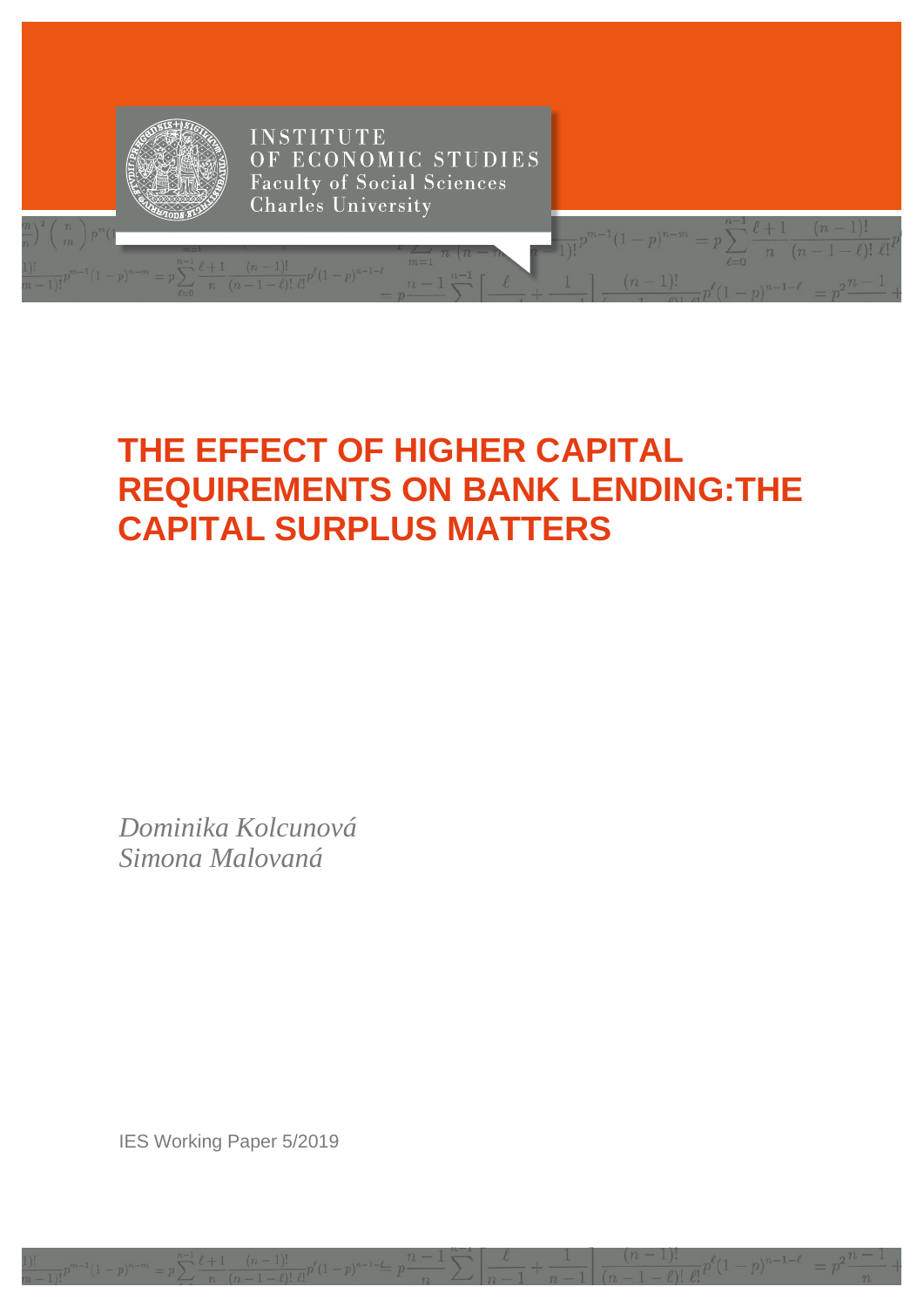

## THE EFFECT OF HIGHER CAPITAL **REQUIREMENTS ON BANK LENDING: THE CAPITAL SURPLUS MATTERS**

Dominika Kolcunová Simona Malovaná

**IES Working Paper 5/2019**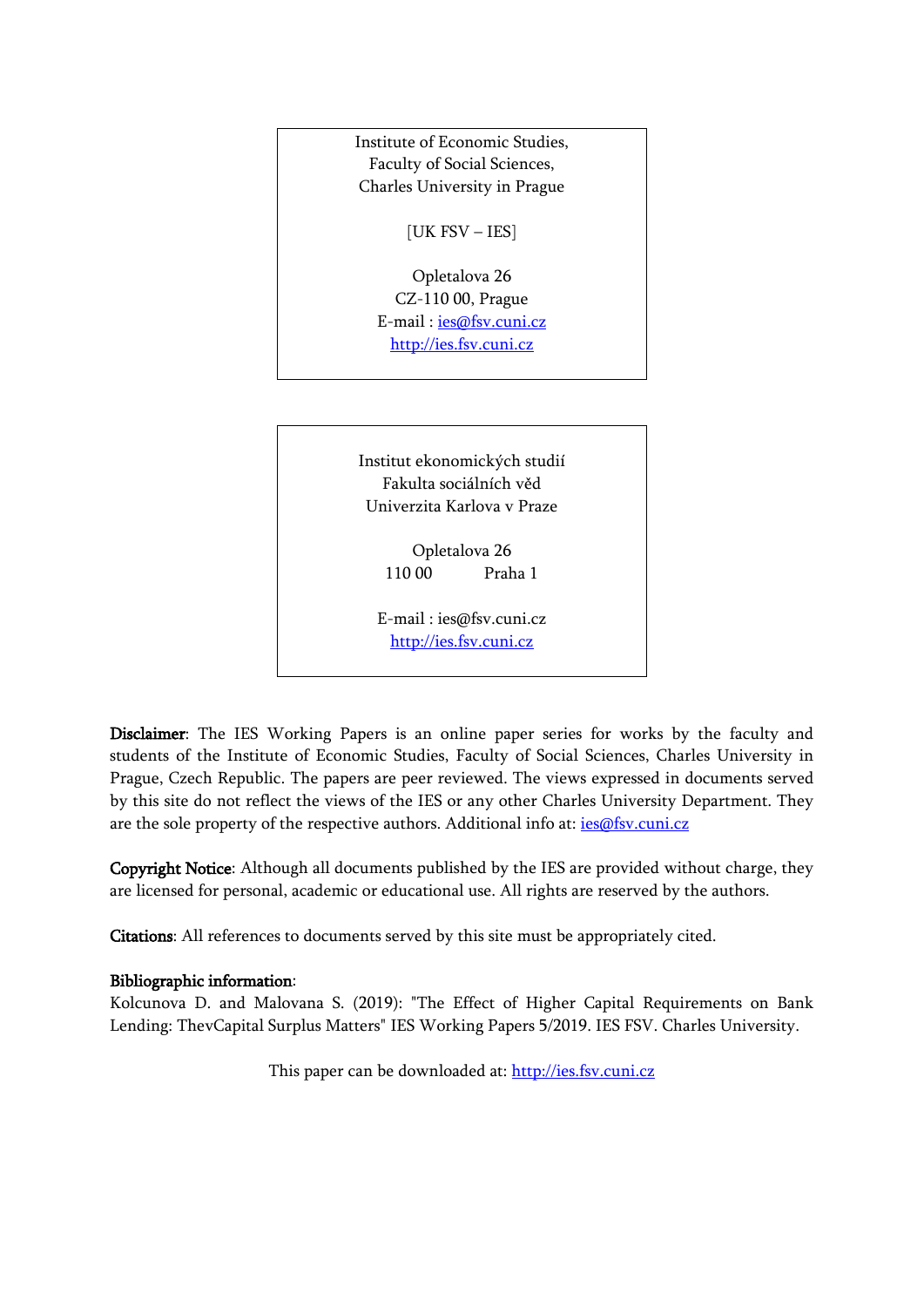

[http://ies.fsv.cuni.cz](http://ies.fsv.cuni.cz/)

Disclaimer: The IES Working Papers is an online paper series for works by the faculty and students of the Institute of Economic Studies, Faculty of Social Sciences, Charles University in Prague, Czech Republic. The papers are peer reviewed. The views expressed in documents served by this site do not reflect the views of the IES or any other Charles University Department. They are the sole property of the respective authors. Additional info at: [ies@fsv.cuni.cz](mailto:ies@fsv.cuni.cz)

Copyright Notice: Although all documents published by the IES are provided without charge, they are licensed for personal, academic or educational use. All rights are reserved by the authors.

Citations: All references to documents served by this site must be appropriately cited.

#### Bibliographic information:

Kolcunova D. and Malovana S. (2019): "The Effect of Higher Capital Requirements on Bank Lending: ThevCapital Surplus Matters" IES Working Papers 5/2019. IES FSV. Charles University.

This paper can be downloaded at: [http://ies.fsv.cuni.cz](http://ies.fsv.cuni.cz/)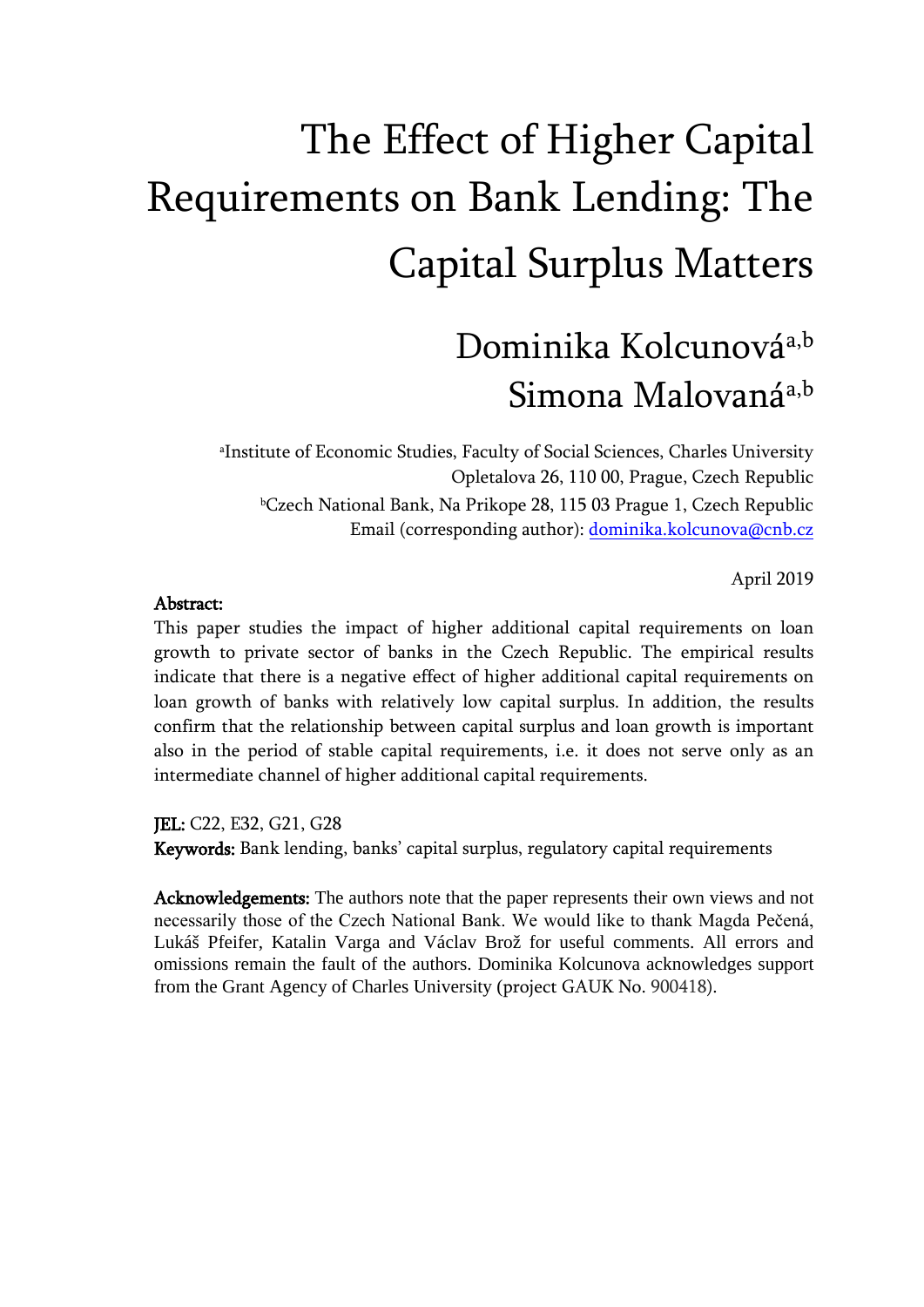# The Effect of Higher Capital Requirements on Bank Lending: The Capital Surplus Matters

## Dominika Kolcunováa,b Simona Malovaná<sup>a,b</sup>

a Institute of Economic Studies, Faculty of Social Sciences, Charles University Opletalova 26, 110 00, Prague, Czech Republic <sup>b</sup>Czech National Bank, Na Prikope 28, 115 03 Prague 1, Czech Republic Email (corresponding author): [dominika.kolcunova@cnb.cz](mailto:dominika.kolcunova@cnb.cz)

April 2019

#### Abstract:

This paper studies the impact of higher additional capital requirements on loan growth to private sector of banks in the Czech Republic. The empirical results indicate that there is a negative effect of higher additional capital requirements on loan growth of banks with relatively low capital surplus. In addition, the results confirm that the relationship between capital surplus and loan growth is important also in the period of stable capital requirements, i.e. it does not serve only as an intermediate channel of higher additional capital requirements.

JEL: C22, E32, G21, G28

Keywords: Bank lending, banks' capital surplus, regulatory capital requirements

Acknowledgements: The authors note that the paper represents their own views and not necessarily those of the Czech National Bank. We would like to thank Magda Pečená, Lukáš Pfeifer, Katalin Varga and Václav Brož for useful comments. All errors and omissions remain the fault of the authors. Dominika Kolcunova acknowledges support from the Grant Agency of Charles University (project GAUK No. 900418).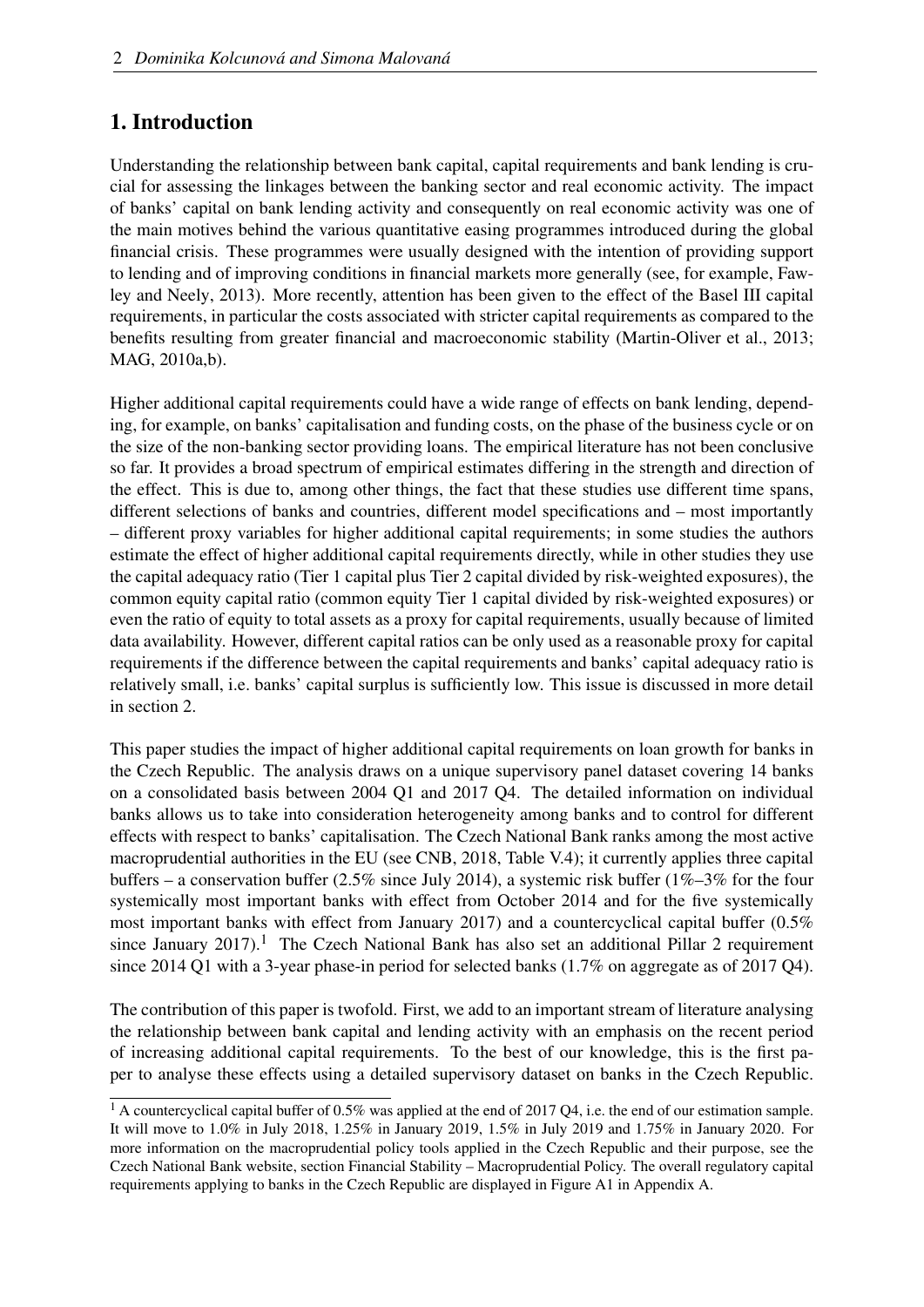## 1. Introduction

Understanding the relationship between bank capital, capital requirements and bank lending is crucial for assessing the linkages between the banking sector and real economic activity. The impact of banks' capital on bank lending activity and consequently on real economic activity was one of the main motives behind the various quantitative easing programmes introduced during the global financial crisis. These programmes were usually designed with the intention of providing support to lending and of improving conditions in financial markets more generally (see, for example, [Faw](#page-35-0)[ley and Neely, 2013\)](#page-35-0). More recently, attention has been given to the effect of the Basel III capital requirements, in particular the costs associated with stricter capital requirements as compared to the benefits resulting from greater financial and macroeconomic stability [\(Martin-Oliver et al., 2013;](#page-36-0) [MAG, 2010a,](#page-35-1)[b\)](#page-36-1).

Higher additional capital requirements could have a wide range of effects on bank lending, depending, for example, on banks' capitalisation and funding costs, on the phase of the business cycle or on the size of the non-banking sector providing loans. The empirical literature has not been conclusive so far. It provides a broad spectrum of empirical estimates differing in the strength and direction of the effect. This is due to, among other things, the fact that these studies use different time spans, different selections of banks and countries, different model specifications and – most importantly – different proxy variables for higher additional capital requirements; in some studies the authors estimate the effect of higher additional capital requirements directly, while in other studies they use the capital adequacy ratio (Tier 1 capital plus Tier 2 capital divided by risk-weighted exposures), the common equity capital ratio (common equity Tier 1 capital divided by risk-weighted exposures) or even the ratio of equity to total assets as a proxy for capital requirements, usually because of limited data availability. However, different capital ratios can be only used as a reasonable proxy for capital requirements if the difference between the capital requirements and banks' capital adequacy ratio is relatively small, i.e. banks' capital surplus is sufficiently low. This issue is discussed in more detail in section [2.](#page-4-0)

This paper studies the impact of higher additional capital requirements on loan growth for banks in the Czech Republic. The analysis draws on a unique supervisory panel dataset covering 14 banks on a consolidated basis between 2004 Q1 and 2017 Q4. The detailed information on individual banks allows us to take into consideration heterogeneity among banks and to control for different effects with respect to banks' capitalisation. The Czech National Bank ranks among the most active macroprudential authorities in the EU (see [CNB, 2018,](#page-35-2) Table V.4); it currently applies three capital buffers – a conservation buffer (2.5% since July 2014), a systemic risk buffer (1%–3% for the four systemically most important banks with effect from October 2014 and for the five systemically most important banks with effect from January 2017) and a countercyclical capital buffer (0.5% since January 20[1](#page-3-0)7).<sup>1</sup> The Czech National Bank has also set an additional Pillar 2 requirement since 2014 Q1 with a 3-year phase-in period for selected banks (1.7% on aggregate as of 2017 Q4).

The contribution of this paper is twofold. First, we add to an important stream of literature analysing the relationship between bank capital and lending activity with an emphasis on the recent period of increasing additional capital requirements. To the best of our knowledge, this is the first paper to analyse these effects using a detailed supervisory dataset on banks in the Czech Republic.

<span id="page-3-0"></span><sup>&</sup>lt;sup>1</sup> A countercyclical capital buffer of 0.5% was applied at the end of 2017 Q4, i.e. the end of our estimation sample. It will move to 1.0% in July 2018, 1.25% in January 2019, 1.5% in July 2019 and 1.75% in January 2020. For more information on the macroprudential policy tools applied in the Czech Republic and their purpose, see the Czech National Bank website, section Financial Stability – Macroprudential Policy. The overall regulatory capital requirements applying to banks in the Czech Republic are displayed in Figure [A1](#page-7-0) in Appendix [A.](#page-37-0)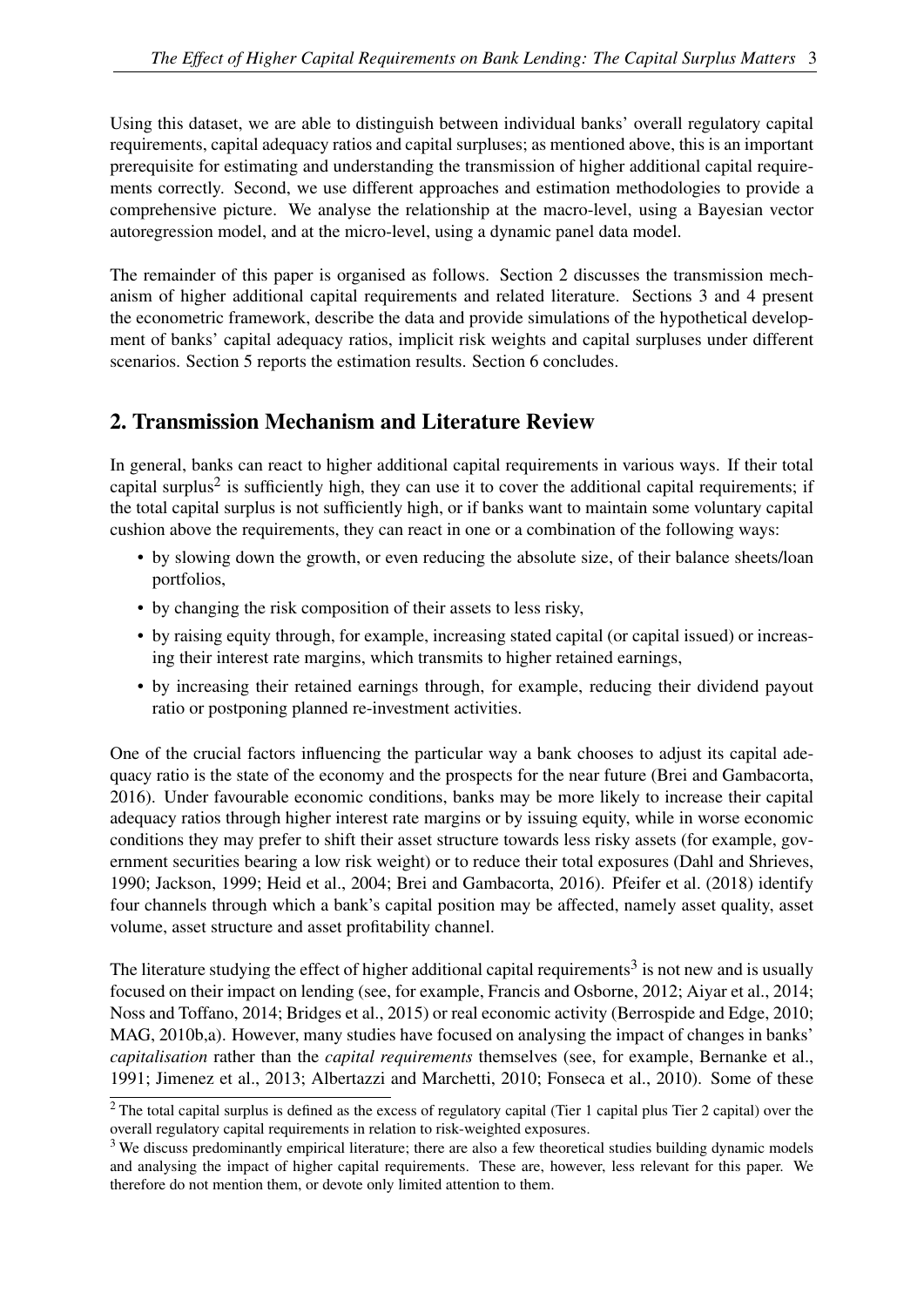Using this dataset, we are able to distinguish between individual banks' overall regulatory capital requirements, capital adequacy ratios and capital surpluses; as mentioned above, this is an important prerequisite for estimating and understanding the transmission of higher additional capital requirements correctly. Second, we use different approaches and estimation methodologies to provide a comprehensive picture. We analyse the relationship at the macro-level, using a Bayesian vector autoregression model, and at the micro-level, using a dynamic panel data model.

The remainder of this paper is organised as follows. Section [2](#page-4-0) discusses the transmission mechanism of higher additional capital requirements and related literature. Sections [3](#page-8-0) and [4](#page-13-0) present the econometric framework, describe the data and provide simulations of the hypothetical development of banks' capital adequacy ratios, implicit risk weights and capital surpluses under different scenarios. Section [5](#page-23-0) reports the estimation results. Section [6](#page-33-0) concludes.

## <span id="page-4-0"></span>2. Transmission Mechanism and Literature Review

In general, banks can react to higher additional capital requirements in various ways. If their total capital surplus<sup>[2](#page-4-1)</sup> is sufficiently high, they can use it to cover the additional capital requirements; if the total capital surplus is not sufficiently high, or if banks want to maintain some voluntary capital cushion above the requirements, they can react in one or a combination of the following ways:

- by slowing down the growth, or even reducing the absolute size, of their balance sheets/loan portfolios,
- by changing the risk composition of their assets to less risky,
- by raising equity through, for example, increasing stated capital (or capital issued) or increasing their interest rate margins, which transmits to higher retained earnings,
- by increasing their retained earnings through, for example, reducing their dividend payout ratio or postponing planned re-investment activities.

One of the crucial factors influencing the particular way a bank chooses to adjust its capital adequacy ratio is the state of the economy and the prospects for the near future [\(Brei and Gambacorta,](#page-34-0) [2016\)](#page-34-0). Under favourable economic conditions, banks may be more likely to increase their capital adequacy ratios through higher interest rate margins or by issuing equity, while in worse economic conditions they may prefer to shift their asset structure towards less risky assets (for example, government securities bearing a low risk weight) or to reduce their total exposures [\(Dahl and Shrieves,](#page-35-3) [1990;](#page-35-3) [Jackson, 1999;](#page-35-4) [Heid et al., 2004;](#page-35-5) [Brei and Gambacorta, 2016\)](#page-34-0). [Pfeifer et al.](#page-36-2) [\(2018\)](#page-36-2) identify four channels through which a bank's capital position may be affected, namely asset quality, asset volume, asset structure and asset profitability channel.

The literature studying the effect of higher additional capital requirements<sup>[3](#page-4-2)</sup> is not new and is usually focused on their impact on lending (see, for example, [Francis and Osborne, 2012;](#page-35-6) [Aiyar et al., 2014;](#page-34-1) [Noss and Toffano, 2014;](#page-36-3) [Bridges et al., 2015\)](#page-34-2) or real economic activity [\(Berrospide and Edge, 2010;](#page-34-3) [MAG, 2010b](#page-36-1)[,a\)](#page-35-1). However, many studies have focused on analysing the impact of changes in banks' *capitalisation* rather than the *capital requirements* themselves (see, for example, [Bernanke et al.,](#page-34-4) [1991;](#page-34-4) [Jimenez et al., 2013;](#page-35-7) [Albertazzi and Marchetti, 2010;](#page-34-5) [Fonseca et al., 2010\)](#page-35-8). Some of these

<span id="page-4-1"></span><sup>&</sup>lt;sup>2</sup> The total capital surplus is defined as the excess of regulatory capital (Tier 1 capital plus Tier 2 capital) over the overall regulatory capital requirements in relation to risk-weighted exposures.

<span id="page-4-2"></span><sup>&</sup>lt;sup>3</sup> We discuss predominantly empirical literature; there are also a few theoretical studies building dynamic models and analysing the impact of higher capital requirements. These are, however, less relevant for this paper. We therefore do not mention them, or devote only limited attention to them.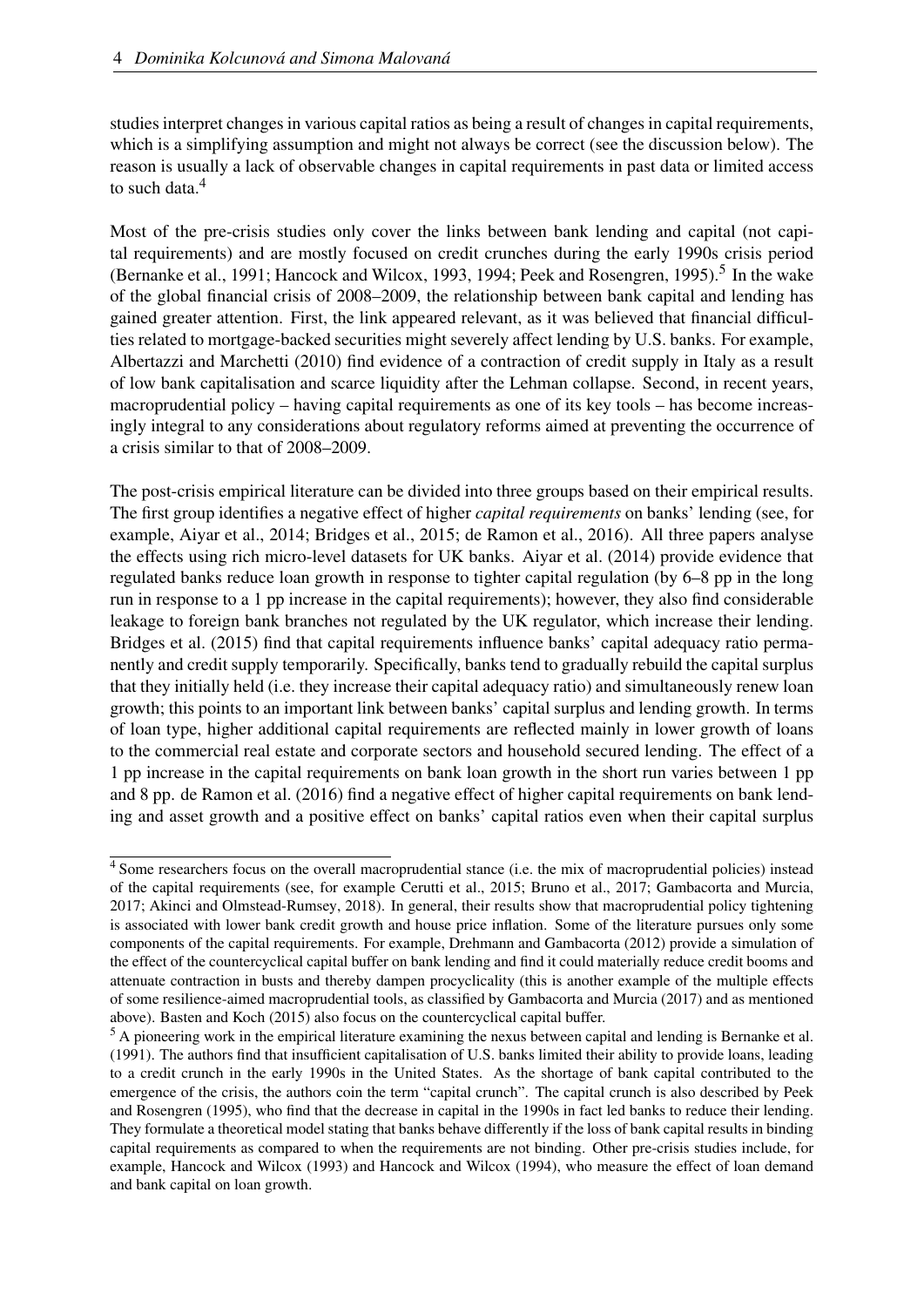studies interpret changes in various capital ratios as being a result of changes in capital requirements, which is a simplifying assumption and might not always be correct (see the discussion below). The reason is usually a lack of observable changes in capital requirements in past data or limited access to such data.<sup>[4](#page-5-0)</sup>

Most of the pre-crisis studies only cover the links between bank lending and capital (not capital requirements) and are mostly focused on credit crunches during the early 1990s crisis period [\(Bernanke et al., 1991;](#page-34-4) [Hancock and Wilcox, 1993,](#page-35-9) [1994;](#page-35-10) [Peek and Rosengren, 1995\)](#page-36-4).<sup>[5](#page-5-1)</sup> In the wake of the global financial crisis of 2008–2009, the relationship between bank capital and lending has gained greater attention. First, the link appeared relevant, as it was believed that financial difficulties related to mortgage-backed securities might severely affect lending by U.S. banks. For example, [Albertazzi and Marchetti](#page-34-5) [\(2010\)](#page-34-5) find evidence of a contraction of credit supply in Italy as a result of low bank capitalisation and scarce liquidity after the Lehman collapse. Second, in recent years, macroprudential policy – having capital requirements as one of its key tools – has become increasingly integral to any considerations about regulatory reforms aimed at preventing the occurrence of a crisis similar to that of 2008–2009.

The post-crisis empirical literature can be divided into three groups based on their empirical results. The first group identifies a negative effect of higher *capital requirements* on banks' lending (see, for example, [Aiyar et al., 2014;](#page-34-1) [Bridges et al., 2015;](#page-34-2) [de Ramon et al., 2016\)](#page-35-11). All three papers analyse the effects using rich micro-level datasets for UK banks. [Aiyar et al.](#page-34-1) [\(2014\)](#page-34-1) provide evidence that regulated banks reduce loan growth in response to tighter capital regulation (by 6–8 pp in the long run in response to a 1 pp increase in the capital requirements); however, they also find considerable leakage to foreign bank branches not regulated by the UK regulator, which increase their lending. [Bridges et al.](#page-34-2) [\(2015\)](#page-34-2) find that capital requirements influence banks' capital adequacy ratio permanently and credit supply temporarily. Specifically, banks tend to gradually rebuild the capital surplus that they initially held (i.e. they increase their capital adequacy ratio) and simultaneously renew loan growth; this points to an important link between banks' capital surplus and lending growth. In terms of loan type, higher additional capital requirements are reflected mainly in lower growth of loans to the commercial real estate and corporate sectors and household secured lending. The effect of a 1 pp increase in the capital requirements on bank loan growth in the short run varies between 1 pp and 8 pp. [de Ramon et al.](#page-35-11) [\(2016\)](#page-35-11) find a negative effect of higher capital requirements on bank lending and asset growth and a positive effect on banks' capital ratios even when their capital surplus

<span id="page-5-0"></span><sup>&</sup>lt;sup>4</sup> Some researchers focus on the overall macroprudential stance (i.e. the mix of macroprudential policies) instead of the capital requirements (see, for example [Cerutti et al., 2015;](#page-34-6) [Bruno et al., 2017;](#page-34-7) [Gambacorta and Murcia,](#page-35-12) [2017;](#page-35-12) [Akinci and Olmstead-Rumsey, 2018\)](#page-34-8). In general, their results show that macroprudential policy tightening is associated with lower bank credit growth and house price inflation. Some of the literature pursues only some components of the capital requirements. For example, [Drehmann and Gambacorta](#page-35-13) [\(2012\)](#page-35-13) provide a simulation of the effect of the countercyclical capital buffer on bank lending and find it could materially reduce credit booms and attenuate contraction in busts and thereby dampen procyclicality (this is another example of the multiple effects of some resilience-aimed macroprudential tools, as classified by [Gambacorta and Murcia](#page-35-12) [\(2017\)](#page-35-12) and as mentioned above). [Basten and Koch](#page-34-9) [\(2015\)](#page-34-9) also focus on the countercyclical capital buffer.

<span id="page-5-1"></span><sup>&</sup>lt;sup>5</sup> A pioneering work in the empirical literature examining the nexus between capital and lending is [Bernanke et al.](#page-34-4) [\(1991\)](#page-34-4). The authors find that insufficient capitalisation of U.S. banks limited their ability to provide loans, leading to a credit crunch in the early 1990s in the United States. As the shortage of bank capital contributed to the emergence of the crisis, the authors coin the term "capital crunch". The capital crunch is also described by [Peek](#page-36-4) [and Rosengren](#page-36-4) [\(1995\)](#page-36-4), who find that the decrease in capital in the 1990s in fact led banks to reduce their lending. They formulate a theoretical model stating that banks behave differently if the loss of bank capital results in binding capital requirements as compared to when the requirements are not binding. Other pre-crisis studies include, for example, [Hancock and Wilcox](#page-35-9) [\(1993\)](#page-35-9) and [Hancock and Wilcox](#page-35-10) [\(1994\)](#page-35-10), who measure the effect of loan demand and bank capital on loan growth.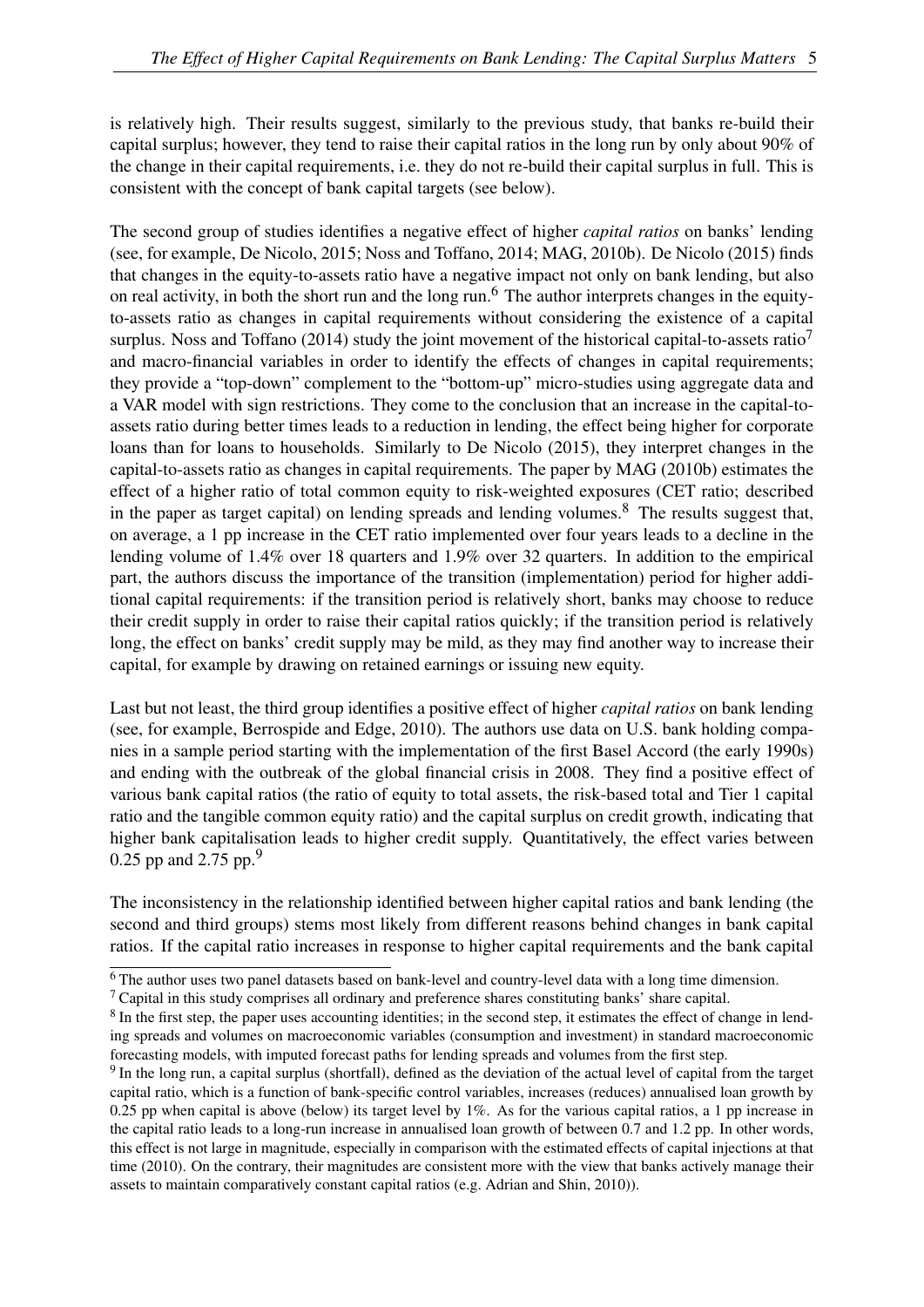is relatively high. Their results suggest, similarly to the previous study, that banks re-build their capital surplus; however, they tend to raise their capital ratios in the long run by only about 90% of the change in their capital requirements, i.e. they do not re-build their capital surplus in full. This is consistent with the concept of bank capital targets (see below).

The second group of studies identifies a negative effect of higher *capital ratios* on banks' lending (see, for example, [De Nicolo, 2015;](#page-35-14) [Noss and Toffano, 2014;](#page-36-3) [MAG, 2010b\)](#page-36-1). [De Nicolo](#page-35-14) [\(2015\)](#page-35-14) finds that changes in the equity-to-assets ratio have a negative impact not only on bank lending, but also on real activity, in both the short run and the long run.[6](#page-6-0) The author interprets changes in the equityto-assets ratio as changes in capital requirements without considering the existence of a capital surplus. [Noss and Toffano](#page-36-3) [\(2014\)](#page-36-3) study the joint movement of the historical capital-to-assets ratio<sup> $\prime$ </sup> and macro-financial variables in order to identify the effects of changes in capital requirements; they provide a "top-down" complement to the "bottom-up" micro-studies using aggregate data and a VAR model with sign restrictions. They come to the conclusion that an increase in the capital-toassets ratio during better times leads to a reduction in lending, the effect being higher for corporate loans than for loans to households. Similarly to [De Nicolo](#page-35-14) [\(2015\)](#page-35-14), they interpret changes in the capital-to-assets ratio as changes in capital requirements. The paper by [MAG](#page-36-1) [\(2010b\)](#page-36-1) estimates the effect of a higher ratio of total common equity to risk-weighted exposures (CET ratio; described in the paper as target capital) on lending spreads and lending volumes.<sup>[8](#page-6-2)</sup> The results suggest that, on average, a 1 pp increase in the CET ratio implemented over four years leads to a decline in the lending volume of 1.4% over 18 quarters and 1.9% over 32 quarters. In addition to the empirical part, the authors discuss the importance of the transition (implementation) period for higher additional capital requirements: if the transition period is relatively short, banks may choose to reduce their credit supply in order to raise their capital ratios quickly; if the transition period is relatively long, the effect on banks' credit supply may be mild, as they may find another way to increase their capital, for example by drawing on retained earnings or issuing new equity.

Last but not least, the third group identifies a positive effect of higher *capital ratios* on bank lending (see, for example, [Berrospide and Edge, 2010\)](#page-34-3). The authors use data on U.S. bank holding companies in a sample period starting with the implementation of the first Basel Accord (the early 1990s) and ending with the outbreak of the global financial crisis in 2008. They find a positive effect of various bank capital ratios (the ratio of equity to total assets, the risk-based total and Tier 1 capital ratio and the tangible common equity ratio) and the capital surplus on credit growth, indicating that higher bank capitalisation leads to higher credit supply. Quantitatively, the effect varies between 0.25 pp and 2.75 pp.<sup>[9](#page-6-3)</sup>

The inconsistency in the relationship identified between higher capital ratios and bank lending (the second and third groups) stems most likely from different reasons behind changes in bank capital ratios. If the capital ratio increases in response to higher capital requirements and the bank capital

<span id="page-6-0"></span><sup>&</sup>lt;sup>6</sup> The author uses two panel datasets based on bank-level and country-level data with a long time dimension.

<span id="page-6-1"></span> $<sup>7</sup>$  Capital in this study comprises all ordinary and preference shares constituting banks' share capital.</sup>

<span id="page-6-2"></span><sup>&</sup>lt;sup>8</sup> In the first step, the paper uses accounting identities; in the second step, it estimates the effect of change in lending spreads and volumes on macroeconomic variables (consumption and investment) in standard macroeconomic forecasting models, with imputed forecast paths for lending spreads and volumes from the first step.

<span id="page-6-3"></span><sup>&</sup>lt;sup>9</sup> In the long run, a capital surplus (shortfall), defined as the deviation of the actual level of capital from the target capital ratio, which is a function of bank-specific control variables, increases (reduces) annualised loan growth by 0.25 pp when capital is above (below) its target level by 1%. As for the various capital ratios, a 1 pp increase in the capital ratio leads to a long-run increase in annualised loan growth of between 0.7 and 1.2 pp. In other words, this effect is not large in magnitude, especially in comparison with the estimated effects of capital injections at that time (2010). On the contrary, their magnitudes are consistent more with the view that banks actively manage their assets to maintain comparatively constant capital ratios (e.g. [Adrian and Shin, 2010\)](#page-34-10)).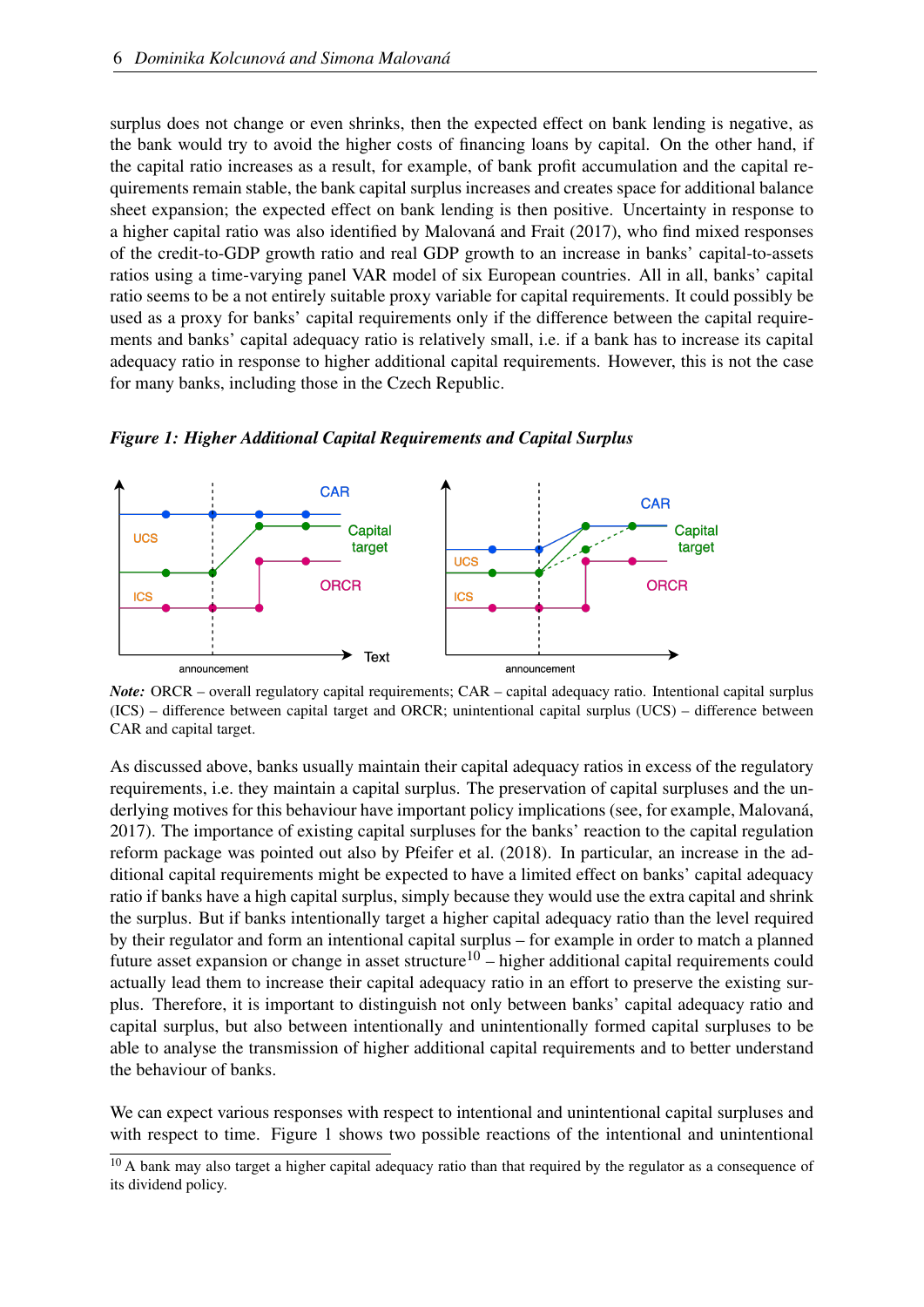surplus does not change or even shrinks, then the expected effect on bank lending is negative, as the bank would try to avoid the higher costs of financing loans by capital. On the other hand, if the capital ratio increases as a result, for example, of bank profit accumulation and the capital requirements remain stable, the bank capital surplus increases and creates space for additional balance sheet expansion; the expected effect on bank lending is then positive. Uncertainty in response to a higher capital ratio was also identified by [Malovaná and Frait](#page-36-5) [\(2017\)](#page-36-5), who find mixed responses of the credit-to-GDP growth ratio and real GDP growth to an increase in banks' capital-to-assets ratios using a time-varying panel VAR model of six European countries. All in all, banks' capital ratio seems to be a not entirely suitable proxy variable for capital requirements. It could possibly be used as a proxy for banks' capital requirements only if the difference between the capital requirements and banks' capital adequacy ratio is relatively small, i.e. if a bank has to increase its capital adequacy ratio in response to higher additional capital requirements. However, this is not the case for many banks, including those in the Czech Republic.



<span id="page-7-0"></span>*Figure 1: Higher Additional Capital Requirements and Capital Surplus*

*Note:* ORCR – overall regulatory capital requirements; CAR – capital adequacy ratio. Intentional capital surplus (ICS) – difference between capital target and ORCR; unintentional capital surplus (UCS) – difference between CAR and capital target.

As discussed above, banks usually maintain their capital adequacy ratios in excess of the regulatory requirements, i.e. they maintain a capital surplus. The preservation of capital surpluses and the underlying motives for this behaviour have important policy implications (see, for example, [Malovaná,](#page-36-6) [2017\)](#page-36-6). The importance of existing capital surpluses for the banks' reaction to the capital regulation reform package was pointed out also by [Pfeifer et al.](#page-36-2) [\(2018\)](#page-36-2). In particular, an increase in the additional capital requirements might be expected to have a limited effect on banks' capital adequacy ratio if banks have a high capital surplus, simply because they would use the extra capital and shrink the surplus. But if banks intentionally target a higher capital adequacy ratio than the level required by their regulator and form an intentional capital surplus – for example in order to match a planned future asset expansion or change in asset structure<sup>[10](#page-7-1)</sup> – higher additional capital requirements could actually lead them to increase their capital adequacy ratio in an effort to preserve the existing surplus. Therefore, it is important to distinguish not only between banks' capital adequacy ratio and capital surplus, but also between intentionally and unintentionally formed capital surpluses to be able to analyse the transmission of higher additional capital requirements and to better understand the behaviour of banks.

We can expect various responses with respect to intentional and unintentional capital surpluses and with respect to time. Figure [1](#page-7-0) shows two possible reactions of the intentional and unintentional

<span id="page-7-1"></span><sup>&</sup>lt;sup>10</sup> A bank may also target a higher capital adequacy ratio than that required by the regulator as a consequence of its dividend policy.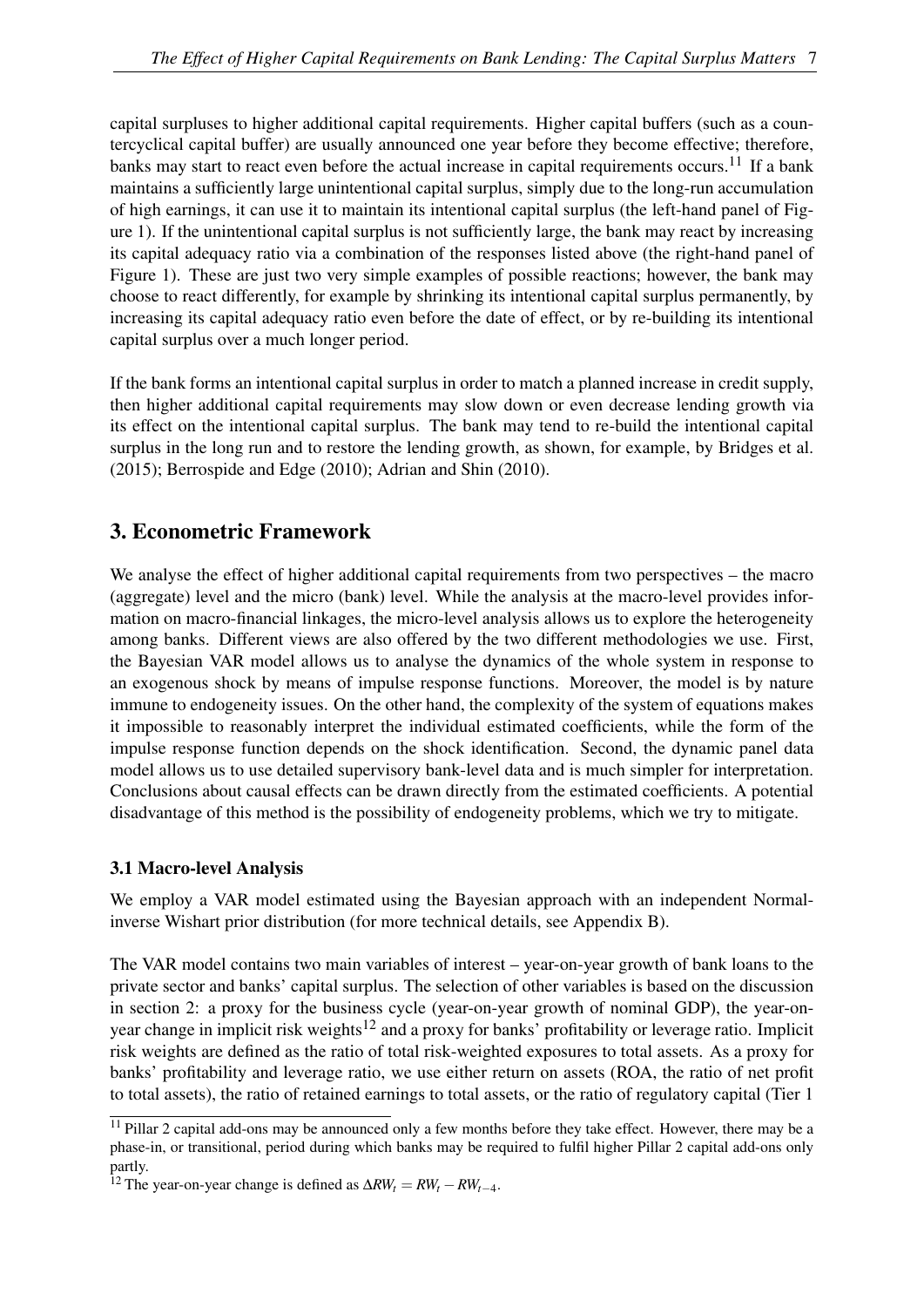capital surpluses to higher additional capital requirements. Higher capital buffers (such as a countercyclical capital buffer) are usually announced one year before they become effective; therefore, banks may start to react even before the actual increase in capital requirements occurs.<sup>[11](#page-8-1)</sup> If a bank maintains a sufficiently large unintentional capital surplus, simply due to the long-run accumulation of high earnings, it can use it to maintain its intentional capital surplus (the left-hand panel of Figure [1\)](#page-7-0). If the unintentional capital surplus is not sufficiently large, the bank may react by increasing its capital adequacy ratio via a combination of the responses listed above (the right-hand panel of Figure [1\)](#page-7-0). These are just two very simple examples of possible reactions; however, the bank may choose to react differently, for example by shrinking its intentional capital surplus permanently, by increasing its capital adequacy ratio even before the date of effect, or by re-building its intentional capital surplus over a much longer period.

If the bank forms an intentional capital surplus in order to match a planned increase in credit supply, then higher additional capital requirements may slow down or even decrease lending growth via its effect on the intentional capital surplus. The bank may tend to re-build the intentional capital surplus in the long run and to restore the lending growth, as shown, for example, by [Bridges et al.](#page-34-2) [\(2015\)](#page-34-2); [Berrospide and Edge](#page-34-3) [\(2010\)](#page-34-3); [Adrian and Shin](#page-34-10) [\(2010\)](#page-34-10).

## <span id="page-8-0"></span>3. Econometric Framework

We analyse the effect of higher additional capital requirements from two perspectives – the macro (aggregate) level and the micro (bank) level. While the analysis at the macro-level provides information on macro-financial linkages, the micro-level analysis allows us to explore the heterogeneity among banks. Different views are also offered by the two different methodologies we use. First, the Bayesian VAR model allows us to analyse the dynamics of the whole system in response to an exogenous shock by means of impulse response functions. Moreover, the model is by nature immune to endogeneity issues. On the other hand, the complexity of the system of equations makes it impossible to reasonably interpret the individual estimated coefficients, while the form of the impulse response function depends on the shock identification. Second, the dynamic panel data model allows us to use detailed supervisory bank-level data and is much simpler for interpretation. Conclusions about causal effects can be drawn directly from the estimated coefficients. A potential disadvantage of this method is the possibility of endogeneity problems, which we try to mitigate.

### <span id="page-8-3"></span>3.1 Macro-level Analysis

We employ a VAR model estimated using the Bayesian approach with an independent Normalinverse Wishart prior distribution (for more technical details, see Appendix [B\)](#page-38-0).

The VAR model contains two main variables of interest – year-on-year growth of bank loans to the private sector and banks' capital surplus. The selection of other variables is based on the discussion in section [2:](#page-4-0) a proxy for the business cycle (year-on-year growth of nominal GDP), the year-on-year change in implicit risk weights<sup>[12](#page-8-2)</sup> and a proxy for banks' profitability or leverage ratio. Implicit risk weights are defined as the ratio of total risk-weighted exposures to total assets. As a proxy for banks' profitability and leverage ratio, we use either return on assets (ROA, the ratio of net profit to total assets), the ratio of retained earnings to total assets, or the ratio of regulatory capital (Tier 1

<span id="page-8-1"></span><sup>&</sup>lt;sup>11</sup> Pillar 2 capital add-ons may be announced only a few months before they take effect. However, there may be a phase-in, or transitional, period during which banks may be required to fulfil higher Pillar 2 capital add-ons only partly.

<span id="page-8-2"></span><sup>&</sup>lt;sup>12</sup> The year-on-year change is defined as  $\Delta RW_t = RW_t - RW_{t-4}$ .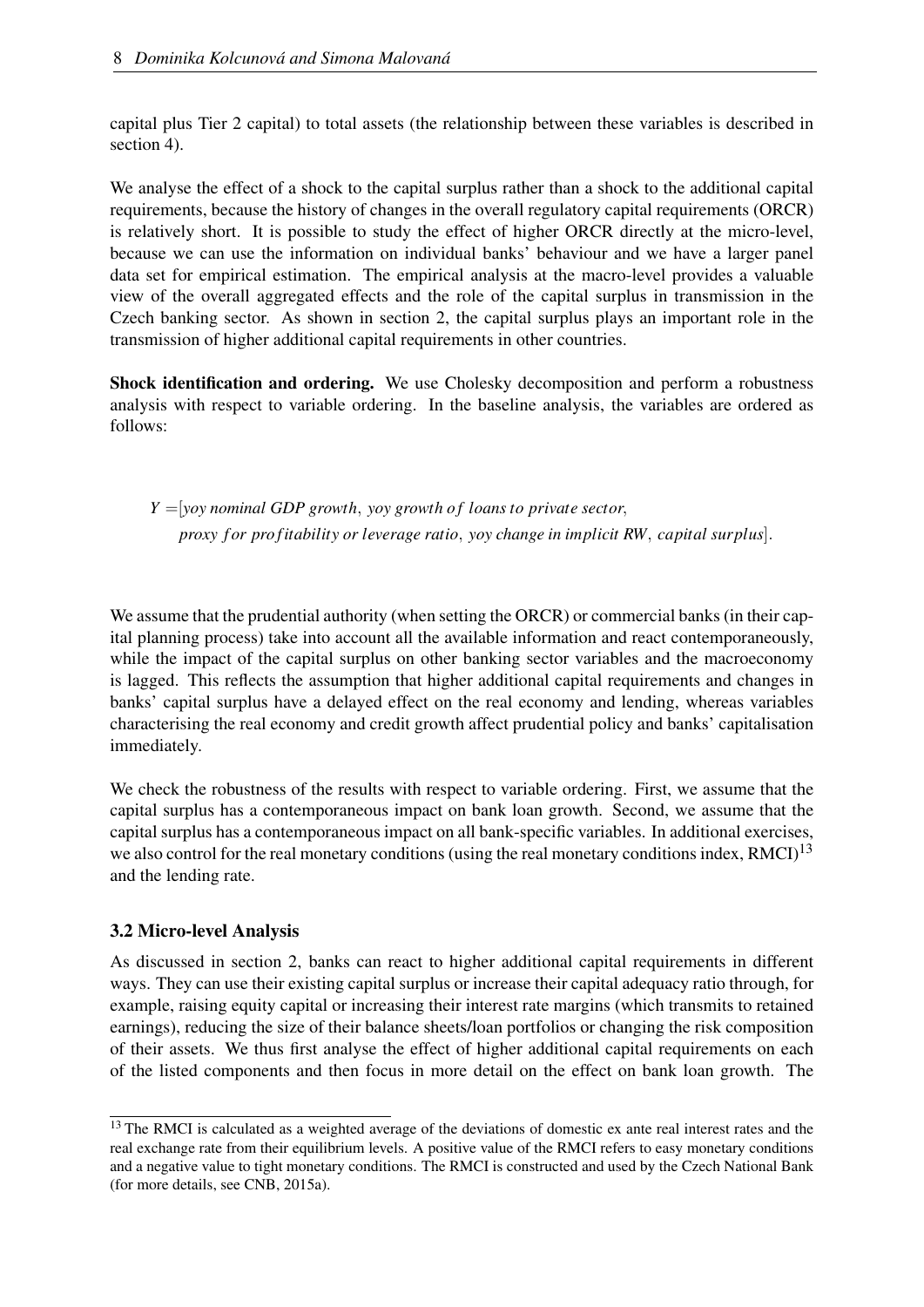capital plus Tier 2 capital) to total assets (the relationship between these variables is described in section [4\)](#page-13-0).

We analyse the effect of a shock to the capital surplus rather than a shock to the additional capital requirements, because the history of changes in the overall regulatory capital requirements (ORCR) is relatively short. It is possible to study the effect of higher ORCR directly at the micro-level, because we can use the information on individual banks' behaviour and we have a larger panel data set for empirical estimation. The empirical analysis at the macro-level provides a valuable view of the overall aggregated effects and the role of the capital surplus in transmission in the Czech banking sector. As shown in section [2,](#page-4-0) the capital surplus plays an important role in the transmission of higher additional capital requirements in other countries.

Shock identification and ordering. We use Cholesky decomposition and perform a robustness analysis with respect to variable ordering. In the baseline analysis, the variables are ordered as follows:

*Y* =[*yoy nominal GDP growth*, *yoy growth o f loans to private sector*, *proxy f or pro fitability or leverage ratio*, *yoy change in implicit RW*, *capital surplus*].

We assume that the prudential authority (when setting the ORCR) or commercial banks (in their capital planning process) take into account all the available information and react contemporaneously, while the impact of the capital surplus on other banking sector variables and the macroeconomy is lagged. This reflects the assumption that higher additional capital requirements and changes in banks' capital surplus have a delayed effect on the real economy and lending, whereas variables characterising the real economy and credit growth affect prudential policy and banks' capitalisation immediately.

We check the robustness of the results with respect to variable ordering. First, we assume that the capital surplus has a contemporaneous impact on bank loan growth. Second, we assume that the capital surplus has a contemporaneous impact on all bank-specific variables. In additional exercises, we also control for the real monetary conditions (using the real monetary conditions index, RMCI)<sup>[13](#page-9-0)</sup> and the lending rate.

#### <span id="page-9-1"></span>3.2 Micro-level Analysis

As discussed in section [2,](#page-4-0) banks can react to higher additional capital requirements in different ways. They can use their existing capital surplus or increase their capital adequacy ratio through, for example, raising equity capital or increasing their interest rate margins (which transmits to retained earnings), reducing the size of their balance sheets/loan portfolios or changing the risk composition of their assets. We thus first analyse the effect of higher additional capital requirements on each of the listed components and then focus in more detail on the effect on bank loan growth. The

<span id="page-9-0"></span><sup>&</sup>lt;sup>13</sup> The RMCI is calculated as a weighted average of the deviations of domestic ex ante real interest rates and the real exchange rate from their equilibrium levels. A positive value of the RMCI refers to easy monetary conditions and a negative value to tight monetary conditions. The RMCI is constructed and used by the Czech National Bank (for more details, see [CNB, 2015a\)](#page-34-11).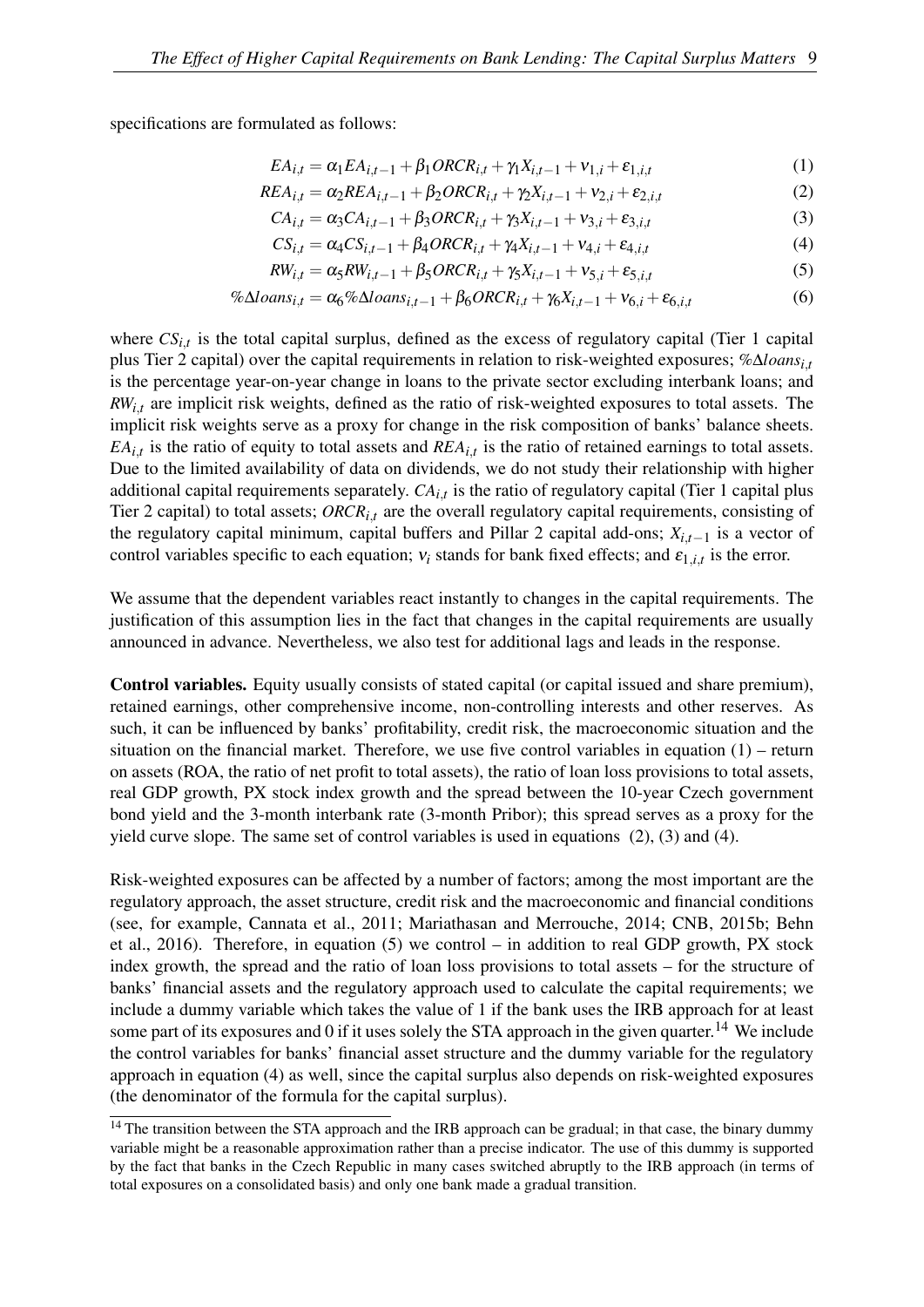specifications are formulated as follows:

<span id="page-10-0"></span>
$$
EA_{i,t} = \alpha_1 EA_{i,t-1} + \beta_1 ORCR_{i,t} + \gamma_1 X_{i,t-1} + \nu_{1,i} + \varepsilon_{1,i,t}
$$
 (1)

$$
REA_{i,t} = \alpha_2 REA_{i,t-1} + \beta_2 ORCR_{i,t} + \gamma_2 X_{i,t-1} + \nu_{2,i} + \varepsilon_{2,i,t}
$$
 (2)

<span id="page-10-2"></span><span id="page-10-1"></span>
$$
CA_{i,t} = \alpha_3 CA_{i,t-1} + \beta_3 ORCR_{i,t} + \gamma_3 X_{i,t-1} + \nu_{3,i} + \varepsilon_{3,i,t}
$$
\n(3)

<span id="page-10-6"></span><span id="page-10-4"></span><span id="page-10-3"></span>
$$
CS_{i,t} = \alpha_4 CS_{i,t-1} + \beta_4 ORCR_{i,t} + \gamma_4 X_{i,t-1} + \nu_{4,i} + \varepsilon_{4,i,t}
$$
(4)

$$
RW_{i,t} = \alpha_5 RW_{i,t-1} + \beta_5 ORCR_{i,t} + \gamma_5 X_{i,t-1} + \nu_{5,i} + \varepsilon_{5,i,t}
$$
\n<sup>(5)</sup>

$$
\% \Delta loans_{i,t} = \alpha_6 \% \Delta loans_{i,t-1} + \beta_6 ORCR_{i,t} + \gamma_6 X_{i,t-1} + \nu_{6,i} + \varepsilon_{6,i,t} \tag{6}
$$

where  $CS_{i,t}$  is the total capital surplus, defined as the excess of regulatory capital (Tier 1 capital plus Tier 2 capital) over the capital requirements in relation to risk-weighted exposures; %∆*loansi*,*t* is the percentage year-on-year change in loans to the private sector excluding interbank loans; and *RWi*,*t* are implicit risk weights, defined as the ratio of risk-weighted exposures to total assets. The implicit risk weights serve as a proxy for change in the risk composition of banks' balance sheets.  $EA_{i,t}$  is the ratio of equity to total assets and  $REA_{i,t}$  is the ratio of retained earnings to total assets. Due to the limited availability of data on dividends, we do not study their relationship with higher additional capital requirements separately. *CAi*,*t* is the ratio of regulatory capital (Tier 1 capital plus Tier 2 capital) to total assets; *ORCRi*,*t* are the overall regulatory capital requirements, consisting of the regulatory capital minimum, capital buffers and Pillar 2 capital add-ons; *Xi*,*t*−<sup>1</sup> is a vector of control variables specific to each equation;  $v_i$  stands for bank fixed effects; and  $\varepsilon_{1,i,t}$  is the error.

We assume that the dependent variables react instantly to changes in the capital requirements. The justification of this assumption lies in the fact that changes in the capital requirements are usually announced in advance. Nevertheless, we also test for additional lags and leads in the response.

Control variables. Equity usually consists of stated capital (or capital issued and share premium), retained earnings, other comprehensive income, non-controlling interests and other reserves. As such, it can be influenced by banks' profitability, credit risk, the macroeconomic situation and the situation on the financial market. Therefore, we use five control variables in equation [\(1\)](#page-10-0) – return on assets (ROA, the ratio of net profit to total assets), the ratio of loan loss provisions to total assets, real GDP growth, PX stock index growth and the spread between the 10-year Czech government bond yield and the 3-month interbank rate (3-month Pribor); this spread serves as a proxy for the yield curve slope. The same set of control variables is used in equations [\(2\)](#page-10-1), [\(3\)](#page-10-2) and [\(4\)](#page-10-3).

Risk-weighted exposures can be affected by a number of factors; among the most important are the regulatory approach, the asset structure, credit risk and the macroeconomic and financial conditions (see, for example, [Cannata et al., 2011;](#page-34-12) [Mariathasan and Merrouche, 2014;](#page-36-7) [CNB, 2015b;](#page-34-13) [Behn](#page-34-14) [et al., 2016\)](#page-34-14). Therefore, in equation [\(5\)](#page-10-4) we control – in addition to real GDP growth, PX stock index growth, the spread and the ratio of loan loss provisions to total assets – for the structure of banks' financial assets and the regulatory approach used to calculate the capital requirements; we include a dummy variable which takes the value of 1 if the bank uses the IRB approach for at least some part of its exposures and 0 if it uses solely the STA approach in the given quarter.<sup>[14](#page-10-5)</sup> We include the control variables for banks' financial asset structure and the dummy variable for the regulatory approach in equation [\(4\)](#page-10-3) as well, since the capital surplus also depends on risk-weighted exposures (the denominator of the formula for the capital surplus).

<span id="page-10-5"></span><sup>&</sup>lt;sup>14</sup> The transition between the STA approach and the IRB approach can be gradual; in that case, the binary dummy variable might be a reasonable approximation rather than a precise indicator. The use of this dummy is supported by the fact that banks in the Czech Republic in many cases switched abruptly to the IRB approach (in terms of total exposures on a consolidated basis) and only one bank made a gradual transition.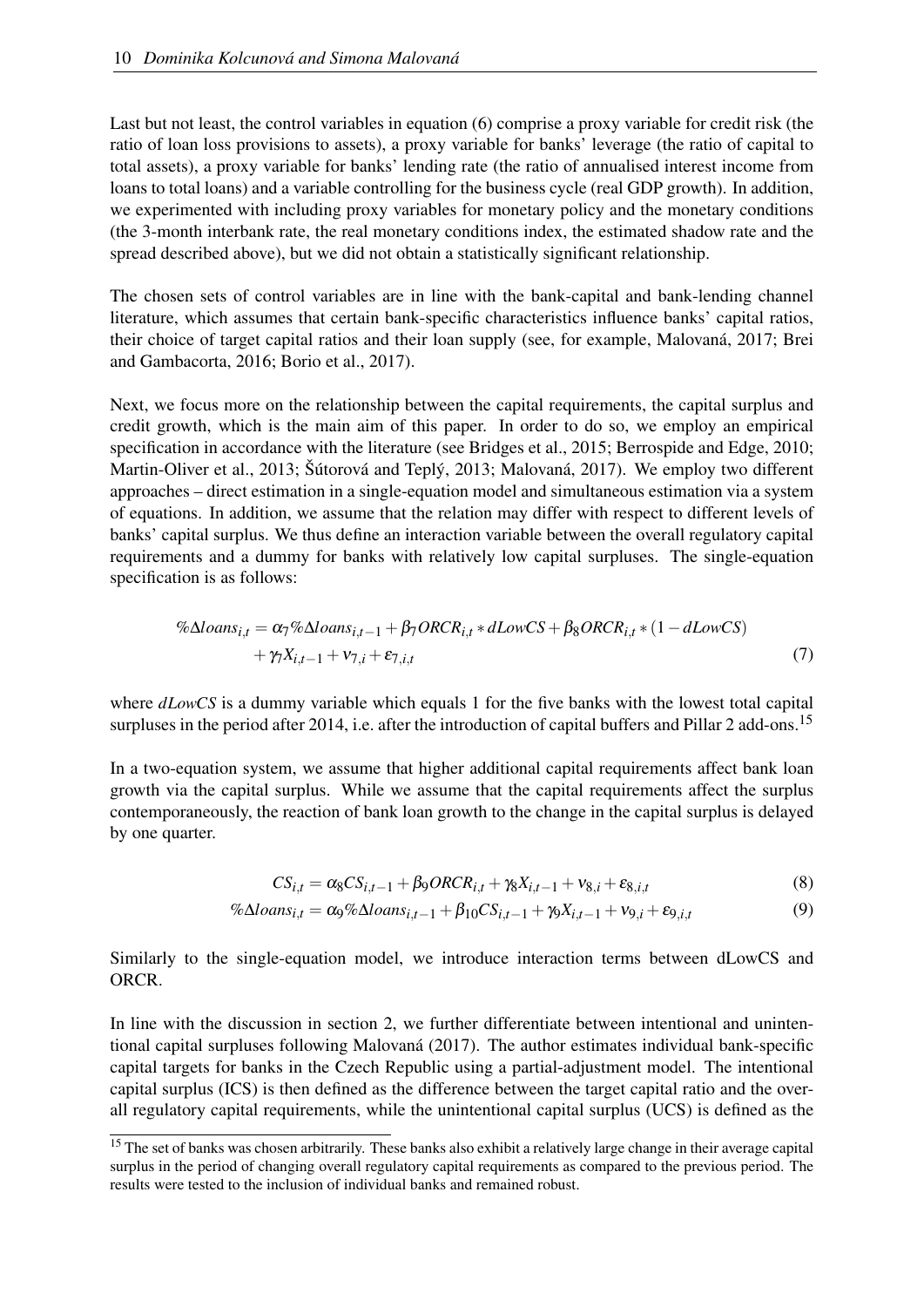Last but not least, the control variables in equation [\(6\)](#page-10-6) comprise a proxy variable for credit risk (the ratio of loan loss provisions to assets), a proxy variable for banks' leverage (the ratio of capital to total assets), a proxy variable for banks' lending rate (the ratio of annualised interest income from loans to total loans) and a variable controlling for the business cycle (real GDP growth). In addition, we experimented with including proxy variables for monetary policy and the monetary conditions (the 3-month interbank rate, the real monetary conditions index, the estimated shadow rate and the spread described above), but we did not obtain a statistically significant relationship.

The chosen sets of control variables are in line with the bank-capital and bank-lending channel literature, which assumes that certain bank-specific characteristics influence banks' capital ratios, their choice of target capital ratios and their loan supply (see, for example, [Malovaná, 2017;](#page-36-6) [Brei](#page-34-0) [and Gambacorta, 2016;](#page-34-0) [Borio et al., 2017\)](#page-34-15).

Next, we focus more on the relationship between the capital requirements, the capital surplus and credit growth, which is the main aim of this paper. In order to do so, we employ an empirical specification in accordance with the literature (see [Bridges et al., 2015;](#page-34-2) [Berrospide and Edge, 2010;](#page-34-3) [Martin-Oliver et al., 2013;](#page-36-0) [Šútorová and Teplý, 2013;](#page-36-8) [Malovaná, 2017\)](#page-36-6). We employ two different approaches – direct estimation in a single-equation model and simultaneous estimation via a system of equations. In addition, we assume that the relation may differ with respect to different levels of banks' capital surplus. We thus define an interaction variable between the overall regulatory capital requirements and a dummy for banks with relatively low capital surpluses. The single-equation specification is as follows:

$$
\% \Delta loans_{i,t} = \alpha_7 \% \Delta loans_{i,t-1} + \beta_7 ORCR_{i,t} * dLowCS + \beta_8 ORCR_{i,t} * (1 - dLowCS) + \gamma_7 X_{i,t-1} + \nu_{7,i} + \varepsilon_{7,i,t}
$$
\n(7)

where *dLowCS* is a dummy variable which equals 1 for the five banks with the lowest total capital surpluses in the period after 2014, i.e. after the introduction of capital buffers and Pillar 2 add-ons.<sup>[15](#page-11-0)</sup>

In a two-equation system, we assume that higher additional capital requirements affect bank loan growth via the capital surplus. While we assume that the capital requirements affect the surplus contemporaneously, the reaction of bank loan growth to the change in the capital surplus is delayed by one quarter.

<span id="page-11-2"></span><span id="page-11-1"></span>
$$
CS_{i,t} = \alpha_8 CS_{i,t-1} + \beta_9 ORCR_{i,t} + \gamma_8 X_{i,t-1} + \nu_{8,i} + \varepsilon_{8,i,t}
$$
\n(8)

$$
\% \Delta loans_{i,t} = \alpha_9 \% \Delta loans_{i,t-1} + \beta_{10} CS_{i,t-1} + \gamma_9 X_{i,t-1} + \nu_{9,i} + \varepsilon_{9,i,t} \tag{9}
$$

Similarly to the single-equation model, we introduce interaction terms between dLowCS and ORCR.

In line with the discussion in section [2,](#page-4-0) we further differentiate between intentional and unintentional capital surpluses following [Malovaná](#page-36-6) [\(2017\)](#page-36-6). The author estimates individual bank-specific capital targets for banks in the Czech Republic using a partial-adjustment model. The intentional capital surplus (ICS) is then defined as the difference between the target capital ratio and the overall regulatory capital requirements, while the unintentional capital surplus (UCS) is defined as the

<span id="page-11-0"></span><sup>&</sup>lt;sup>15</sup> The set of banks was chosen arbitrarily. These banks also exhibit a relatively large change in their average capital surplus in the period of changing overall regulatory capital requirements as compared to the previous period. The results were tested to the inclusion of individual banks and remained robust.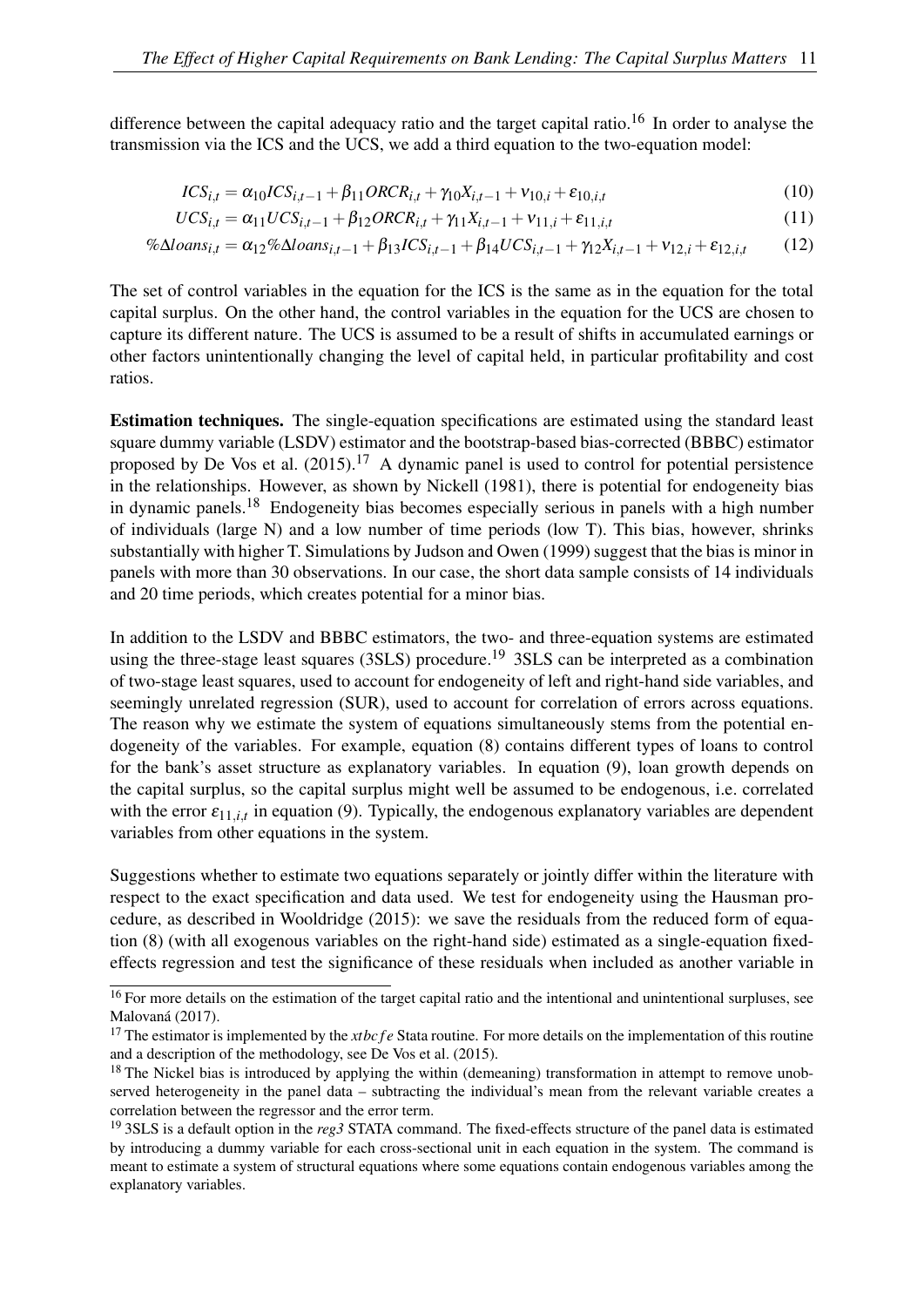difference between the capital adequacy ratio and the target capital ratio.<sup>[16](#page-12-0)</sup> In order to analyse the transmission via the ICS and the UCS, we add a third equation to the two-equation model:

<span id="page-12-5"></span><span id="page-12-4"></span>
$$
ICS_{i,t} = \alpha_{10}ICS_{i,t-1} + \beta_{11} ORCR_{i,t} + \gamma_{10}X_{i,t-1} + \nu_{10,i} + \varepsilon_{10,i,t}
$$
\n(10)

$$
UCS_{i,t} = \alpha_{11}UCS_{i,t-1} + \beta_{12}ORCR_{i,t} + \gamma_{11}X_{i,t-1} + \nu_{11,i} + \varepsilon_{11,i,t}
$$
\n(11)

$$
\% \Delta loans_{i,t} = \alpha_{12} \% \Delta loans_{i,t-1} + \beta_{13} ICS_{i,t-1} + \beta_{14} UCS_{i,t-1} + \gamma_{12} X_{i,t-1} + \nu_{12,i} + \varepsilon_{12,i,t} \tag{12}
$$

The set of control variables in the equation for the ICS is the same as in the equation for the total capital surplus. On the other hand, the control variables in the equation for the UCS are chosen to capture its different nature. The UCS is assumed to be a result of shifts in accumulated earnings or other factors unintentionally changing the level of capital held, in particular profitability and cost ratios.

Estimation techniques. The single-equation specifications are estimated using the standard least square dummy variable (LSDV) estimator and the bootstrap-based bias-corrected (BBBC) estimator proposed by [De Vos et al.](#page-35-15)  $(2015).<sup>17</sup>$  $(2015).<sup>17</sup>$  $(2015).<sup>17</sup>$  $(2015).<sup>17</sup>$  A dynamic panel is used to control for potential persistence in the relationships. However, as shown by [Nickell](#page-36-9) [\(1981\)](#page-36-9), there is potential for endogeneity bias in dynamic panels.[18](#page-12-2) Endogeneity bias becomes especially serious in panels with a high number of individuals (large N) and a low number of time periods (low T). This bias, however, shrinks substantially with higher T. Simulations by [Judson and Owen](#page-35-16) [\(1999\)](#page-35-16) suggest that the bias is minor in panels with more than 30 observations. In our case, the short data sample consists of 14 individuals and 20 time periods, which creates potential for a minor bias.

In addition to the LSDV and BBBC estimators, the two- and three-equation systems are estimated using the three-stage least squares (3SLS) procedure.<sup>[19](#page-12-3)</sup> 3SLS can be interpreted as a combination of two-stage least squares, used to account for endogeneity of left and right-hand side variables, and seemingly unrelated regression (SUR), used to account for correlation of errors across equations. The reason why we estimate the system of equations simultaneously stems from the potential endogeneity of the variables. For example, equation [\(8\)](#page-11-1) contains different types of loans to control for the bank's asset structure as explanatory variables. In equation [\(9\)](#page-11-2), loan growth depends on the capital surplus, so the capital surplus might well be assumed to be endogenous, i.e. correlated with the error  $\varepsilon_{11,i,t}$  in equation [\(9\)](#page-11-2). Typically, the endogenous explanatory variables are dependent variables from other equations in the system.

Suggestions whether to estimate two equations separately or jointly differ within the literature with respect to the exact specification and data used. We test for endogeneity using the Hausman procedure, as described in [Wooldridge](#page-36-10) [\(2015\)](#page-36-10): we save the residuals from the reduced form of equation [\(8\)](#page-11-1) (with all exogenous variables on the right-hand side) estimated as a single-equation fixedeffects regression and test the significance of these residuals when included as another variable in

<span id="page-12-0"></span> $16$  For more details on the estimation of the target capital ratio and the intentional and unintentional surpluses, see [Malovaná](#page-36-6) [\(2017\)](#page-36-6).

<span id="page-12-1"></span><sup>&</sup>lt;sup>17</sup> The estimator is implemented by the *xtbc f e* Stata routine. For more details on the implementation of this routine and a description of the methodology, see [De Vos et al.](#page-35-15) [\(2015\)](#page-35-15).

<span id="page-12-2"></span><sup>&</sup>lt;sup>18</sup> The Nickel bias is introduced by applying the within (demeaning) transformation in attempt to remove unobserved heterogeneity in the panel data – subtracting the individual's mean from the relevant variable creates a correlation between the regressor and the error term.

<span id="page-12-3"></span><sup>19</sup> 3SLS is a default option in the *reg3* STATA command. The fixed-effects structure of the panel data is estimated by introducing a dummy variable for each cross-sectional unit in each equation in the system. The command is meant to estimate a system of structural equations where some equations contain endogenous variables among the explanatory variables.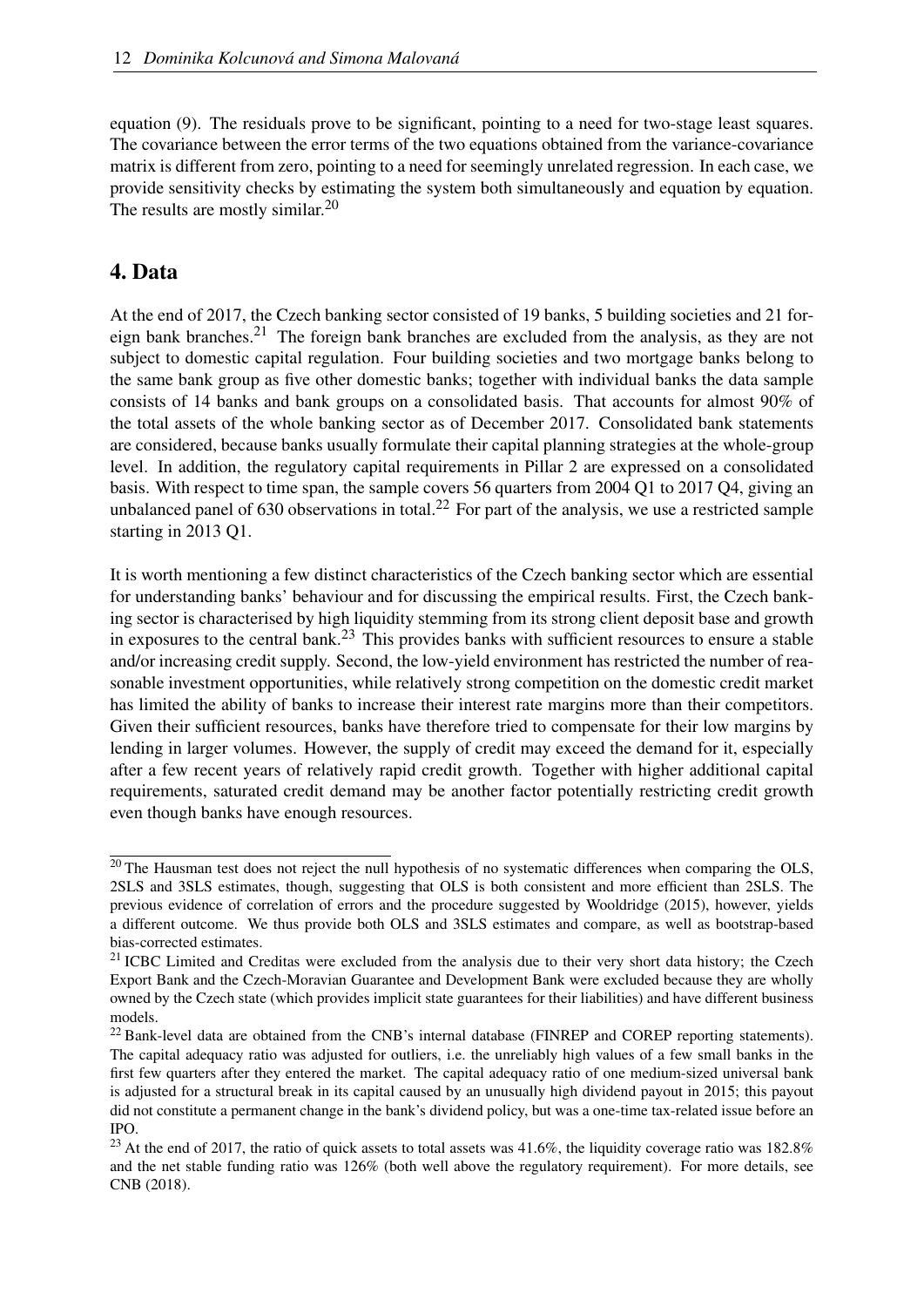equation [\(9\)](#page-11-2). The residuals prove to be significant, pointing to a need for two-stage least squares. The covariance between the error terms of the two equations obtained from the variance-covariance matrix is different from zero, pointing to a need for seemingly unrelated regression. In each case, we provide sensitivity checks by estimating the system both simultaneously and equation by equation. The results are mostly similar.<sup>[20](#page-13-1)</sup>

## <span id="page-13-0"></span>4. Data

At the end of 2017, the Czech banking sector consisted of 19 banks, 5 building societies and 21 for-eign bank branches.<sup>[21](#page-13-2)</sup> The foreign bank branches are excluded from the analysis, as they are not subject to domestic capital regulation. Four building societies and two mortgage banks belong to the same bank group as five other domestic banks; together with individual banks the data sample consists of 14 banks and bank groups on a consolidated basis. That accounts for almost 90% of the total assets of the whole banking sector as of December 2017. Consolidated bank statements are considered, because banks usually formulate their capital planning strategies at the whole-group level. In addition, the regulatory capital requirements in Pillar 2 are expressed on a consolidated basis. With respect to time span, the sample covers 56 quarters from 2004 Q1 to 2017 Q4, giving an unbalanced panel of  $630$  observations in total.<sup>[22](#page-13-3)</sup> For part of the analysis, we use a restricted sample starting in 2013 Q1.

It is worth mentioning a few distinct characteristics of the Czech banking sector which are essential for understanding banks' behaviour and for discussing the empirical results. First, the Czech banking sector is characterised by high liquidity stemming from its strong client deposit base and growth in exposures to the central bank.<sup>[23](#page-13-4)</sup> This provides banks with sufficient resources to ensure a stable and/or increasing credit supply. Second, the low-yield environment has restricted the number of reasonable investment opportunities, while relatively strong competition on the domestic credit market has limited the ability of banks to increase their interest rate margins more than their competitors. Given their sufficient resources, banks have therefore tried to compensate for their low margins by lending in larger volumes. However, the supply of credit may exceed the demand for it, especially after a few recent years of relatively rapid credit growth. Together with higher additional capital requirements, saturated credit demand may be another factor potentially restricting credit growth even though banks have enough resources.

<span id="page-13-1"></span> $20$  The Hausman test does not reject the null hypothesis of no systematic differences when comparing the OLS, 2SLS and 3SLS estimates, though, suggesting that OLS is both consistent and more efficient than 2SLS. The previous evidence of correlation of errors and the procedure suggested by [Wooldridge](#page-36-10) [\(2015\)](#page-36-10), however, yields a different outcome. We thus provide both OLS and 3SLS estimates and compare, as well as bootstrap-based bias-corrected estimates.

<span id="page-13-2"></span><sup>&</sup>lt;sup>21</sup> ICBC Limited and Creditas were excluded from the analysis due to their very short data history; the Czech Export Bank and the Czech-Moravian Guarantee and Development Bank were excluded because they are wholly owned by the Czech state (which provides implicit state guarantees for their liabilities) and have different business models.

<span id="page-13-3"></span><sup>&</sup>lt;sup>22</sup> Bank-level data are obtained from the CNB's internal database (FINREP and COREP reporting statements). The capital adequacy ratio was adjusted for outliers, i.e. the unreliably high values of a few small banks in the first few quarters after they entered the market. The capital adequacy ratio of one medium-sized universal bank is adjusted for a structural break in its capital caused by an unusually high dividend payout in 2015; this payout did not constitute a permanent change in the bank's dividend policy, but was a one-time tax-related issue before an IPO.

<span id="page-13-4"></span> $23$  At the end of 2017, the ratio of quick assets to total assets was 41.6%, the liquidity coverage ratio was 182.8% and the net stable funding ratio was 126% (both well above the regulatory requirement). For more details, see [CNB](#page-35-2) [\(2018\)](#page-35-2).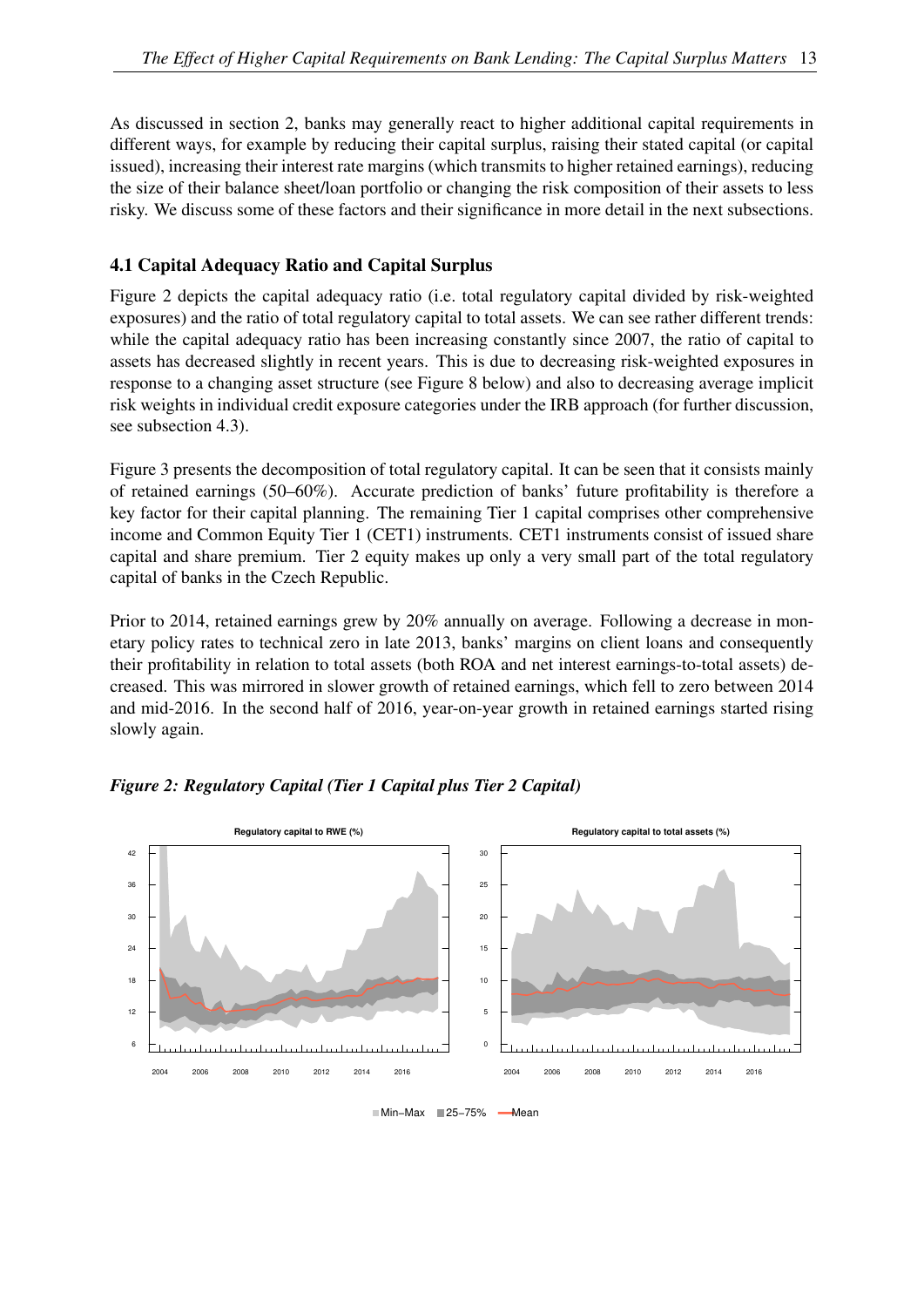As discussed in section [2,](#page-4-0) banks may generally react to higher additional capital requirements in different ways, for example by reducing their capital surplus, raising their stated capital (or capital issued), increasing their interest rate margins (which transmits to higher retained earnings), reducing the size of their balance sheet/loan portfolio or changing the risk composition of their assets to less risky. We discuss some of these factors and their significance in more detail in the next subsections.

#### 4.1 Capital Adequacy Ratio and Capital Surplus

Figure [2](#page-14-0) depicts the capital adequacy ratio (i.e. total regulatory capital divided by risk-weighted exposures) and the ratio of total regulatory capital to total assets. We can see rather different trends: while the capital adequacy ratio has been increasing constantly since 2007, the ratio of capital to assets has decreased slightly in recent years. This is due to decreasing risk-weighted exposures in response to a changing asset structure (see Figure [8](#page-18-0) below) and also to decreasing average implicit risk weights in individual credit exposure categories under the IRB approach (for further discussion, see subsection [4.3\)](#page-20-0).

Figure [3](#page-15-0) presents the decomposition of total regulatory capital. It can be seen that it consists mainly of retained earnings (50–60%). Accurate prediction of banks' future profitability is therefore a key factor for their capital planning. The remaining Tier 1 capital comprises other comprehensive income and Common Equity Tier 1 (CET1) instruments. CET1 instruments consist of issued share capital and share premium. Tier 2 equity makes up only a very small part of the total regulatory capital of banks in the Czech Republic.

Prior to 2014, retained earnings grew by 20% annually on average. Following a decrease in monetary policy rates to technical zero in late 2013, banks' margins on client loans and consequently their profitability in relation to total assets (both ROA and net interest earnings-to-total assets) decreased. This was mirrored in slower growth of retained earnings, which fell to zero between 2014 and mid-2016. In the second half of 2016, year-on-year growth in retained earnings started rising slowly again.



<span id="page-14-0"></span>*Figure 2: Regulatory Capital (Tier 1 Capital plus Tier 2 Capital)*

■Min–Max ■25–75% – Mean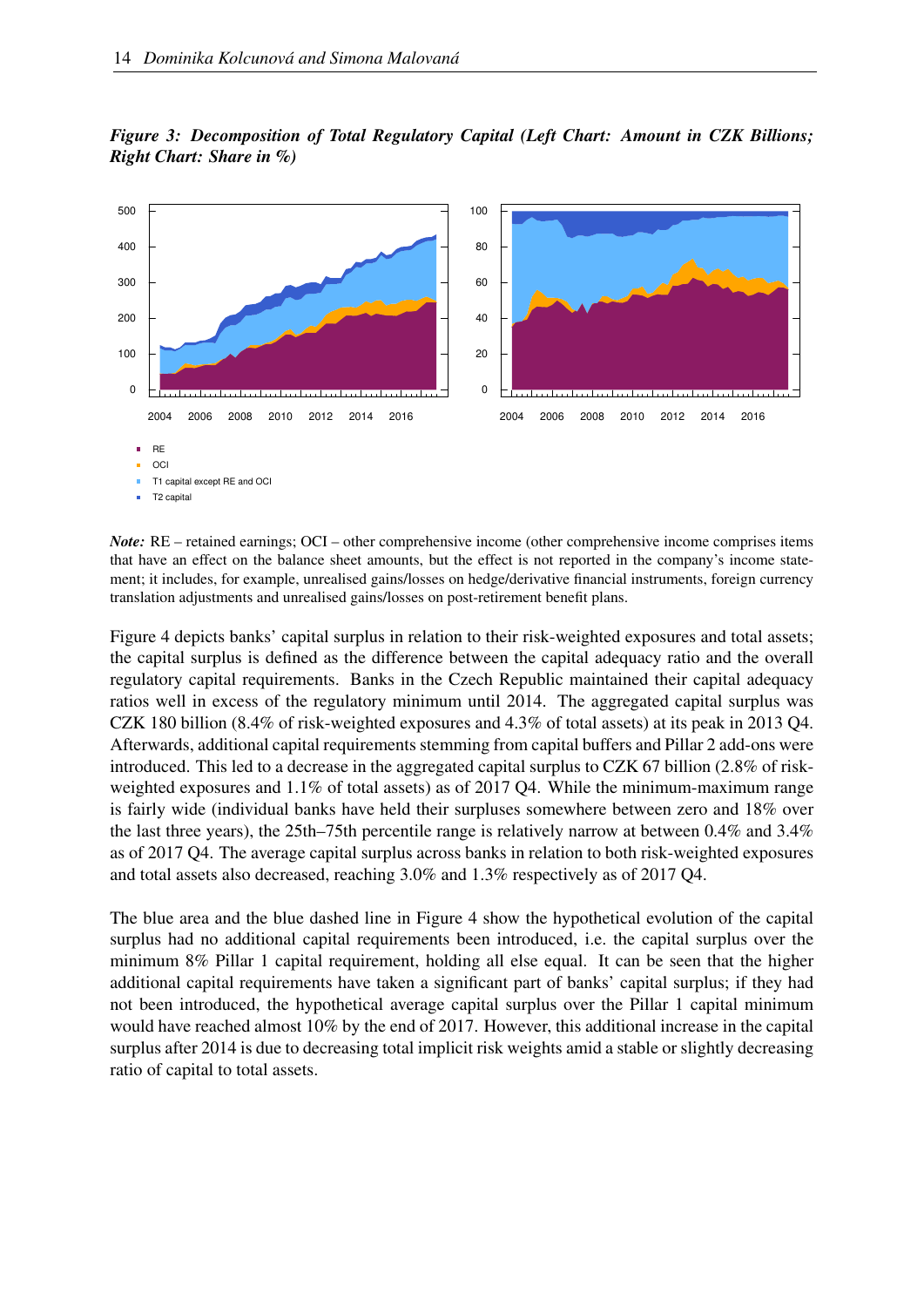

<span id="page-15-0"></span>



T2 capital  $\mathbf{r}$ 

*Note:* RE – retained earnings; OCI – other comprehensive income (other comprehensive income comprises items that have an effect on the balance sheet amounts, but the effect is not reported in the company's income statement; it includes, for example, unrealised gains/losses on hedge/derivative financial instruments, foreign currency translation adjustments and unrealised gains/losses on post-retirement benefit plans.

Figure [4](#page-16-0) depicts banks' capital surplus in relation to their risk-weighted exposures and total assets; the capital surplus is defined as the difference between the capital adequacy ratio and the overall regulatory capital requirements. Banks in the Czech Republic maintained their capital adequacy ratios well in excess of the regulatory minimum until 2014. The aggregated capital surplus was CZK 180 billion (8.4% of risk-weighted exposures and 4.3% of total assets) at its peak in 2013 Q4. Afterwards, additional capital requirements stemming from capital buffers and Pillar 2 add-ons were introduced. This led to a decrease in the aggregated capital surplus to CZK 67 billion (2.8% of riskweighted exposures and 1.1% of total assets) as of 2017 Q4. While the minimum-maximum range is fairly wide (individual banks have held their surpluses somewhere between zero and 18% over the last three years), the 25th–75th percentile range is relatively narrow at between 0.4% and 3.4% as of 2017 Q4. The average capital surplus across banks in relation to both risk-weighted exposures and total assets also decreased, reaching 3.0% and 1.3% respectively as of 2017 Q4.

The blue area and the blue dashed line in Figure [4](#page-16-0) show the hypothetical evolution of the capital surplus had no additional capital requirements been introduced, i.e. the capital surplus over the minimum 8% Pillar 1 capital requirement, holding all else equal. It can be seen that the higher additional capital requirements have taken a significant part of banks' capital surplus; if they had not been introduced, the hypothetical average capital surplus over the Pillar 1 capital minimum would have reached almost 10% by the end of 2017. However, this additional increase in the capital surplus after 2014 is due to decreasing total implicit risk weights amid a stable or slightly decreasing ratio of capital to total assets.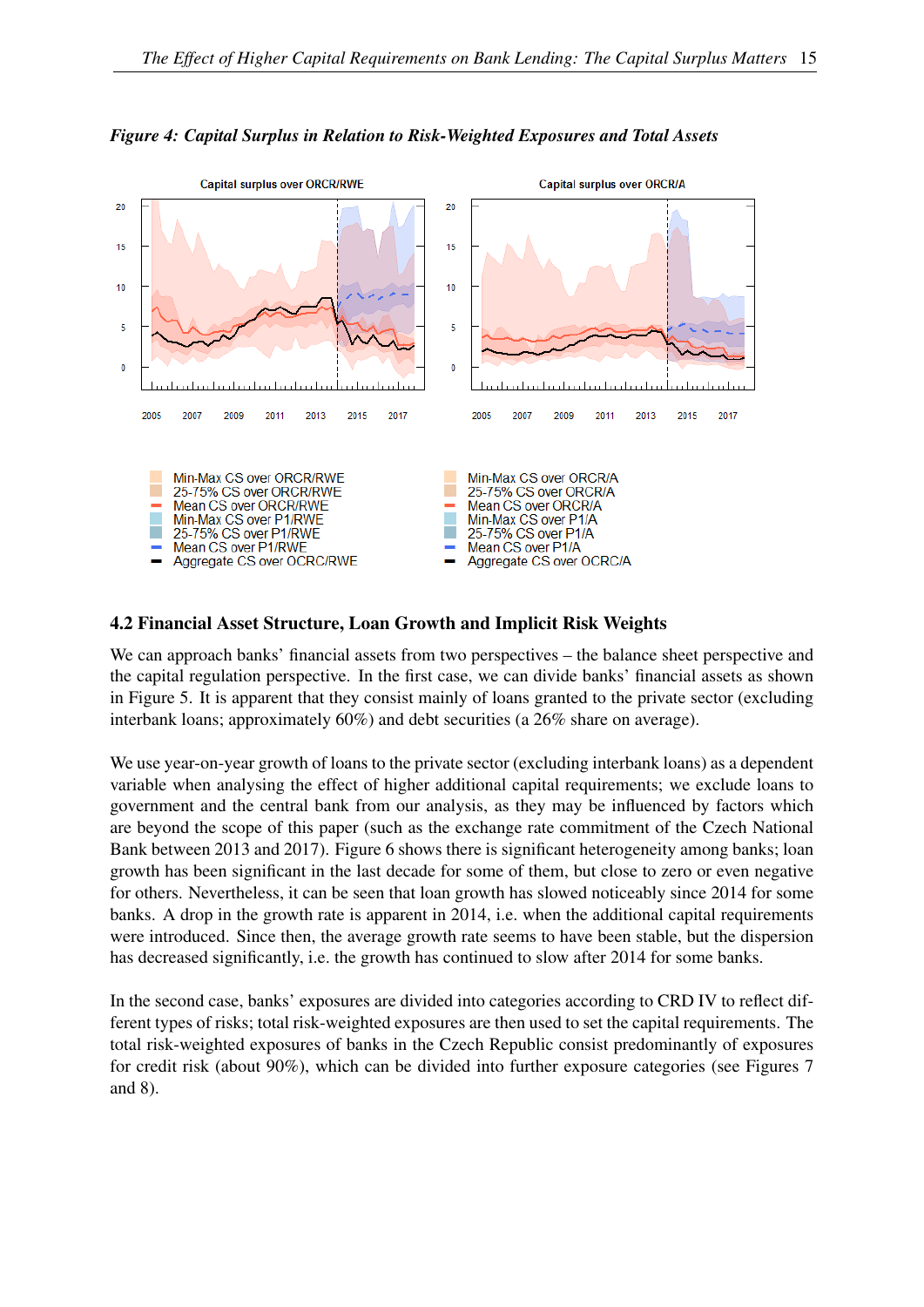

#### <span id="page-16-0"></span>*Figure 4: Capital Surplus in Relation to Risk-Weighted Exposures and Total Assets*

#### 4.2 Financial Asset Structure, Loan Growth and Implicit Risk Weights

We can approach banks' financial assets from two perspectives – the balance sheet perspective and the capital regulation perspective. In the first case, we can divide banks' financial assets as shown in Figure [5.](#page-17-0) It is apparent that they consist mainly of loans granted to the private sector (excluding interbank loans; approximately 60%) and debt securities (a 26% share on average).

We use year-on-year growth of loans to the private sector (excluding interbank loans) as a dependent variable when analysing the effect of higher additional capital requirements; we exclude loans to government and the central bank from our analysis, as they may be influenced by factors which are beyond the scope of this paper (such as the exchange rate commitment of the Czech National Bank between 2013 and 2017). Figure [6](#page-17-1) shows there is significant heterogeneity among banks; loan growth has been significant in the last decade for some of them, but close to zero or even negative for others. Nevertheless, it can be seen that loan growth has slowed noticeably since 2014 for some banks. A drop in the growth rate is apparent in 2014, i.e. when the additional capital requirements were introduced. Since then, the average growth rate seems to have been stable, but the dispersion has decreased significantly, i.e. the growth has continued to slow after 2014 for some banks.

In the second case, banks' exposures are divided into categories according to CRD IV to reflect different types of risks; total risk-weighted exposures are then used to set the capital requirements. The total risk-weighted exposures of banks in the Czech Republic consist predominantly of exposures for credit risk (about 90%), which can be divided into further exposure categories (see Figures [7](#page-18-1) and [8\)](#page-18-0).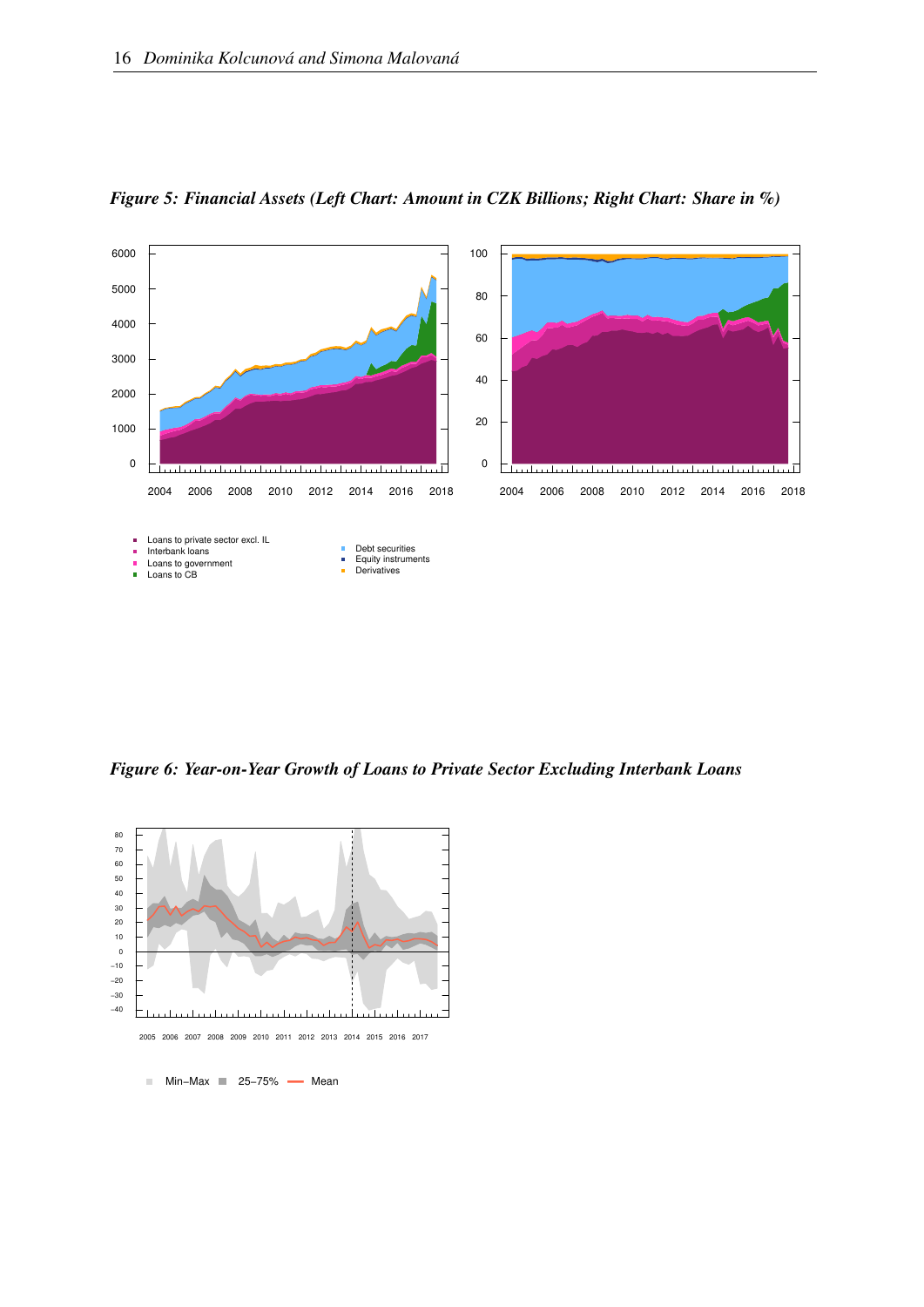

<span id="page-17-0"></span>*Figure 5: Financial Assets (Left Chart: Amount in CZK Billions; Right Chart: Share in %)*

<span id="page-17-1"></span>*Figure 6: Year-on-Year Growth of Loans to Private Sector Excluding Interbank Loans*



2005 2006 2007 2008 2009 2010 2011 2012 2013 2014 2015 2016 2017

■ Min–Max ■ 25–75% — Mean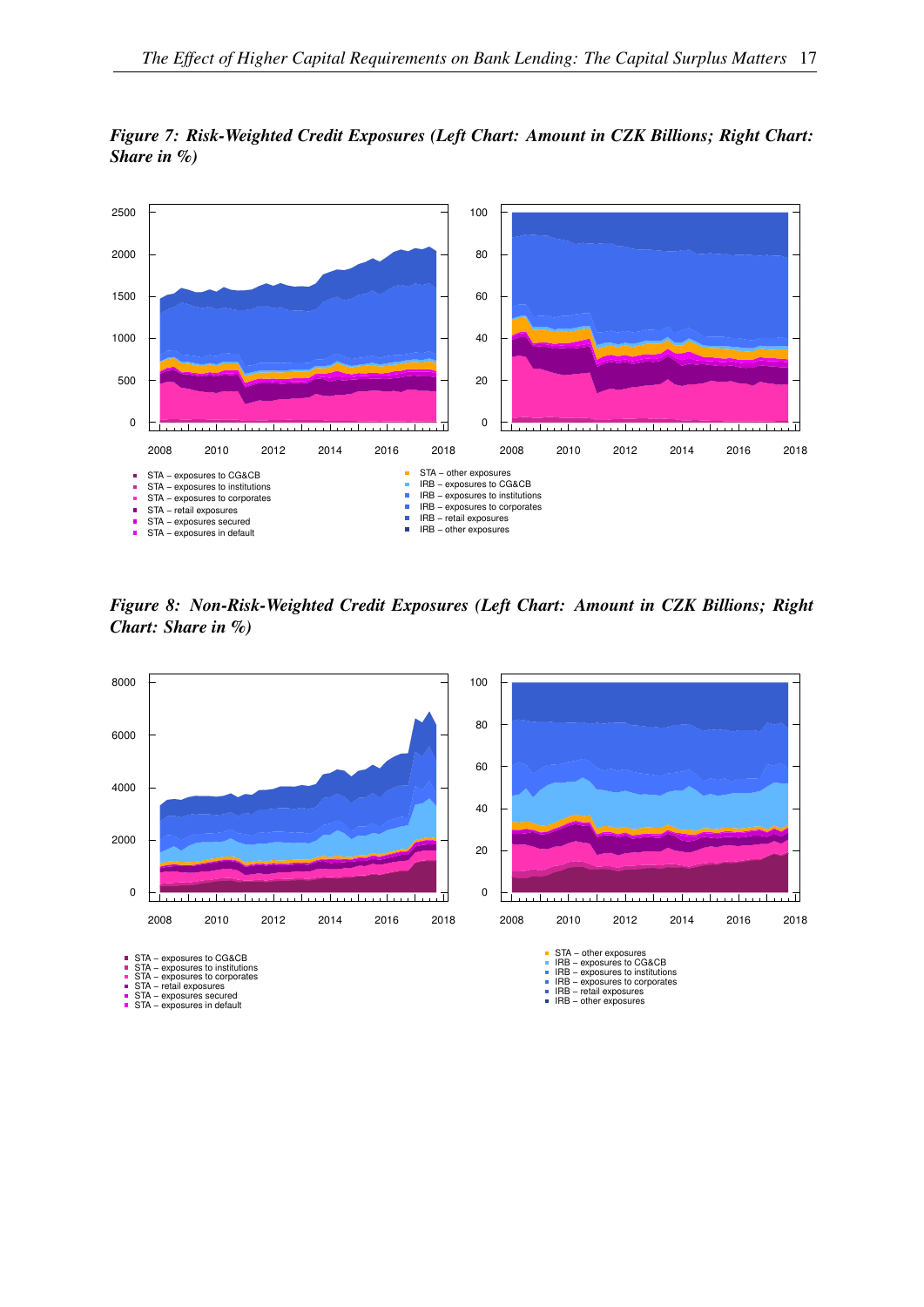<span id="page-18-1"></span>



<span id="page-18-0"></span>*Figure 8: Non-Risk-Weighted Credit Exposures (Left Chart: Amount in CZK Billions; Right Chart: Share in %)*

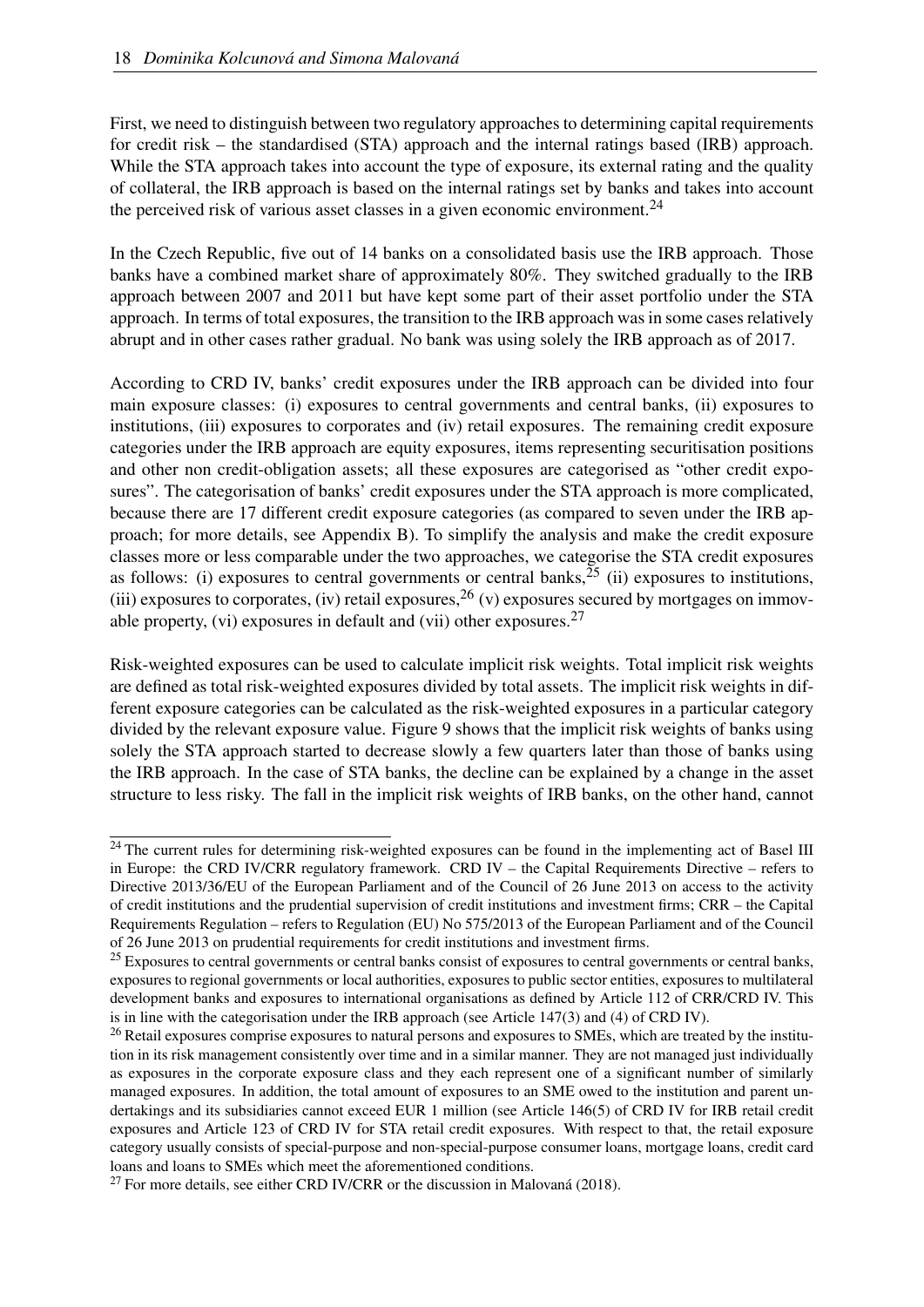First, we need to distinguish between two regulatory approaches to determining capital requirements for credit risk – the standardised (STA) approach and the internal ratings based (IRB) approach. While the STA approach takes into account the type of exposure, its external rating and the quality of collateral, the IRB approach is based on the internal ratings set by banks and takes into account the perceived risk of various asset classes in a given economic environment.<sup>[24](#page-19-0)</sup>

In the Czech Republic, five out of 14 banks on a consolidated basis use the IRB approach. Those banks have a combined market share of approximately 80%. They switched gradually to the IRB approach between 2007 and 2011 but have kept some part of their asset portfolio under the STA approach. In terms of total exposures, the transition to the IRB approach was in some cases relatively abrupt and in other cases rather gradual. No bank was using solely the IRB approach as of 2017.

According to CRD IV, banks' credit exposures under the IRB approach can be divided into four main exposure classes: (i) exposures to central governments and central banks, (ii) exposures to institutions, (iii) exposures to corporates and (iv) retail exposures. The remaining credit exposure categories under the IRB approach are equity exposures, items representing securitisation positions and other non credit-obligation assets; all these exposures are categorised as "other credit exposures". The categorisation of banks' credit exposures under the STA approach is more complicated, because there are 17 different credit exposure categories (as compared to seven under the IRB approach; for more details, see Appendix [B\)](#page-38-0). To simplify the analysis and make the credit exposure classes more or less comparable under the two approaches, we categorise the STA credit exposures as follows: (i) exposures to central governments or central banks,  $25$  (ii) exposures to institutions, (iii) exposures to corporates, (iv) retail exposures,  $^{26}$  $^{26}$  $^{26}$  (v) exposures secured by mortgages on immovable property, (vi) exposures in default and (vii) other exposures.  $27$ 

Risk-weighted exposures can be used to calculate implicit risk weights. Total implicit risk weights are defined as total risk-weighted exposures divided by total assets. The implicit risk weights in different exposure categories can be calculated as the risk-weighted exposures in a particular category divided by the relevant exposure value. Figure [9](#page-20-1) shows that the implicit risk weights of banks using solely the STA approach started to decrease slowly a few quarters later than those of banks using the IRB approach. In the case of STA banks, the decline can be explained by a change in the asset structure to less risky. The fall in the implicit risk weights of IRB banks, on the other hand, cannot

<span id="page-19-0"></span><sup>&</sup>lt;sup>24</sup> The current rules for determining risk-weighted exposures can be found in the implementing act of Basel III in Europe: the CRD IV/CRR regulatory framework. CRD IV – the Capital Requirements Directive – refers to Directive 2013/36/EU of the European Parliament and of the Council of 26 June 2013 on access to the activity of credit institutions and the prudential supervision of credit institutions and investment firms; CRR – the Capital Requirements Regulation – refers to Regulation (EU) No 575/2013 of the European Parliament and of the Council of 26 June 2013 on prudential requirements for credit institutions and investment firms.

<span id="page-19-1"></span> $^{25}$  Exposures to central governments or central banks consist of exposures to central governments or central banks, exposures to regional governments or local authorities, exposures to public sector entities, exposures to multilateral development banks and exposures to international organisations as defined by Article 112 of CRR/CRD IV. This is in line with the categorisation under the IRB approach (see Article 147(3) and (4) of CRD IV).

<span id="page-19-2"></span><sup>&</sup>lt;sup>26</sup> Retail exposures comprise exposures to natural persons and exposures to SMEs, which are treated by the institution in its risk management consistently over time and in a similar manner. They are not managed just individually as exposures in the corporate exposure class and they each represent one of a significant number of similarly managed exposures. In addition, the total amount of exposures to an SME owed to the institution and parent undertakings and its subsidiaries cannot exceed EUR 1 million (see Article 146(5) of CRD IV for IRB retail credit exposures and Article 123 of CRD IV for STA retail credit exposures. With respect to that, the retail exposure category usually consists of special-purpose and non-special-purpose consumer loans, mortgage loans, credit card loans and loans to SMEs which meet the aforementioned conditions.

<span id="page-19-3"></span> $^{27}$  For more details, see either CRD IV/CRR or the discussion in [Malovaná](#page-36-11) [\(2018\)](#page-36-11).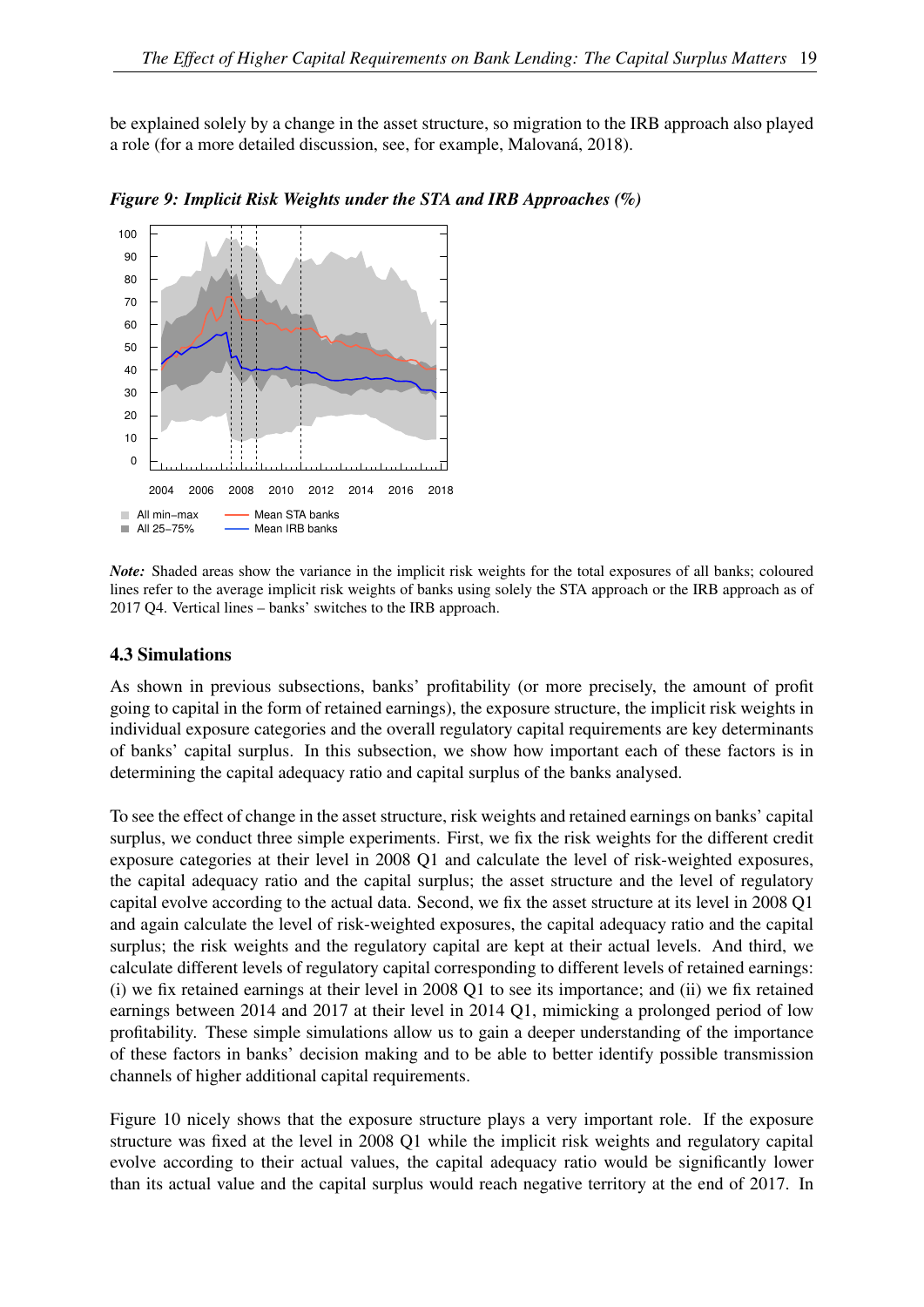be explained solely by a change in the asset structure, so migration to the IRB approach also played a role (for a more detailed discussion, see, for example, [Malovaná, 2018\)](#page-36-11).



<span id="page-20-1"></span>*Figure 9: Implicit Risk Weights under the STA and IRB Approaches (%)*

*Note:* Shaded areas show the variance in the implicit risk weights for the total exposures of all banks; coloured lines refer to the average implicit risk weights of banks using solely the STA approach or the IRB approach as of 2017 Q4. Vertical lines – banks' switches to the IRB approach.

#### <span id="page-20-0"></span>4.3 Simulations

As shown in previous subsections, banks' profitability (or more precisely, the amount of profit going to capital in the form of retained earnings), the exposure structure, the implicit risk weights in individual exposure categories and the overall regulatory capital requirements are key determinants of banks' capital surplus. In this subsection, we show how important each of these factors is in determining the capital adequacy ratio and capital surplus of the banks analysed.

To see the effect of change in the asset structure, risk weights and retained earnings on banks' capital surplus, we conduct three simple experiments. First, we fix the risk weights for the different credit exposure categories at their level in 2008 Q1 and calculate the level of risk-weighted exposures, the capital adequacy ratio and the capital surplus; the asset structure and the level of regulatory capital evolve according to the actual data. Second, we fix the asset structure at its level in 2008 Q1 and again calculate the level of risk-weighted exposures, the capital adequacy ratio and the capital surplus; the risk weights and the regulatory capital are kept at their actual levels. And third, we calculate different levels of regulatory capital corresponding to different levels of retained earnings: (i) we fix retained earnings at their level in 2008 Q1 to see its importance; and (ii) we fix retained earnings between 2014 and 2017 at their level in 2014 Q1, mimicking a prolonged period of low profitability. These simple simulations allow us to gain a deeper understanding of the importance of these factors in banks' decision making and to be able to better identify possible transmission channels of higher additional capital requirements.

Figure [10](#page-21-0) nicely shows that the exposure structure plays a very important role. If the exposure structure was fixed at the level in 2008 Q1 while the implicit risk weights and regulatory capital evolve according to their actual values, the capital adequacy ratio would be significantly lower than its actual value and the capital surplus would reach negative territory at the end of 2017. In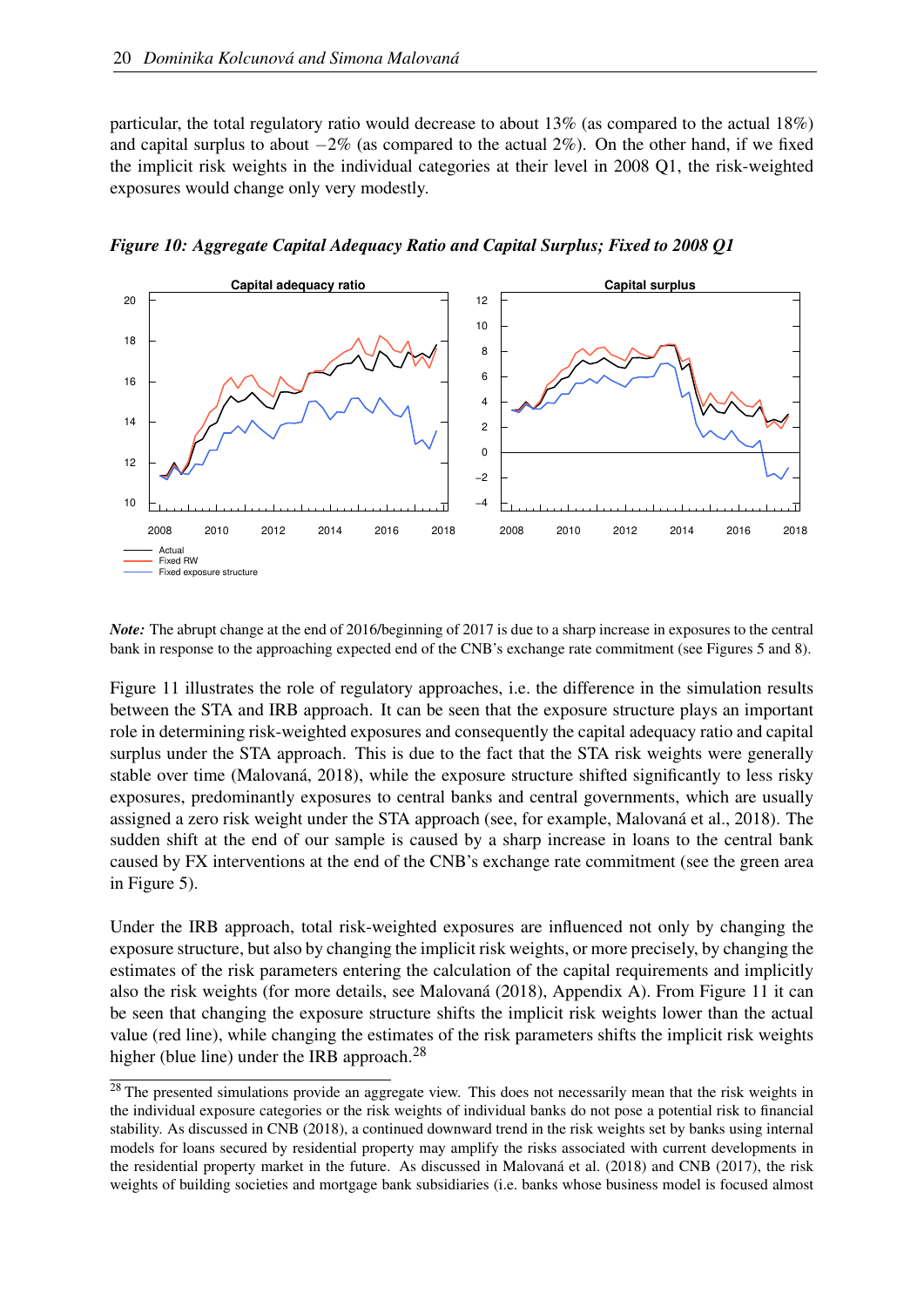particular, the total regulatory ratio would decrease to about 13% (as compared to the actual 18%) and capital surplus to about  $-2\%$  (as compared to the actual  $2\%$ ). On the other hand, if we fixed the implicit risk weights in the individual categories at their level in 2008 Q1, the risk-weighted exposures would change only very modestly.



<span id="page-21-0"></span>*Figure 10: Aggregate Capital Adequacy Ratio and Capital Surplus; Fixed to 2008 Q1*

*Note:* The abrupt change at the end of 2016/beginning of 2017 is due to a sharp increase in exposures to the central bank in response to the approaching expected end of the CNB's exchange rate commitment (see Figures [5](#page-17-0) and [8\)](#page-18-0).

Figure [11](#page-22-0) illustrates the role of regulatory approaches, i.e. the difference in the simulation results between the STA and IRB approach. It can be seen that the exposure structure plays an important role in determining risk-weighted exposures and consequently the capital adequacy ratio and capital surplus under the STA approach. This is due to the fact that the STA risk weights were generally stable over time [\(Malovaná, 2018\)](#page-36-11), while the exposure structure shifted significantly to less risky exposures, predominantly exposures to central banks and central governments, which are usually assigned a zero risk weight under the STA approach (see, for example, [Malovaná et al., 2018\)](#page-36-12). The sudden shift at the end of our sample is caused by a sharp increase in loans to the central bank caused by FX interventions at the end of the CNB's exchange rate commitment (see the green area in Figure [5\)](#page-17-0).

Under the IRB approach, total risk-weighted exposures are influenced not only by changing the exposure structure, but also by changing the implicit risk weights, or more precisely, by changing the estimates of the risk parameters entering the calculation of the capital requirements and implicitly also the risk weights (for more details, see [Malovaná](#page-36-11) [\(2018\)](#page-36-11), Appendix A). From Figure [11](#page-22-0) it can be seen that changing the exposure structure shifts the implicit risk weights lower than the actual value (red line), while changing the estimates of the risk parameters shifts the implicit risk weights higher (blue line) under the IRB approach.<sup>[28](#page-21-1)</sup>

<span id="page-21-1"></span><sup>&</sup>lt;sup>28</sup> The presented simulations provide an aggregate view. This does not necessarily mean that the risk weights in the individual exposure categories or the risk weights of individual banks do not pose a potential risk to financial stability. As discussed in [CNB](#page-35-2) [\(2018\)](#page-35-2), a continued downward trend in the risk weights set by banks using internal models for loans secured by residential property may amplify the risks associated with current developments in the residential property market in the future. As discussed in [Malovaná et al.](#page-36-12) [\(2018\)](#page-36-12) and [CNB](#page-34-16) [\(2017\)](#page-34-16), the risk weights of building societies and mortgage bank subsidiaries (i.e. banks whose business model is focused almost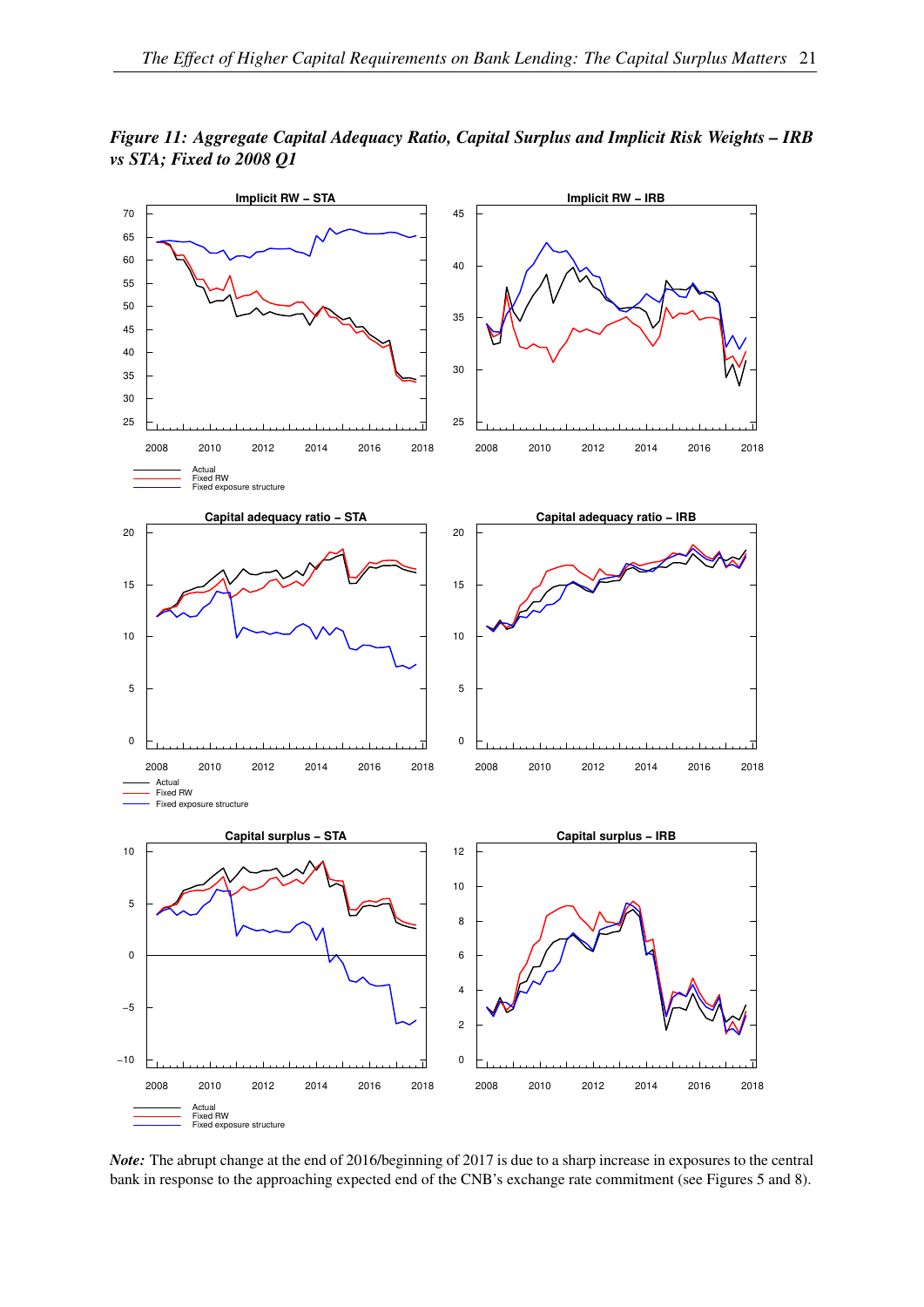

<span id="page-22-0"></span>*Figure 11: Aggregate Capital Adequacy Ratio, Capital Surplus and Implicit Risk Weights – IRB vs STA; Fixed to 2008 Q1*

*Note:* The abrupt change at the end of 2016/beginning of 2017 is due to a sharp increase in exposures to the central bank in response to the approaching expected end of the CNB's exchange rate commitment (see Figures [5](#page-17-0) and [8\)](#page-18-0).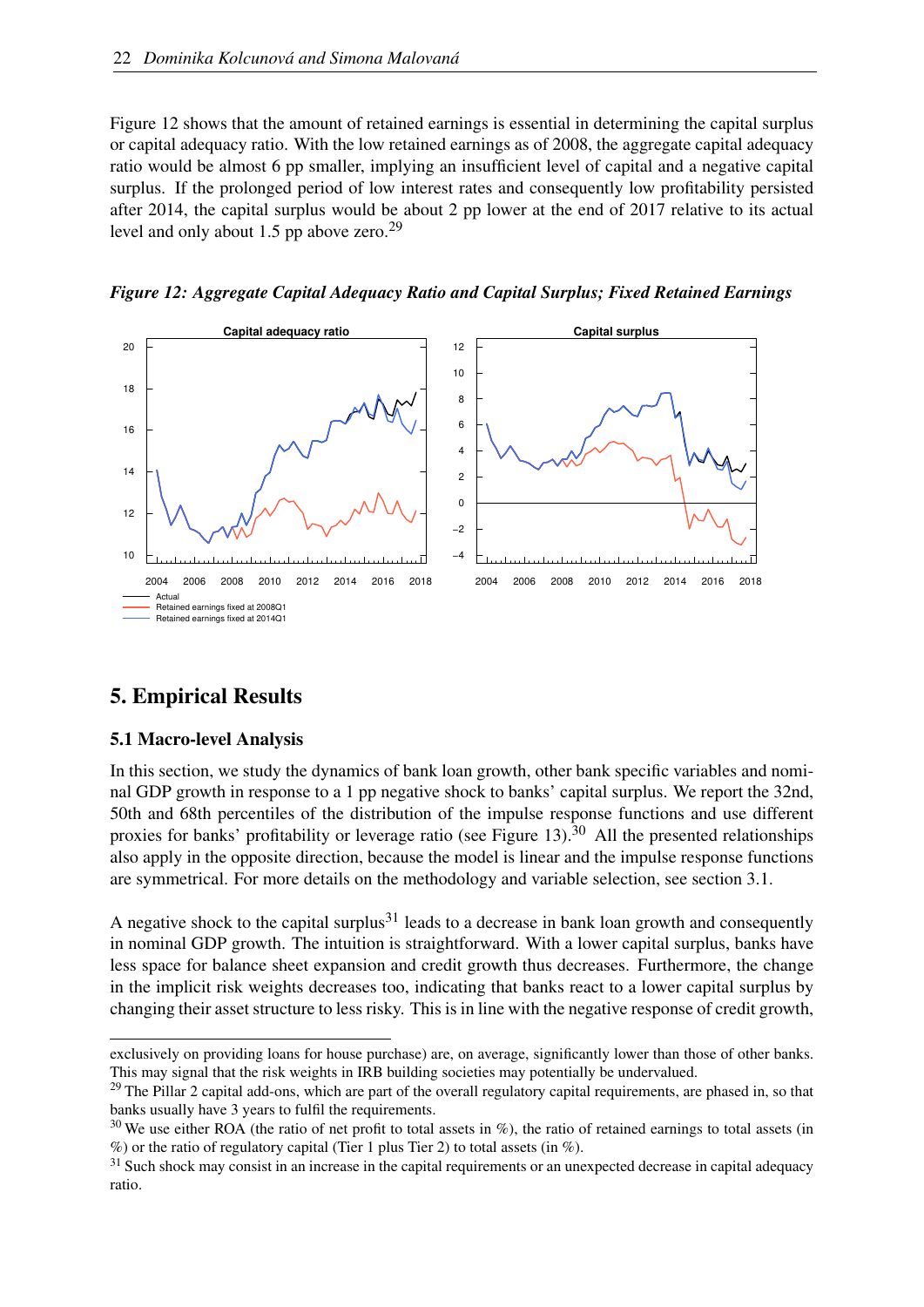Figure [12](#page-23-1) shows that the amount of retained earnings is essential in determining the capital surplus or capital adequacy ratio. With the low retained earnings as of 2008, the aggregate capital adequacy ratio would be almost 6 pp smaller, implying an insufficient level of capital and a negative capital surplus. If the prolonged period of low interest rates and consequently low profitability persisted after 2014, the capital surplus would be about 2 pp lower at the end of 2017 relative to its actual level and only about 1.5 pp above zero.<sup>[29](#page-23-2)</sup>



<span id="page-23-1"></span>

## <span id="page-23-5"></span><span id="page-23-0"></span>5. Empirical Results

#### 5.1 Macro-level Analysis

In this section, we study the dynamics of bank loan growth, other bank specific variables and nominal GDP growth in response to a 1 pp negative shock to banks' capital surplus. We report the 32nd, 50th and 68th percentiles of the distribution of the impulse response functions and use different proxies for banks' profitability or leverage ratio (see Figure [13\)](#page-24-0).<sup>[30](#page-23-3)</sup> All the presented relationships also apply in the opposite direction, because the model is linear and the impulse response functions are symmetrical. For more details on the methodology and variable selection, see section [3.1.](#page-8-3)

A negative shock to the capital surplus<sup>[31](#page-23-4)</sup> leads to a decrease in bank loan growth and consequently in nominal GDP growth. The intuition is straightforward. With a lower capital surplus, banks have less space for balance sheet expansion and credit growth thus decreases. Furthermore, the change in the implicit risk weights decreases too, indicating that banks react to a lower capital surplus by changing their asset structure to less risky. This is in line with the negative response of credit growth,

exclusively on providing loans for house purchase) are, on average, significantly lower than those of other banks. This may signal that the risk weights in IRB building societies may potentially be undervalued.

<span id="page-23-2"></span><sup>&</sup>lt;sup>29</sup> The Pillar 2 capital add-ons, which are part of the overall regulatory capital requirements, are phased in, so that banks usually have 3 years to fulfil the requirements.

<span id="page-23-3"></span> $30$  We use either ROA (the ratio of net profit to total assets in %), the ratio of retained earnings to total assets (in  $\%$ ) or the ratio of regulatory capital (Tier 1 plus Tier 2) to total assets (in  $\%$ ).

<span id="page-23-4"></span><sup>&</sup>lt;sup>31</sup> Such shock may consist in an increase in the capital requirements or an unexpected decrease in capital adequacy ratio.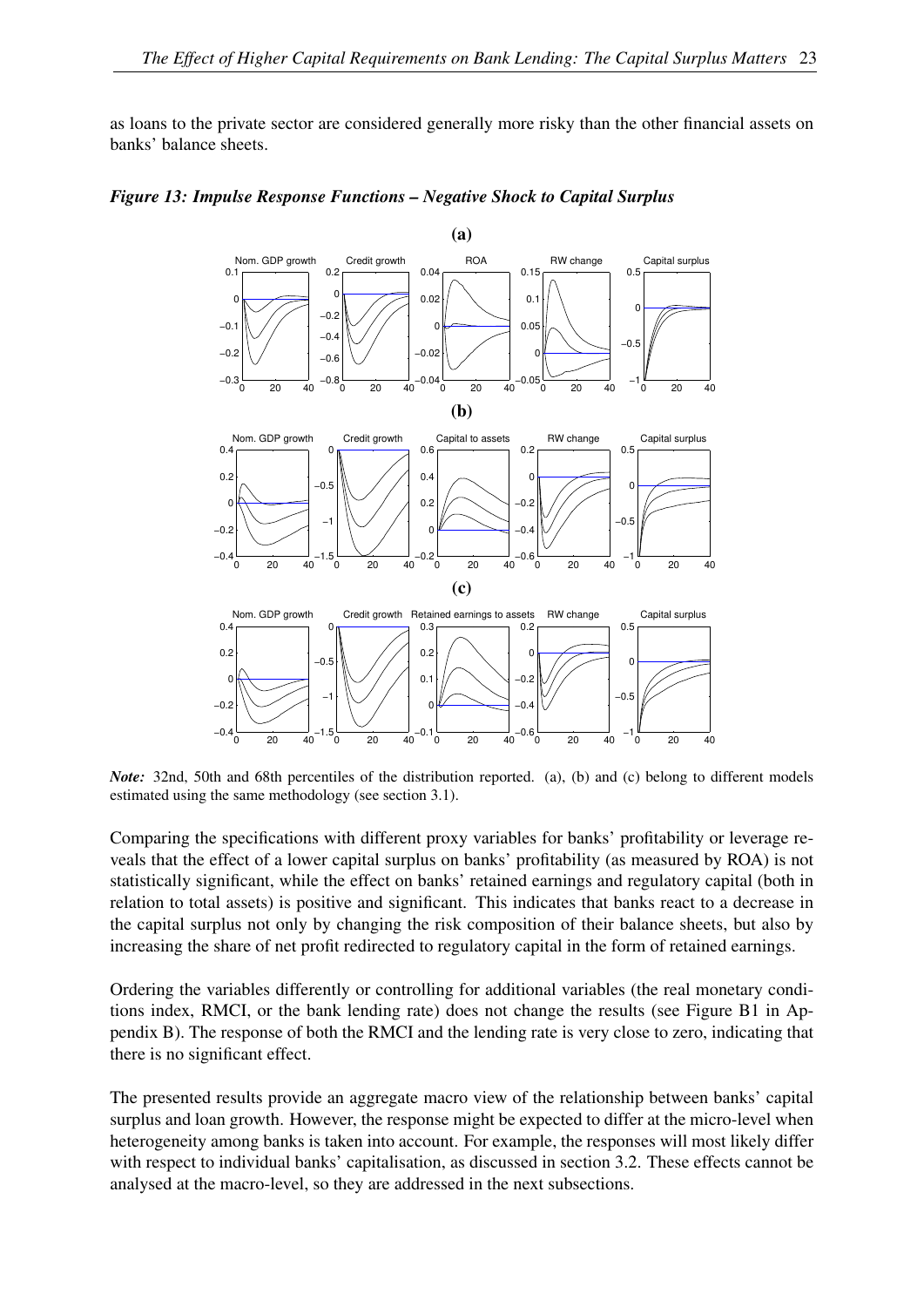as loans to the private sector are considered generally more risky than the other financial assets on banks' balance sheets.

<span id="page-24-0"></span>

*Figure 13: Impulse Response Functions – Negative Shock to Capital Surplus*

*Note:* 32nd, 50th and 68th percentiles of the distribution reported. (a), (b) and (c) belong to different models estimated using the same methodology (see section [3.1\)](#page-8-3).

Comparing the specifications with different proxy variables for banks' profitability or leverage reveals that the effect of a lower capital surplus on banks' profitability (as measured by ROA) is not statistically significant, while the effect on banks' retained earnings and regulatory capital (both in relation to total assets) is positive and significant. This indicates that banks react to a decrease in the capital surplus not only by changing the risk composition of their balance sheets, but also by increasing the share of net profit redirected to regulatory capital in the form of retained earnings.

Ordering the variables differently or controlling for additional variables (the real monetary conditions index, RMCI, or the bank lending rate) does not change the results (see Figure [B1](#page-7-0) in Appendix [B\)](#page-38-0). The response of both the RMCI and the lending rate is very close to zero, indicating that there is no significant effect.

The presented results provide an aggregate macro view of the relationship between banks' capital surplus and loan growth. However, the response might be expected to differ at the micro-level when heterogeneity among banks is taken into account. For example, the responses will most likely differ with respect to individual banks' capitalisation, as discussed in section [3.2.](#page-9-1) These effects cannot be analysed at the macro-level, so they are addressed in the next subsections.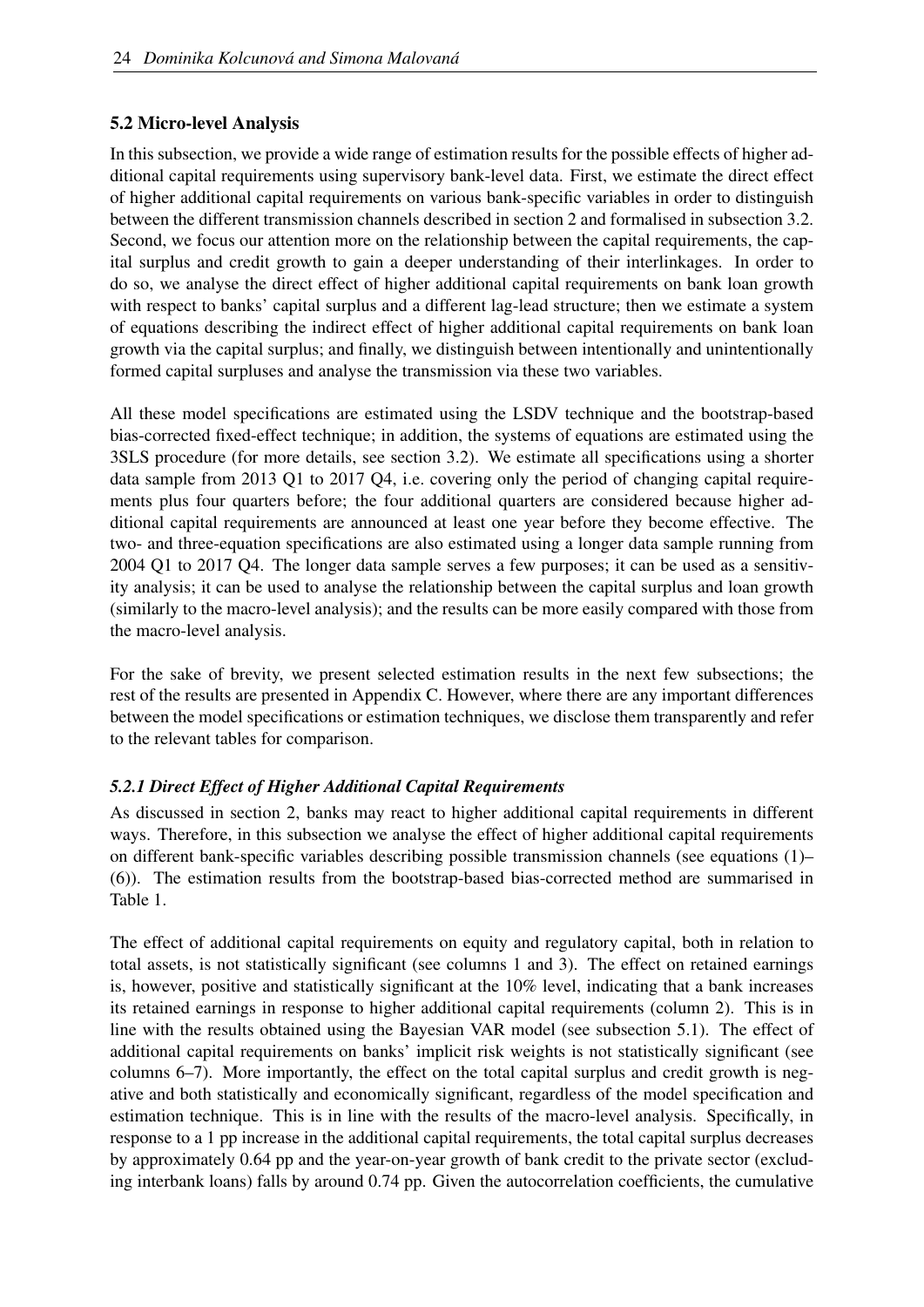#### 5.2 Micro-level Analysis

In this subsection, we provide a wide range of estimation results for the possible effects of higher additional capital requirements using supervisory bank-level data. First, we estimate the direct effect of higher additional capital requirements on various bank-specific variables in order to distinguish between the different transmission channels described in section [2](#page-4-0) and formalised in subsection [3.2.](#page-9-1) Second, we focus our attention more on the relationship between the capital requirements, the capital surplus and credit growth to gain a deeper understanding of their interlinkages. In order to do so, we analyse the direct effect of higher additional capital requirements on bank loan growth with respect to banks' capital surplus and a different lag-lead structure; then we estimate a system of equations describing the indirect effect of higher additional capital requirements on bank loan growth via the capital surplus; and finally, we distinguish between intentionally and unintentionally formed capital surpluses and analyse the transmission via these two variables.

All these model specifications are estimated using the LSDV technique and the bootstrap-based bias-corrected fixed-effect technique; in addition, the systems of equations are estimated using the 3SLS procedure (for more details, see section [3.2\)](#page-9-1). We estimate all specifications using a shorter data sample from 2013 Q1 to 2017 Q4, i.e. covering only the period of changing capital requirements plus four quarters before; the four additional quarters are considered because higher additional capital requirements are announced at least one year before they become effective. The two- and three-equation specifications are also estimated using a longer data sample running from 2004 Q1 to 2017 Q4. The longer data sample serves a few purposes; it can be used as a sensitivity analysis; it can be used to analyse the relationship between the capital surplus and loan growth (similarly to the macro-level analysis); and the results can be more easily compared with those from the macro-level analysis.

For the sake of brevity, we present selected estimation results in the next few subsections; the rest of the results are presented in Appendix [C.](#page-40-0) However, where there are any important differences between the model specifications or estimation techniques, we disclose them transparently and refer to the relevant tables for comparison.

#### *5.2.1 Direct Effect of Higher Additional Capital Requirements*

As discussed in section [2,](#page-4-0) banks may react to higher additional capital requirements in different ways. Therefore, in this subsection we analyse the effect of higher additional capital requirements on different bank-specific variables describing possible transmission channels (see equations [\(1\)](#page-10-0)– [\(6\)](#page-10-6)). The estimation results from the bootstrap-based bias-corrected method are summarised in Table [1.](#page-26-0)

The effect of additional capital requirements on equity and regulatory capital, both in relation to total assets, is not statistically significant (see columns 1 and 3). The effect on retained earnings is, however, positive and statistically significant at the 10% level, indicating that a bank increases its retained earnings in response to higher additional capital requirements (column 2). This is in line with the results obtained using the Bayesian VAR model (see subsection [5.1\)](#page-23-5). The effect of additional capital requirements on banks' implicit risk weights is not statistically significant (see columns 6–7). More importantly, the effect on the total capital surplus and credit growth is negative and both statistically and economically significant, regardless of the model specification and estimation technique. This is in line with the results of the macro-level analysis. Specifically, in response to a 1 pp increase in the additional capital requirements, the total capital surplus decreases by approximately 0.64 pp and the year-on-year growth of bank credit to the private sector (excluding interbank loans) falls by around 0.74 pp. Given the autocorrelation coefficients, the cumulative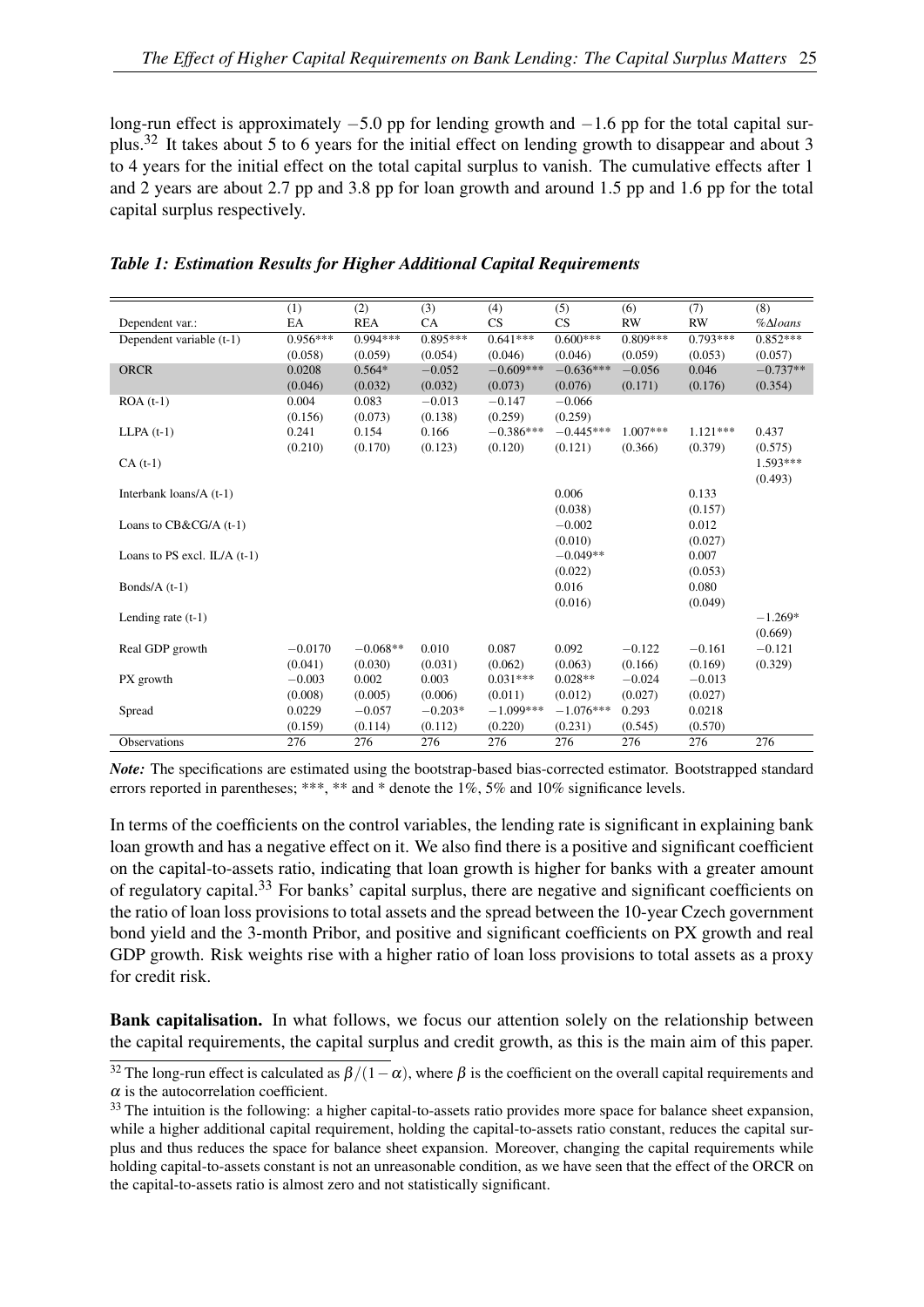long-run effect is approximately −5.0 pp for lending growth and −1.6 pp for the total capital surplus.[32](#page-26-1) It takes about 5 to 6 years for the initial effect on lending growth to disappear and about 3 to 4 years for the initial effect on the total capital surplus to vanish. The cumulative effects after 1 and 2 years are about 2.7 pp and 3.8 pp for loan growth and around 1.5 pp and 1.6 pp for the total capital surplus respectively.

|                                | (1)        | (2)        | (3)        | (4)         | (5)         | (6)        | (7)        | (8)                   |
|--------------------------------|------------|------------|------------|-------------|-------------|------------|------------|-----------------------|
| Dependent var.:                | EA         | <b>REA</b> | CA         | CS          | CS          | <b>RW</b>  | <b>RW</b>  | $%$ $\triangle$ loans |
| Dependent variable (t-1)       | $0.956***$ | $0.994***$ | $0.895***$ | $0.641***$  | $0.600***$  | $0.809***$ | $0.793***$ | $0.852***$            |
|                                | (0.058)    | (0.059)    | (0.054)    | (0.046)     | (0.046)     | (0.059)    | (0.053)    | (0.057)               |
| <b>ORCR</b>                    | 0.0208     | $0.564*$   | $-0.052$   | $-0.609***$ | $-0.636***$ | $-0.056$   | 0.046      | $-0.737**$            |
|                                | (0.046)    | (0.032)    | (0.032)    | (0.073)     | (0.076)     | (0.171)    | (0.176)    | (0.354)               |
| $ROA(t-1)$                     | 0.004      | 0.083      | $-0.013$   | $-0.147$    | $-0.066$    |            |            |                       |
|                                | (0.156)    | (0.073)    | (0.138)    | (0.259)     | (0.259)     |            |            |                       |
| $LLPA(t-1)$                    | 0.241      | 0.154      | 0.166      | $-0.386***$ | $-0.445***$ | $1.007***$ | $1.121***$ | 0.437                 |
|                                | (0.210)    | (0.170)    | (0.123)    | (0.120)     | (0.121)     | (0.366)    | (0.379)    | (0.575)               |
| $CA(t-1)$                      |            |            |            |             |             |            |            | $1.593***$            |
|                                |            |            |            |             |             |            |            | (0.493)               |
| Interbank loans/A (t-1)        |            |            |            |             | 0.006       |            | 0.133      |                       |
|                                |            |            |            |             | (0.038)     |            | (0.157)    |                       |
| Loans to $CB&CG/A$ (t-1)       |            |            |            |             | $-0.002$    |            | 0.012      |                       |
|                                |            |            |            |             | (0.010)     |            | (0.027)    |                       |
| Loans to PS excl. $IL/A$ (t-1) |            |            |            |             | $-0.049**$  |            | 0.007      |                       |
|                                |            |            |            |             | (0.022)     |            | (0.053)    |                       |
| Bonds/ $A(t-1)$                |            |            |            |             | 0.016       |            | 0.080      |                       |
|                                |            |            |            |             | (0.016)     |            | (0.049)    |                       |
| Lending rate $(t-1)$           |            |            |            |             |             |            |            | $-1.269*$             |
|                                |            |            |            |             |             |            |            | (0.669)               |
| Real GDP growth                | $-0.0170$  | $-0.068**$ | 0.010      | 0.087       | 0.092       | $-0.122$   | $-0.161$   | $-0.121$              |
|                                | (0.041)    | (0.030)    | (0.031)    | (0.062)     | (0.063)     | (0.166)    | (0.169)    | (0.329)               |
| PX growth                      | $-0.003$   | 0.002      | 0.003      | $0.031***$  | $0.028**$   | $-0.024$   | $-0.013$   |                       |
|                                | (0.008)    | (0.005)    | (0.006)    | (0.011)     | (0.012)     | (0.027)    | (0.027)    |                       |
| Spread                         | 0.0229     | $-0.057$   | $-0.203*$  | $-1.099***$ | $-1.076***$ | 0.293      | 0.0218     |                       |
|                                | (0.159)    | (0.114)    | (0.112)    | (0.220)     | (0.231)     | (0.545)    | (0.570)    |                       |
| <b>Observations</b>            | 276        | 276        | 276        | 276         | 276         | 276        | 276        | 276                   |
|                                |            |            |            |             |             |            |            |                       |

#### <span id="page-26-0"></span>*Table 1: Estimation Results for Higher Additional Capital Requirements*

*Note:* The specifications are estimated using the bootstrap-based bias-corrected estimator. Bootstrapped standard errors reported in parentheses; \*\*\*, \*\* and \* denote the 1%, 5% and 10% significance levels.

In terms of the coefficients on the control variables, the lending rate is significant in explaining bank loan growth and has a negative effect on it. We also find there is a positive and significant coefficient on the capital-to-assets ratio, indicating that loan growth is higher for banks with a greater amount of regulatory capital.[33](#page-26-2) For banks' capital surplus, there are negative and significant coefficients on the ratio of loan loss provisions to total assets and the spread between the 10-year Czech government bond yield and the 3-month Pribor, and positive and significant coefficients on PX growth and real GDP growth. Risk weights rise with a higher ratio of loan loss provisions to total assets as a proxy for credit risk.

Bank capitalisation. In what follows, we focus our attention solely on the relationship between the capital requirements, the capital surplus and credit growth, as this is the main aim of this paper.

<span id="page-26-1"></span><sup>&</sup>lt;sup>32</sup> The long-run effect is calculated as  $\beta/(1-\alpha)$ , where  $\beta$  is the coefficient on the overall capital requirements and  $\alpha$  is the autocorrelation coefficient.

<span id="page-26-2"></span><sup>&</sup>lt;sup>33</sup> The intuition is the following: a higher capital-to-assets ratio provides more space for balance sheet expansion, while a higher additional capital requirement, holding the capital-to-assets ratio constant, reduces the capital surplus and thus reduces the space for balance sheet expansion. Moreover, changing the capital requirements while holding capital-to-assets constant is not an unreasonable condition, as we have seen that the effect of the ORCR on the capital-to-assets ratio is almost zero and not statistically significant.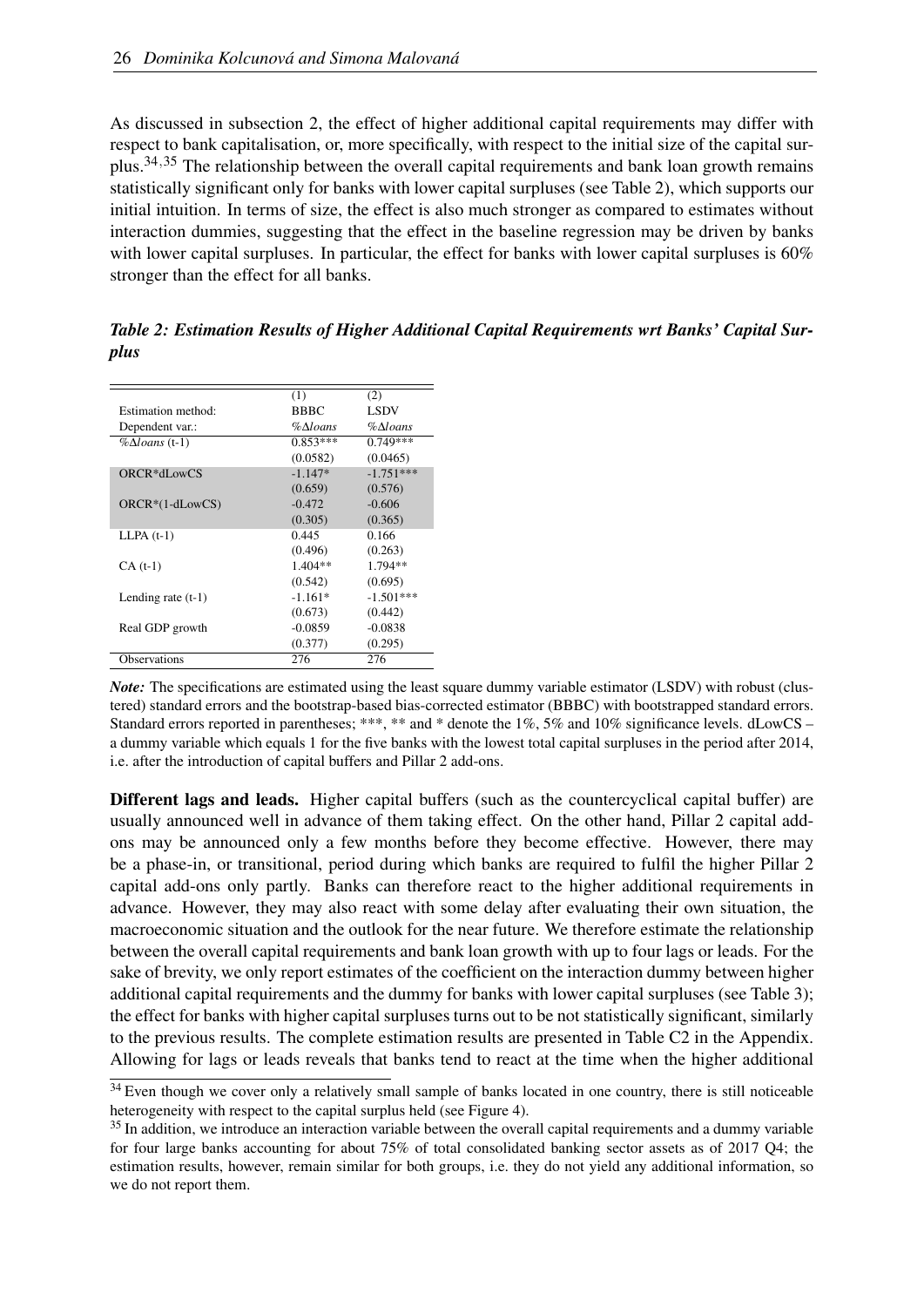As discussed in subsection [2,](#page-4-0) the effect of higher additional capital requirements may differ with respect to bank capitalisation, or, more specifically, with respect to the initial size of the capital surplus.[34](#page-27-0),[35](#page-27-1) The relationship between the overall capital requirements and bank loan growth remains statistically significant only for banks with lower capital surpluses (see Table [2\)](#page-27-2), which supports our initial intuition. In terms of size, the effect is also much stronger as compared to estimates without interaction dummies, suggesting that the effect in the baseline regression may be driven by banks with lower capital surpluses. In particular, the effect for banks with lower capital surpluses is 60% stronger than the effect for all banks.

|                          | (1)                 | (2)         |
|--------------------------|---------------------|-------------|
| Estimation method:       | <b>BBBC</b>         | <b>LSDV</b> |
| Dependent var.:          | $\%$ $\Delta$ loans | %∆loans     |
| $% \Delta loans$ (t-1)   | $0.853***$          | $0.749***$  |
|                          | (0.0582)            | (0.0465)    |
| ORCR <sup>*</sup> dLowCS | $-1.147*$           | $-1.751***$ |
|                          | (0.659)             | (0.576)     |
| $ORCR*(1-dLowCS)$        | $-0.472$            | $-0.606$    |
|                          | (0.305)             | (0.365)     |
| $LLPA(t-1)$              | 0.445               | 0.166       |
|                          | (0.496)             | (0.263)     |
| $CA(t-1)$                | $1.404**$           | $1.794**$   |
|                          | (0.542)             | (0.695)     |
| Lending rate $(t-1)$     | $-1.161*$           | $-1.501***$ |
|                          | (0.673)             | (0.442)     |
| Real GDP growth          | $-0.0859$           | $-0.0838$   |
|                          | (0.377)             | (0.295)     |
| <b>Observations</b>      | 276                 | 276         |

<span id="page-27-2"></span>*Table 2: Estimation Results of Higher Additional Capital Requirements wrt Banks' Capital Surplus*

*Note:* The specifications are estimated using the least square dummy variable estimator (LSDV) with robust (clustered) standard errors and the bootstrap-based bias-corrected estimator (BBBC) with bootstrapped standard errors. Standard errors reported in parentheses; \*\*\*, \*\* and \* denote the 1%, 5% and 10% significance levels. dLowCS – a dummy variable which equals 1 for the five banks with the lowest total capital surpluses in the period after 2014, i.e. after the introduction of capital buffers and Pillar 2 add-ons.

Different lags and leads. Higher capital buffers (such as the countercyclical capital buffer) are usually announced well in advance of them taking effect. On the other hand, Pillar 2 capital addons may be announced only a few months before they become effective. However, there may be a phase-in, or transitional, period during which banks are required to fulfil the higher Pillar 2 capital add-ons only partly. Banks can therefore react to the higher additional requirements in advance. However, they may also react with some delay after evaluating their own situation, the macroeconomic situation and the outlook for the near future. We therefore estimate the relationship between the overall capital requirements and bank loan growth with up to four lags or leads. For the sake of brevity, we only report estimates of the coefficient on the interaction dummy between higher additional capital requirements and the dummy for banks with lower capital surpluses (see Table [3\)](#page-28-0); the effect for banks with higher capital surpluses turns out to be not statistically significant, similarly to the previous results. The complete estimation results are presented in Table [C2](#page-27-2) in the Appendix. Allowing for lags or leads reveals that banks tend to react at the time when the higher additional

<span id="page-27-0"></span> $34$  Even though we cover only a relatively small sample of banks located in one country, there is still noticeable heterogeneity with respect to the capital surplus held (see Figure [4\)](#page-16-0).

<span id="page-27-1"></span> $35$  In addition, we introduce an interaction variable between the overall capital requirements and a dummy variable for four large banks accounting for about 75% of total consolidated banking sector assets as of 2017 Q4; the estimation results, however, remain similar for both groups, i.e. they do not yield any additional information, so we do not report them.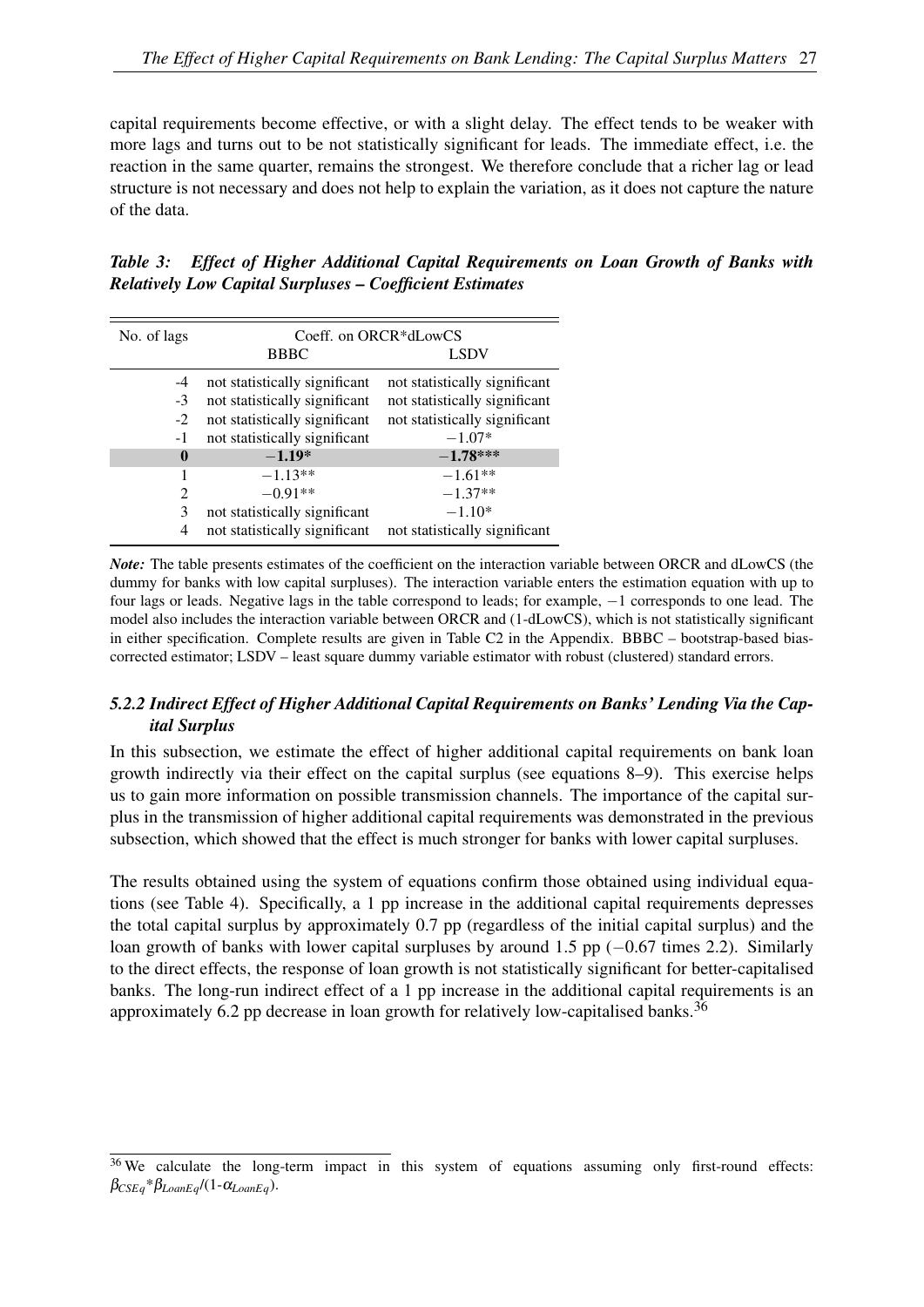capital requirements become effective, or with a slight delay. The effect tends to be weaker with more lags and turns out to be not statistically significant for leads. The immediate effect, i.e. the reaction in the same quarter, remains the strongest. We therefore conclude that a richer lag or lead structure is not necessary and does not help to explain the variation, as it does not capture the nature of the data.

<span id="page-28-0"></span>

| Table 3: Effect of Higher Additional Capital Requirements on Loan Growth of Banks with |  |  |  |  |
|----------------------------------------------------------------------------------------|--|--|--|--|
| <b>Relatively Low Capital Surpluses – Coefficient Estimates</b>                        |  |  |  |  |

| No. of lags    |                               | Coeff. on ORCR*dLowCS         |
|----------------|-------------------------------|-------------------------------|
|                | <b>BBBC</b>                   | <b>LSDV</b>                   |
| $-4$           | not statistically significant | not statistically significant |
| $-3$           | not statistically significant | not statistically significant |
| $-2$           | not statistically significant | not statistically significant |
| -1             | not statistically significant | $-1.07*$                      |
| 0              | $-1.19*$                      | $-1.78***$                    |
|                | $-1.13**$                     | $-1.61**$                     |
| $\mathfrak{D}$ | $-0.91**$                     | $-1.37**$                     |
| 3              | not statistically significant | $-1.10*$                      |
| 4              | not statistically significant | not statistically significant |

*Note:* The table presents estimates of the coefficient on the interaction variable between ORCR and dLowCS (the dummy for banks with low capital surpluses). The interaction variable enters the estimation equation with up to four lags or leads. Negative lags in the table correspond to leads; for example, −1 corresponds to one lead. The model also includes the interaction variable between ORCR and (1-dLowCS), which is not statistically significant in either specification. Complete results are given in Table [C2](#page-27-2) in the Appendix. BBBC – bootstrap-based biascorrected estimator; LSDV – least square dummy variable estimator with robust (clustered) standard errors.

#### *5.2.2 Indirect Effect of Higher Additional Capital Requirements on Banks' Lending Via the Capital Surplus*

In this subsection, we estimate the effect of higher additional capital requirements on bank loan growth indirectly via their effect on the capital surplus (see equations [8](#page-11-1)[–9\)](#page-11-2). This exercise helps us to gain more information on possible transmission channels. The importance of the capital surplus in the transmission of higher additional capital requirements was demonstrated in the previous subsection, which showed that the effect is much stronger for banks with lower capital surpluses.

The results obtained using the system of equations confirm those obtained using individual equations (see Table [4\)](#page-29-0). Specifically, a 1 pp increase in the additional capital requirements depresses the total capital surplus by approximately 0.7 pp (regardless of the initial capital surplus) and the loan growth of banks with lower capital surpluses by around 1.5 pp (−0.67 times 2.2). Similarly to the direct effects, the response of loan growth is not statistically significant for better-capitalised banks. The long-run indirect effect of a 1 pp increase in the additional capital requirements is an approximately 6.2 pp decrease in loan growth for relatively low-capitalised banks.<sup>[36](#page-28-1)</sup>

<span id="page-28-1"></span><sup>&</sup>lt;sup>36</sup> We calculate the long-term impact in this system of equations assuming only first-round effects:  $\beta_{CSEq} * \beta_{LoanEq} / (1 - \alpha_{LoanEq}).$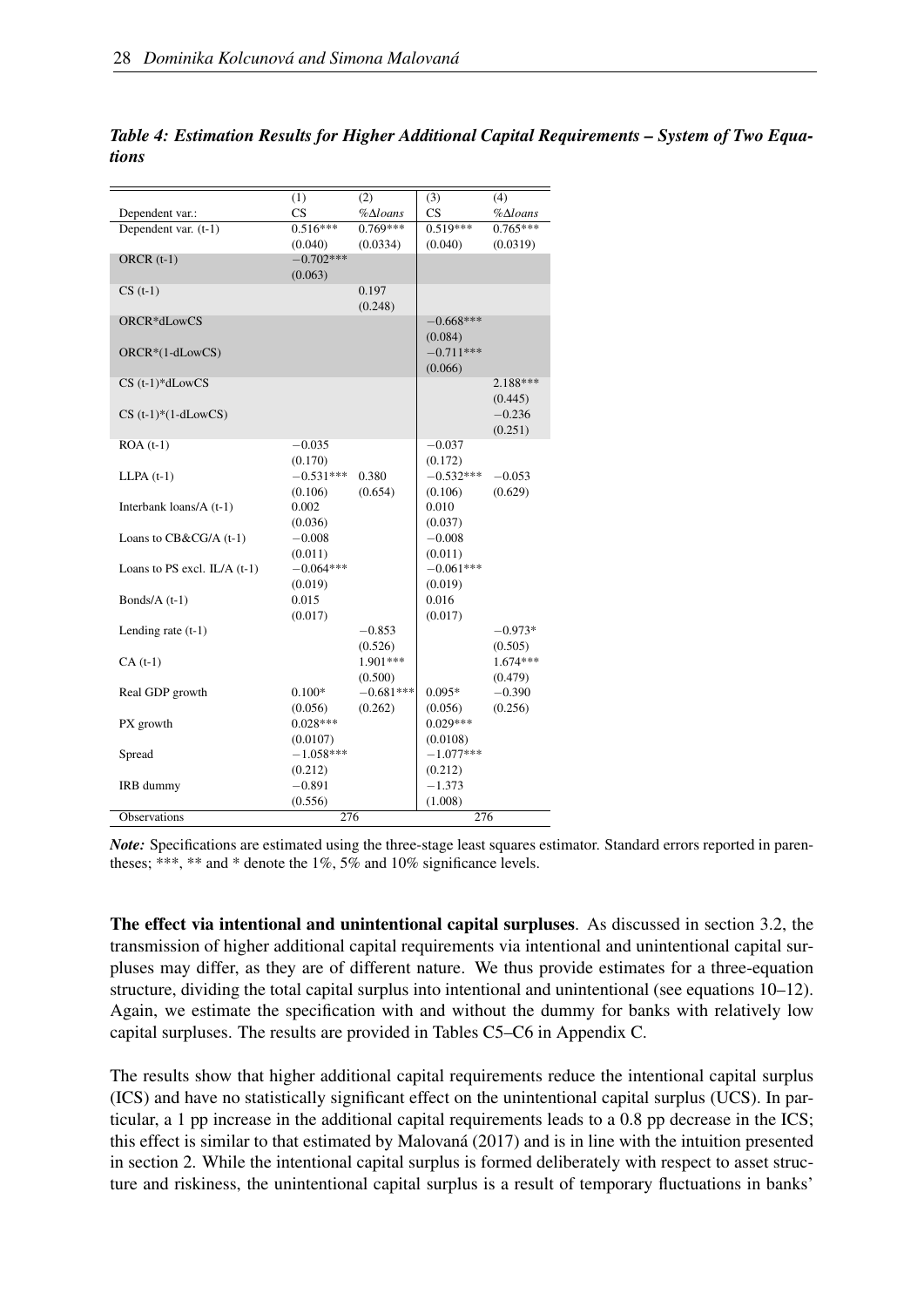|                                | (1)         | $\overline{(2)}$      | (3)         | (4)                   |
|--------------------------------|-------------|-----------------------|-------------|-----------------------|
| Dependent var.:                | CS          | $%$ $\triangle$ loans | CS          | $%$ $\triangle$ loans |
| Dependent var. (t-1)           | $0.516***$  | $0.769***$            | $0.519***$  | $0.765***$            |
|                                | (0.040)     | (0.0334)              | (0.040)     | (0.0319)              |
| ORCR $(t-1)$                   | $-0.702***$ |                       |             |                       |
|                                | (0.063)     |                       |             |                       |
| $CS(t-1)$                      |             | 0.197                 |             |                       |
|                                |             | (0.248)               |             |                       |
| ORCR*dLowCS                    |             |                       | $-0.668***$ |                       |
|                                |             |                       | (0.084)     |                       |
| ORCR*(1-dLowCS)                |             |                       | $-0.711***$ |                       |
|                                |             |                       | (0.066)     |                       |
| $CS$ (t-1)* $dLowCS$           |             |                       |             | 2.188***              |
|                                |             |                       |             | (0.445)               |
| $CS$ (t-1)*(1-dLowCS)          |             |                       |             | $-0.236$              |
|                                |             |                       |             | (0.251)               |
| $ROA(t-1)$                     | $-0.035$    |                       | $-0.037$    |                       |
|                                | (0.170)     |                       | (0.172)     |                       |
| $LLPA(t-1)$                    | $-0.531***$ | 0.380                 | $-0.532***$ | $-0.053$              |
|                                | (0.106)     | (0.654)               | (0.106)     | (0.629)               |
| Interbank loans/A (t-1)        | 0.002       |                       | 0.010       |                       |
|                                | (0.036)     |                       | (0.037)     |                       |
| Loans to CB&CG/A (t-1)         | $-0.008$    |                       | $-0.008$    |                       |
|                                | (0.011)     |                       | (0.011)     |                       |
| Loans to PS excl. $IL/A$ (t-1) | $-0.064***$ |                       | $-0.061***$ |                       |
|                                | (0.019)     |                       | (0.019)     |                       |
| Bonds/ $A(t-1)$                | 0.015       |                       | 0.016       |                       |
|                                | (0.017)     |                       | (0.017)     |                       |
| Lending rate $(t-1)$           |             | $-0.853$              |             | $-0.973*$             |
|                                |             | (0.526)               |             | (0.505)               |
| $CA(t-1)$                      |             | 1.901***              |             | $1.674***$            |
|                                |             | (0.500)               |             | (0.479)               |
| Real GDP growth                | $0.100*$    | $-0.681***$           | $0.095*$    | $-0.390$              |
|                                | (0.056)     | (0.262)               | (0.056)     | (0.256)               |
| PX growth                      | $0.028***$  |                       | $0.029***$  |                       |
|                                | (0.0107)    |                       | (0.0108)    |                       |
| Spread                         | $-1.058***$ |                       | $-1.077***$ |                       |
|                                | (0.212)     |                       | (0.212)     |                       |
| IRB dummy                      | $-0.891$    |                       | $-1.373$    |                       |
|                                | (0.556)     |                       | (1.008)     |                       |
| <b>Observations</b>            | 276         |                       | 276         |                       |

<span id="page-29-0"></span>*Table 4: Estimation Results for Higher Additional Capital Requirements – System of Two Equations*

*Note:* Specifications are estimated using the three-stage least squares estimator. Standard errors reported in parentheses; \*\*\*, \*\* and \* denote the 1%, 5% and 10% significance levels.

The effect via intentional and unintentional capital surpluses. As discussed in section [3.2,](#page-9-1) the transmission of higher additional capital requirements via intentional and unintentional capital surpluses may differ, as they are of different nature. We thus provide estimates for a three-equation structure, dividing the total capital surplus into intentional and unintentional (see equations [10–](#page-12-4)[12\)](#page-12-5). Again, we estimate the specification with and without the dummy for banks with relatively low capital surpluses. The results are provided in Tables [C5](#page-30-0)[–C6](#page-32-0) in Appendix [C.](#page-40-0)

The results show that higher additional capital requirements reduce the intentional capital surplus (ICS) and have no statistically significant effect on the unintentional capital surplus (UCS). In particular, a 1 pp increase in the additional capital requirements leads to a 0.8 pp decrease in the ICS; this effect is similar to that estimated by [Malovaná](#page-36-6) [\(2017\)](#page-36-6) and is in line with the intuition presented in section [2.](#page-4-0) While the intentional capital surplus is formed deliberately with respect to asset structure and riskiness, the unintentional capital surplus is a result of temporary fluctuations in banks'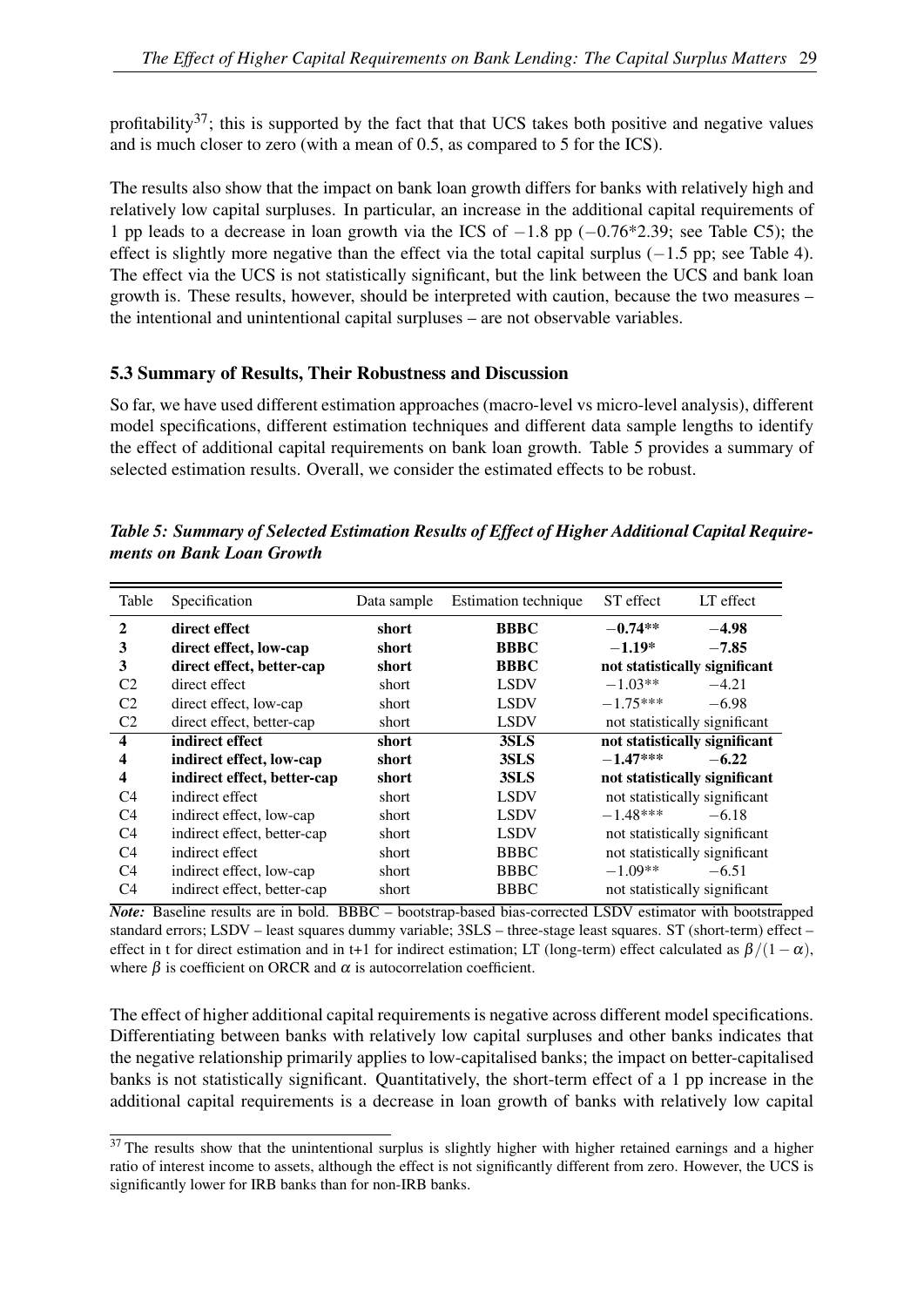profitability<sup>[37](#page-30-1)</sup>; this is supported by the fact that that UCS takes both positive and negative values and is much closer to zero (with a mean of 0.5, as compared to 5 for the ICS).

The results also show that the impact on bank loan growth differs for banks with relatively high and relatively low capital surpluses. In particular, an increase in the additional capital requirements of 1 pp leads to a decrease in loan growth via the ICS of −1.8 pp (−0.76\*2.39; see Table [C5\)](#page-30-0); the effect is slightly more negative than the effect via the total capital surplus  $(-1.5 \text{ pp})$ ; see Table [4\)](#page-29-0). The effect via the UCS is not statistically significant, but the link between the UCS and bank loan growth is. These results, however, should be interpreted with caution, because the two measures – the intentional and unintentional capital surpluses – are not observable variables.

#### 5.3 Summary of Results, Their Robustness and Discussion

So far, we have used different estimation approaches (macro-level vs micro-level analysis), different model specifications, different estimation techniques and different data sample lengths to identify the effect of additional capital requirements on bank loan growth. Table 5 provides a summary of selected estimation results. Overall, we consider the estimated effects to be robust.

| Table            | Specification               | Data sample | Estimation technique | ST effect                     | LT effect |
|------------------|-----------------------------|-------------|----------------------|-------------------------------|-----------|
| $\mathbf{2}$     | direct effect               | short       | <b>BBBC</b>          | $-0.74**$                     | $-4.98$   |
| 3                | direct effect, low-cap      | short       | <b>BBBC</b>          | $-1.19*$                      | $-7.85$   |
| 3                | direct effect, better-cap   | short       | <b>BBBC</b>          | not statistically significant |           |
| C <sub>2</sub>   | direct effect               | short       | <b>LSDV</b>          | $-1.03**$                     | $-4.21$   |
| C <sub>2</sub>   | direct effect, low-cap      | short       | <b>LSDV</b>          | $-1.75***$                    | $-6.98$   |
| C <sub>2</sub>   | direct effect, better-cap   | short       | <b>LSDV</b>          | not statistically significant |           |
| $\boldsymbol{4}$ | indirect effect             | short       | 3SLS                 | not statistically significant |           |
| 4                | indirect effect, low-cap    | short       | 3SLS                 | $-1.47***$                    | $-6.22$   |
| $\boldsymbol{4}$ | indirect effect, better-cap | short       | 3SLS                 | not statistically significant |           |
| C <sub>4</sub>   | indirect effect             | short       | <b>LSDV</b>          | not statistically significant |           |
| C <sub>4</sub>   | indirect effect, low-cap    | short       | <b>LSDV</b>          | $-1.48***$                    | $-6.18$   |
| C <sub>4</sub>   | indirect effect, better-cap | short       | <b>LSDV</b>          | not statistically significant |           |
| C <sub>4</sub>   | indirect effect             | short       | <b>BBBC</b>          | not statistically significant |           |
| C <sub>4</sub>   | indirect effect, low-cap    | short       | <b>BBBC</b>          | $-1.09**$                     | $-6.51$   |
| C4               | indirect effect, better-cap | short       | <b>BBBC</b>          | not statistically significant |           |

<span id="page-30-0"></span>*Table 5: Summary of Selected Estimation Results of Effect of Higher Additional Capital Requirements on Bank Loan Growth*

*Note:* Baseline results are in bold. BBBC – bootstrap-based bias-corrected LSDV estimator with bootstrapped standard errors; LSDV – least squares dummy variable; 3SLS – three-stage least squares. ST (short-term) effect – effect in t for direct estimation and in t+1 for indirect estimation; LT (long-term) effect calculated as  $\beta/(1-\alpha)$ , where  $\beta$  is coefficient on ORCR and  $\alpha$  is autocorrelation coefficient.

The effect of higher additional capital requirements is negative across different model specifications. Differentiating between banks with relatively low capital surpluses and other banks indicates that the negative relationship primarily applies to low-capitalised banks; the impact on better-capitalised banks is not statistically significant. Quantitatively, the short-term effect of a 1 pp increase in the additional capital requirements is a decrease in loan growth of banks with relatively low capital

<span id="page-30-1"></span><sup>&</sup>lt;sup>37</sup> The results show that the unintentional surplus is slightly higher with higher retained earnings and a higher ratio of interest income to assets, although the effect is not significantly different from zero. However, the UCS is significantly lower for IRB banks than for non-IRB banks.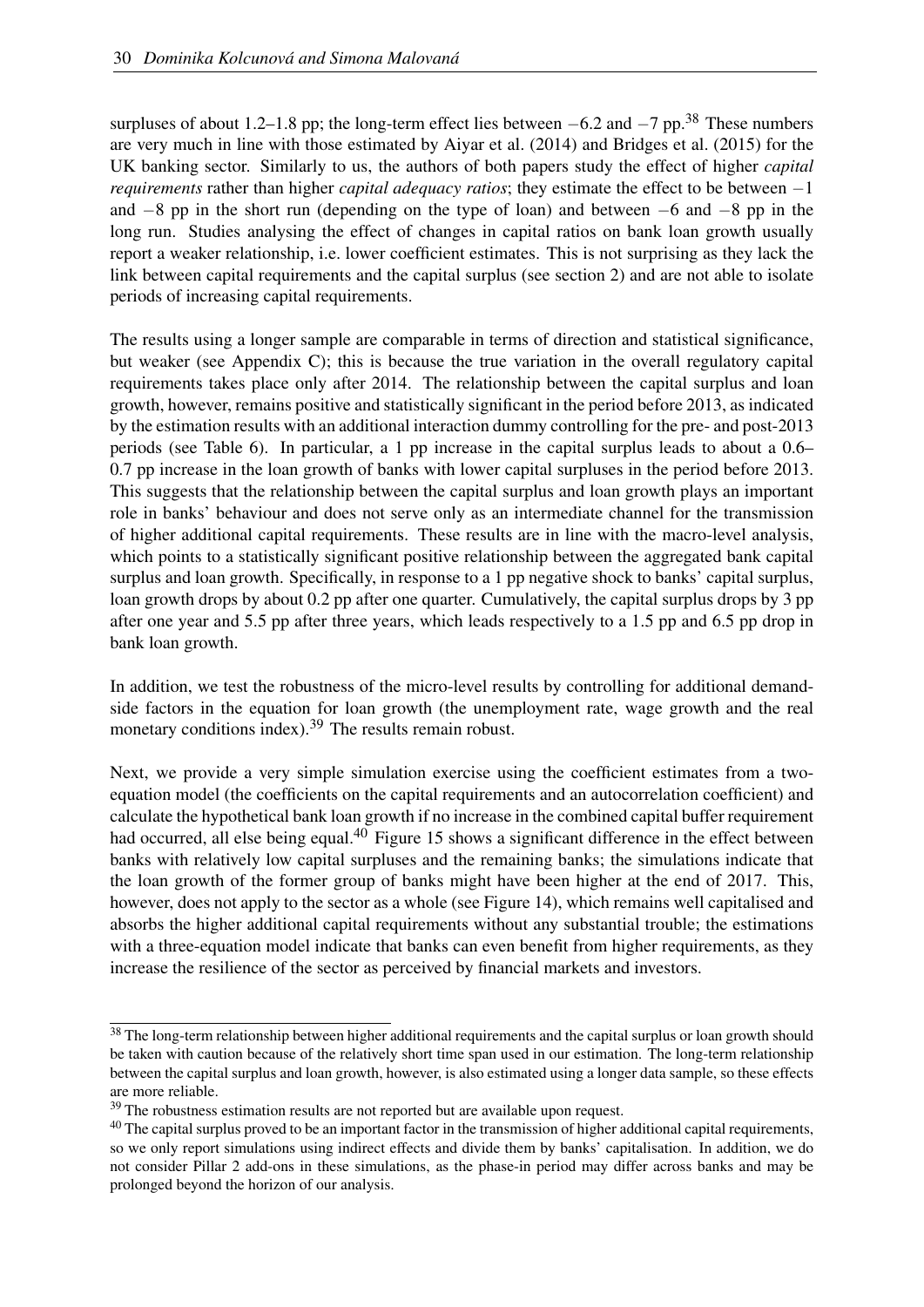surpluses of about 1.2–1.8 pp; the long-term effect lies between  $-6.2$  and  $-7$  pp.<sup>[38](#page-31-0)</sup> These numbers are very much in line with those estimated by [Aiyar et al.](#page-34-1) [\(2014\)](#page-34-1) and [Bridges et al.](#page-34-2) [\(2015\)](#page-34-2) for the UK banking sector. Similarly to us, the authors of both papers study the effect of higher *capital requirements* rather than higher *capital adequacy ratios*; they estimate the effect to be between −1 and −8 pp in the short run (depending on the type of loan) and between −6 and −8 pp in the long run. Studies analysing the effect of changes in capital ratios on bank loan growth usually report a weaker relationship, i.e. lower coefficient estimates. This is not surprising as they lack the link between capital requirements and the capital surplus (see section [2\)](#page-4-0) and are not able to isolate periods of increasing capital requirements.

The results using a longer sample are comparable in terms of direction and statistical significance, but weaker (see Appendix [C\)](#page-40-0); this is because the true variation in the overall regulatory capital requirements takes place only after 2014. The relationship between the capital surplus and loan growth, however, remains positive and statistically significant in the period before 2013, as indicated by the estimation results with an additional interaction dummy controlling for the pre- and post-2013 periods (see Table [6\)](#page-32-0). In particular, a 1 pp increase in the capital surplus leads to about a 0.6– 0.7 pp increase in the loan growth of banks with lower capital surpluses in the period before 2013. This suggests that the relationship between the capital surplus and loan growth plays an important role in banks' behaviour and does not serve only as an intermediate channel for the transmission of higher additional capital requirements. These results are in line with the macro-level analysis, which points to a statistically significant positive relationship between the aggregated bank capital surplus and loan growth. Specifically, in response to a 1 pp negative shock to banks' capital surplus, loan growth drops by about 0.2 pp after one quarter. Cumulatively, the capital surplus drops by 3 pp after one year and 5.5 pp after three years, which leads respectively to a 1.5 pp and 6.5 pp drop in bank loan growth.

In addition, we test the robustness of the micro-level results by controlling for additional demandside factors in the equation for loan growth (the unemployment rate, wage growth and the real monetary conditions index).<sup>[39](#page-31-1)</sup> The results remain robust.

Next, we provide a very simple simulation exercise using the coefficient estimates from a twoequation model (the coefficients on the capital requirements and an autocorrelation coefficient) and calculate the hypothetical bank loan growth if no increase in the combined capital buffer requirement had occurred, all else being equal.<sup>[40](#page-31-2)</sup> Figure [15](#page-33-1) shows a significant difference in the effect between banks with relatively low capital surpluses and the remaining banks; the simulations indicate that the loan growth of the former group of banks might have been higher at the end of 2017. This, however, does not apply to the sector as a whole (see Figure [14\)](#page-32-1), which remains well capitalised and absorbs the higher additional capital requirements without any substantial trouble; the estimations with a three-equation model indicate that banks can even benefit from higher requirements, as they increase the resilience of the sector as perceived by financial markets and investors.

<span id="page-31-0"></span><sup>&</sup>lt;sup>38</sup> The long-term relationship between higher additional requirements and the capital surplus or loan growth should be taken with caution because of the relatively short time span used in our estimation. The long-term relationship between the capital surplus and loan growth, however, is also estimated using a longer data sample, so these effects are more reliable.

<span id="page-31-1"></span> $39$  The robustness estimation results are not reported but are available upon request.

<span id="page-31-2"></span> $40$  The capital surplus proved to be an important factor in the transmission of higher additional capital requirements, so we only report simulations using indirect effects and divide them by banks' capitalisation. In addition, we do not consider Pillar 2 add-ons in these simulations, as the phase-in period may differ across banks and may be prolonged beyond the horizon of our analysis.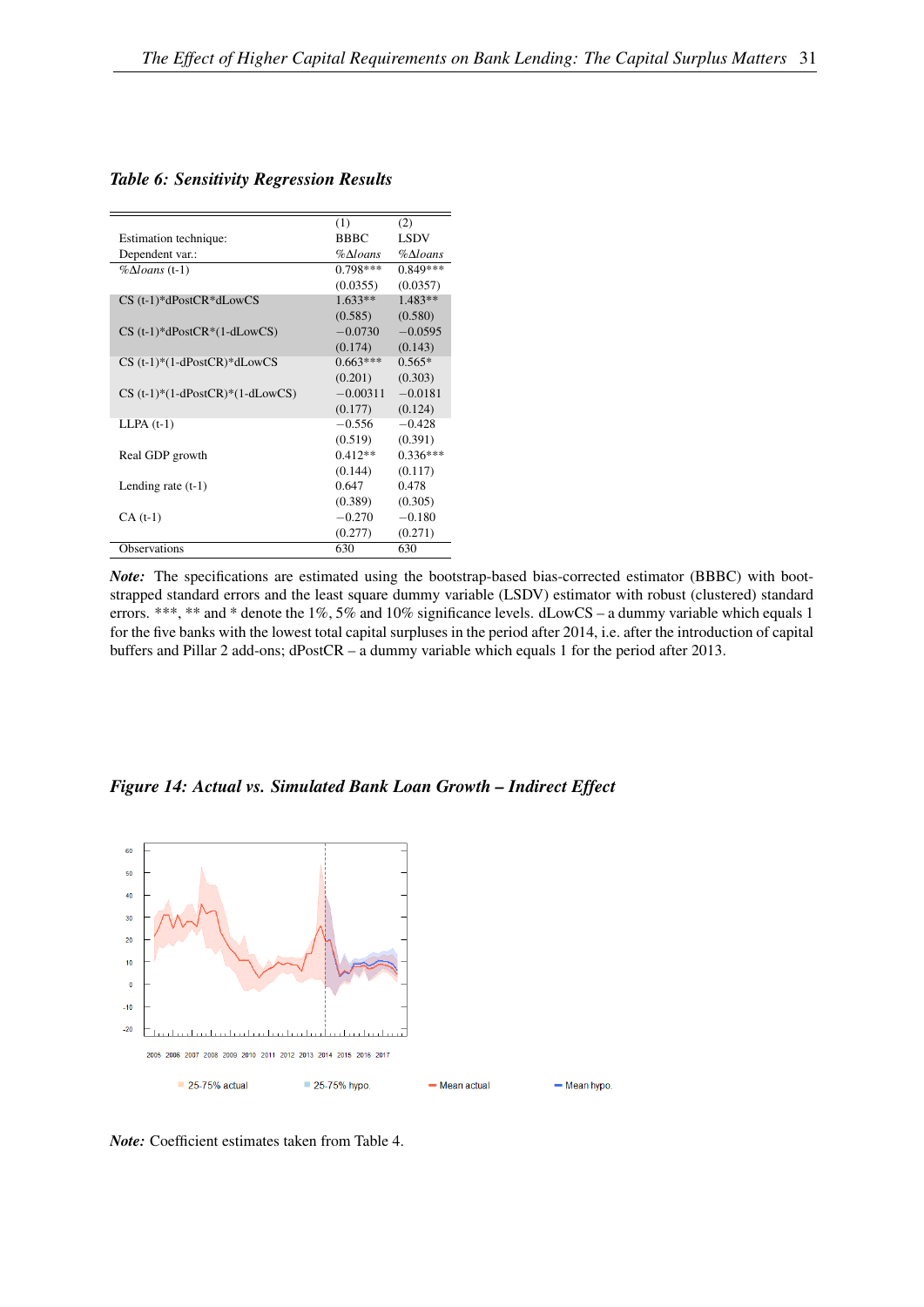<span id="page-32-0"></span>

|                                   | (1)                   | (2)                   |
|-----------------------------------|-----------------------|-----------------------|
| Estimation technique:             | <b>BBBC</b>           | <b>LSDV</b>           |
| Dependent var.:                   | $%$ $\triangle$ loans | $%$ $\triangle$ loans |
| $\% \Delta loans$ (t-1)           | $0.798***$            | $0.849***$            |
|                                   | (0.0355)              | (0.0357)              |
| $CS$ (t-1)* $dPostCR*dLowCS$      | $1.633**$             | $1.483**$             |
|                                   | (0.585)               | (0.580)               |
| $CS$ (t-1)*dPostCR*(1-dLowCS)     | $-0.0730$             | $-0.0595$             |
|                                   | (0.174)               | (0.143)               |
| $CS$ (t-1)*(1-dPostCR)*dLowCS     | $0.663***$            | $0.565*$              |
|                                   | (0.201)               | (0.303)               |
| $CS$ (t-1)*(1-dPostCR)*(1-dLowCS) | $-0.00311$            | $-0.0181$             |
|                                   | (0.177)               | (0.124)               |
| $LLPA(t-1)$                       | $-0.556$              | $-0.428$              |
|                                   | (0.519)               | (0.391)               |
| Real GDP growth                   | $0.412**$             | $0.336***$            |
|                                   | (0.144)               | (0.117)               |
| Lending rate $(t-1)$              | 0.647                 | 0.478                 |
|                                   | (0.389)               | (0.305)               |
| $CA(t-1)$                         | $-0.270$              | $-0.180$              |
|                                   | (0.277)               | (0.271)               |
| <b>Observations</b>               | 630                   | 630                   |

*Note:* The specifications are estimated using the bootstrap-based bias-corrected estimator (BBBC) with bootstrapped standard errors and the least square dummy variable (LSDV) estimator with robust (clustered) standard errors. \*\*\*, \*\* and \* denote the 1%, 5% and 10% significance levels. dLowCS – a dummy variable which equals 1 for the five banks with the lowest total capital surpluses in the period after 2014, i.e. after the introduction of capital buffers and Pillar 2 add-ons; dPostCR – a dummy variable which equals 1 for the period after 2013.

<span id="page-32-1"></span>*Figure 14: Actual vs. Simulated Bank Loan Growth – Indirect Effect*



*Note:* Coefficient estimates taken from Table [4.](#page-29-0)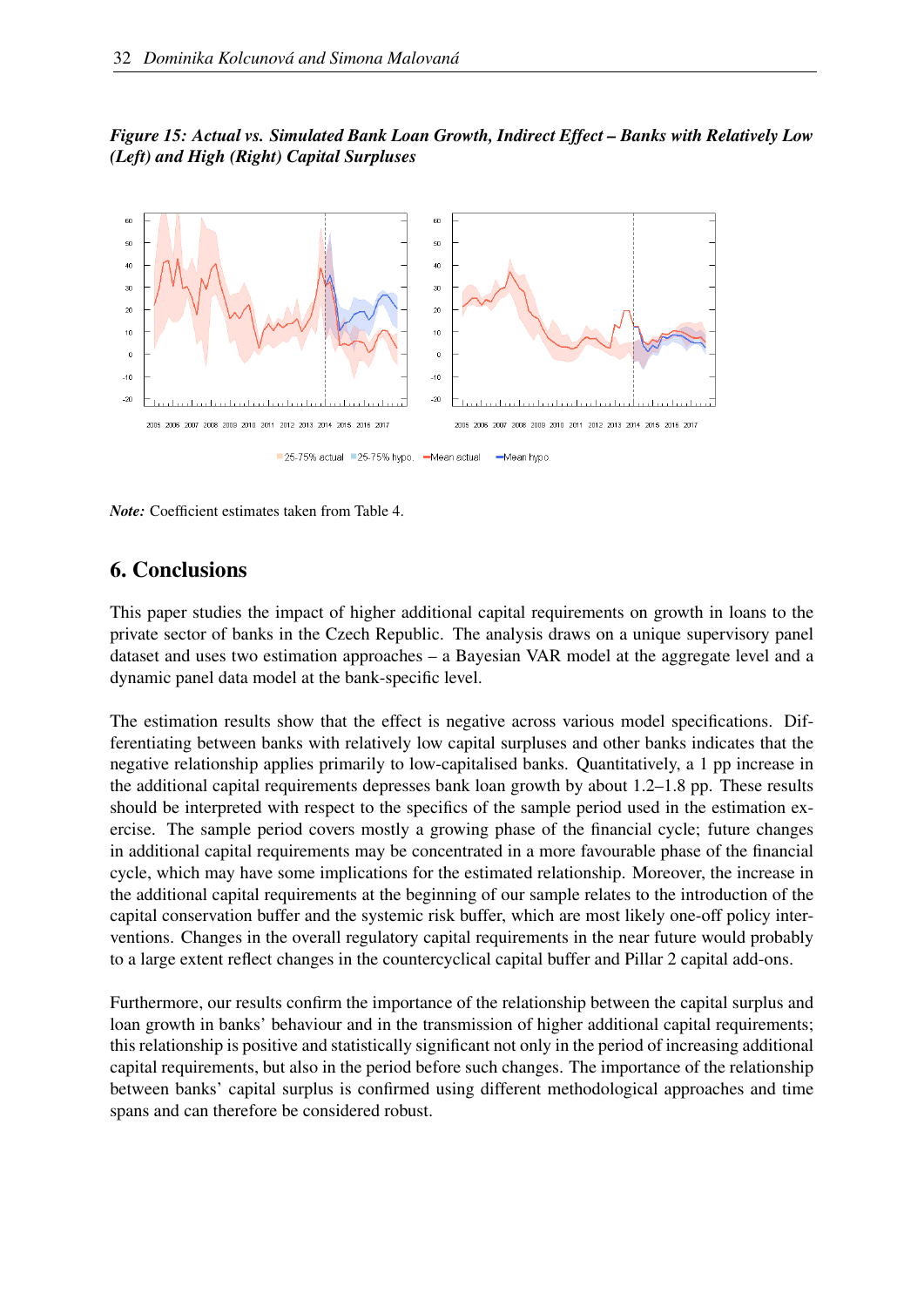<span id="page-33-1"></span>*Figure 15: Actual vs. Simulated Bank Loan Growth, Indirect Effect – Banks with Relatively Low (Left) and High (Right) Capital Surpluses*



<span id="page-33-0"></span>*Note:* Coefficient estimates taken from Table [4.](#page-29-0)

### 6. Conclusions

This paper studies the impact of higher additional capital requirements on growth in loans to the private sector of banks in the Czech Republic. The analysis draws on a unique supervisory panel dataset and uses two estimation approaches – a Bayesian VAR model at the aggregate level and a dynamic panel data model at the bank-specific level.

The estimation results show that the effect is negative across various model specifications. Differentiating between banks with relatively low capital surpluses and other banks indicates that the negative relationship applies primarily to low-capitalised banks. Quantitatively, a 1 pp increase in the additional capital requirements depresses bank loan growth by about 1.2–1.8 pp. These results should be interpreted with respect to the specifics of the sample period used in the estimation exercise. The sample period covers mostly a growing phase of the financial cycle; future changes in additional capital requirements may be concentrated in a more favourable phase of the financial cycle, which may have some implications for the estimated relationship. Moreover, the increase in the additional capital requirements at the beginning of our sample relates to the introduction of the capital conservation buffer and the systemic risk buffer, which are most likely one-off policy interventions. Changes in the overall regulatory capital requirements in the near future would probably to a large extent reflect changes in the countercyclical capital buffer and Pillar 2 capital add-ons.

Furthermore, our results confirm the importance of the relationship between the capital surplus and loan growth in banks' behaviour and in the transmission of higher additional capital requirements; this relationship is positive and statistically significant not only in the period of increasing additional capital requirements, but also in the period before such changes. The importance of the relationship between banks' capital surplus is confirmed using different methodological approaches and time spans and can therefore be considered robust.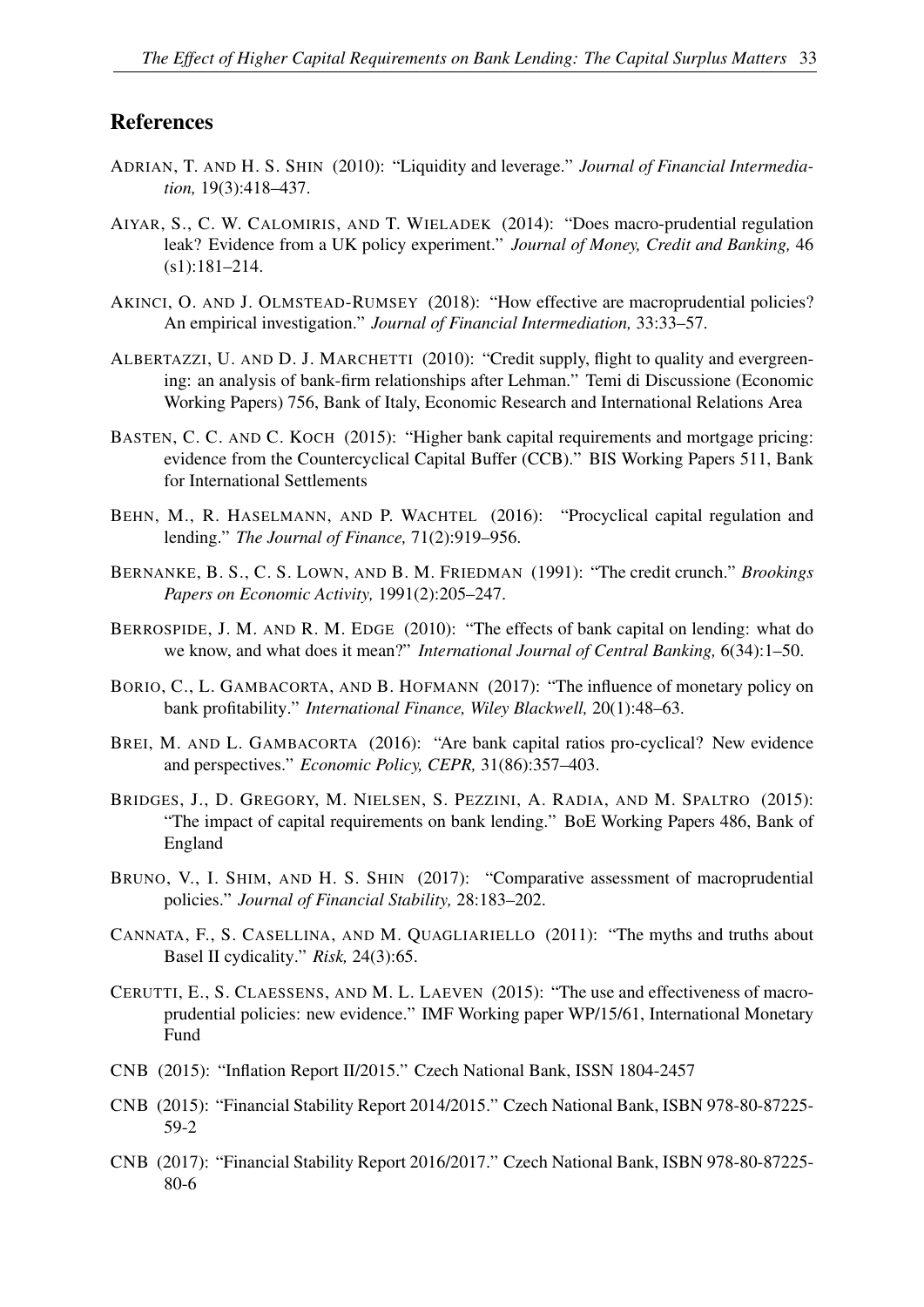#### References

- <span id="page-34-10"></span>ADRIAN, T. AND H. S. SHIN (2010): "Liquidity and leverage." *Journal of Financial Intermediation,* 19(3):418–437.
- <span id="page-34-1"></span>AIYAR, S., C. W. CALOMIRIS, AND T. WIELADEK (2014): "Does macro-prudential regulation leak? Evidence from a UK policy experiment." *Journal of Money, Credit and Banking,* 46 (s1):181–214.
- <span id="page-34-8"></span>AKINCI, O. AND J. OLMSTEAD-RUMSEY (2018): "How effective are macroprudential policies? An empirical investigation." *Journal of Financial Intermediation,* 33:33–57.
- <span id="page-34-5"></span>ALBERTAZZI, U. AND D. J. MARCHETTI (2010): "Credit supply, flight to quality and evergreening: an analysis of bank-firm relationships after Lehman." Temi di Discussione (Economic Working Papers) 756, Bank of Italy, Economic Research and International Relations Area
- <span id="page-34-9"></span>BASTEN, C. C. AND C. KOCH (2015): "Higher bank capital requirements and mortgage pricing: evidence from the Countercyclical Capital Buffer (CCB)." BIS Working Papers 511, Bank for International Settlements
- <span id="page-34-14"></span>BEHN, M., R. HASELMANN, AND P. WACHTEL (2016): "Procyclical capital regulation and lending." *The Journal of Finance,* 71(2):919–956.
- <span id="page-34-4"></span>BERNANKE, B. S., C. S. LOWN, AND B. M. FRIEDMAN (1991): "The credit crunch." *Brookings Papers on Economic Activity,* 1991(2):205–247.
- <span id="page-34-3"></span>BERROSPIDE, J. M. AND R. M. EDGE (2010): "The effects of bank capital on lending: what do we know, and what does it mean?" *International Journal of Central Banking,* 6(34):1–50.
- <span id="page-34-15"></span>BORIO, C., L. GAMBACORTA, AND B. HOFMANN (2017): "The influence of monetary policy on bank profitability." *International Finance, Wiley Blackwell,* 20(1):48–63.
- <span id="page-34-0"></span>BREI, M. AND L. GAMBACORTA (2016): "Are bank capital ratios pro-cyclical? New evidence and perspectives." *Economic Policy, CEPR,* 31(86):357–403.
- <span id="page-34-2"></span>BRIDGES, J., D. GREGORY, M. NIELSEN, S. PEZZINI, A. RADIA, AND M. SPALTRO (2015): "The impact of capital requirements on bank lending." BoE Working Papers 486, Bank of England
- <span id="page-34-7"></span>BRUNO, V., I. SHIM, AND H. S. SHIN (2017): "Comparative assessment of macroprudential policies." *Journal of Financial Stability,* 28:183–202.
- <span id="page-34-12"></span>CANNATA, F., S. CASELLINA, AND M. QUAGLIARIELLO (2011): "The myths and truths about Basel II cydicality." *Risk,* 24(3):65.
- <span id="page-34-6"></span>CERUTTI, E., S. CLAESSENS, AND M. L. LAEVEN (2015): "The use and effectiveness of macroprudential policies: new evidence." IMF Working paper WP/15/61, International Monetary Fund
- <span id="page-34-11"></span>CNB (2015): "Inflation Report II/2015." Czech National Bank, ISSN 1804-2457
- <span id="page-34-13"></span>CNB (2015): "Financial Stability Report 2014/2015." Czech National Bank, ISBN 978-80-87225- 59-2
- <span id="page-34-16"></span>CNB (2017): "Financial Stability Report 2016/2017." Czech National Bank, ISBN 978-80-87225- 80-6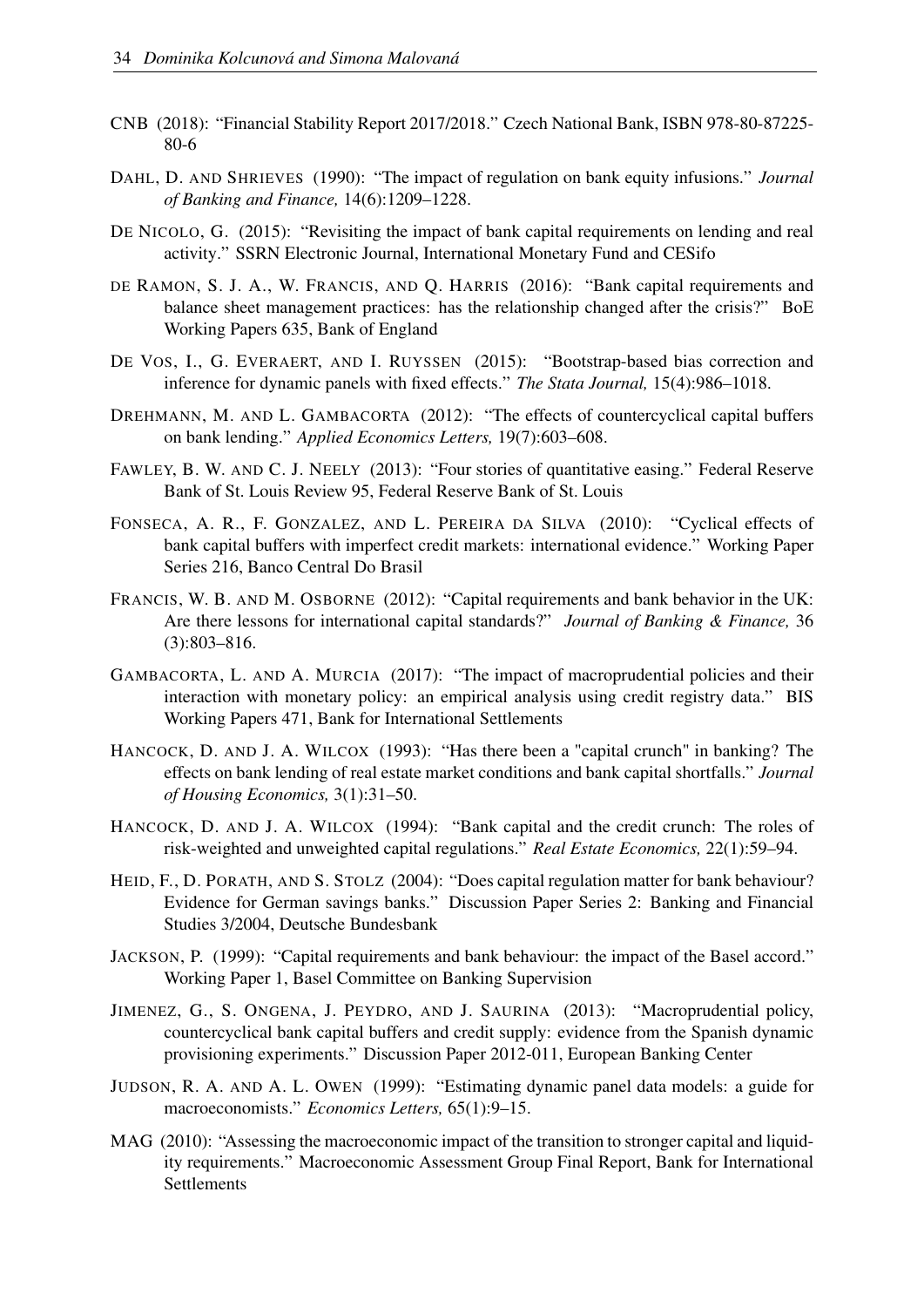- <span id="page-35-2"></span>CNB (2018): "Financial Stability Report 2017/2018." Czech National Bank, ISBN 978-80-87225- 80-6
- <span id="page-35-3"></span>DAHL, D. AND SHRIEVES (1990): "The impact of regulation on bank equity infusions." *Journal of Banking and Finance,* 14(6):1209–1228.
- <span id="page-35-14"></span>DE NICOLO, G. (2015): "Revisiting the impact of bank capital requirements on lending and real activity." SSRN Electronic Journal, International Monetary Fund and CESifo
- <span id="page-35-11"></span>DE RAMON, S. J. A., W. FRANCIS, AND Q. HARRIS (2016): "Bank capital requirements and balance sheet management practices: has the relationship changed after the crisis?" BoE Working Papers 635, Bank of England
- <span id="page-35-15"></span>DE VOS, I., G. EVERAERT, AND I. RUYSSEN (2015): "Bootstrap-based bias correction and inference for dynamic panels with fixed effects." *The Stata Journal,* 15(4):986–1018.
- <span id="page-35-13"></span>DREHMANN, M. AND L. GAMBACORTA (2012): "The effects of countercyclical capital buffers on bank lending." *Applied Economics Letters,* 19(7):603–608.
- <span id="page-35-0"></span>FAWLEY, B. W. AND C. J. NEELY (2013): "Four stories of quantitative easing." Federal Reserve Bank of St. Louis Review 95, Federal Reserve Bank of St. Louis
- <span id="page-35-8"></span>FONSECA, A. R., F. GONZALEZ, AND L. PEREIRA DA SILVA (2010): "Cyclical effects of bank capital buffers with imperfect credit markets: international evidence." Working Paper Series 216, Banco Central Do Brasil
- <span id="page-35-6"></span>FRANCIS, W. B. AND M. OSBORNE (2012): "Capital requirements and bank behavior in the UK: Are there lessons for international capital standards?" *Journal of Banking & Finance,* 36 (3):803–816.
- <span id="page-35-12"></span>GAMBACORTA, L. AND A. MURCIA (2017): "The impact of macroprudential policies and their interaction with monetary policy: an empirical analysis using credit registry data." BIS Working Papers 471, Bank for International Settlements
- <span id="page-35-9"></span>HANCOCK, D. AND J. A. WILCOX (1993): "Has there been a "capital crunch" in banking? The effects on bank lending of real estate market conditions and bank capital shortfalls." *Journal of Housing Economics,* 3(1):31–50.
- <span id="page-35-10"></span>HANCOCK, D. AND J. A. WILCOX (1994): "Bank capital and the credit crunch: The roles of risk-weighted and unweighted capital regulations." *Real Estate Economics,* 22(1):59–94.
- <span id="page-35-5"></span>HEID, F., D. PORATH, AND S. STOLZ (2004): "Does capital regulation matter for bank behaviour? Evidence for German savings banks." Discussion Paper Series 2: Banking and Financial Studies 3/2004, Deutsche Bundesbank
- <span id="page-35-4"></span>JACKSON, P. (1999): "Capital requirements and bank behaviour: the impact of the Basel accord." Working Paper 1, Basel Committee on Banking Supervision
- <span id="page-35-7"></span>JIMENEZ, G., S. ONGENA, J. PEYDRO, AND J. SAURINA (2013): "Macroprudential policy, countercyclical bank capital buffers and credit supply: evidence from the Spanish dynamic provisioning experiments." Discussion Paper 2012-011, European Banking Center
- <span id="page-35-16"></span>JUDSON, R. A. AND A. L. OWEN (1999): "Estimating dynamic panel data models: a guide for macroeconomists." *Economics Letters,* 65(1):9–15.
- <span id="page-35-1"></span>MAG (2010): "Assessing the macroeconomic impact of the transition to stronger capital and liquidity requirements." Macroeconomic Assessment Group Final Report, Bank for International Settlements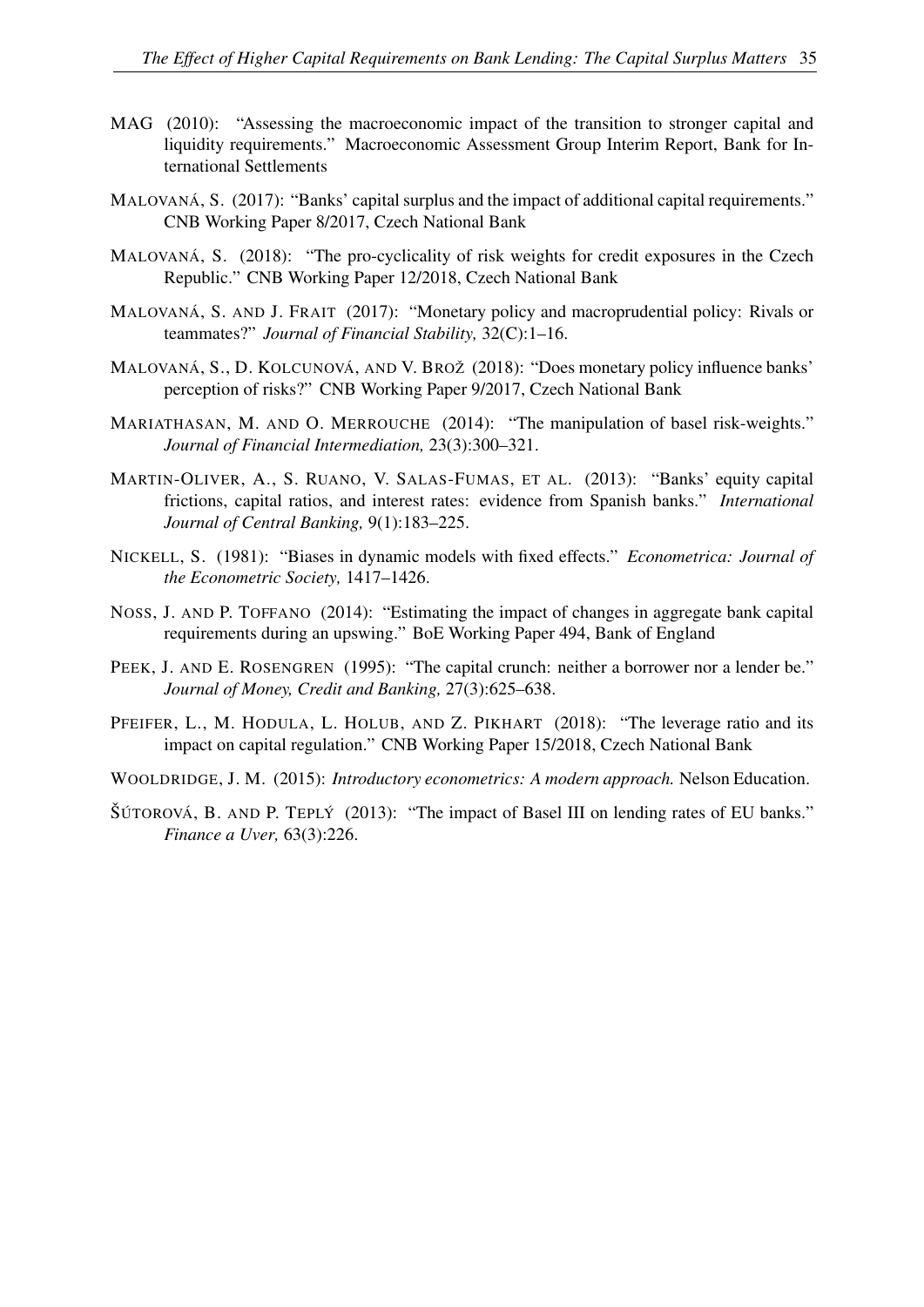- <span id="page-36-1"></span>MAG (2010): "Assessing the macroeconomic impact of the transition to stronger capital and liquidity requirements." Macroeconomic Assessment Group Interim Report, Bank for International Settlements
- <span id="page-36-6"></span>MALOVANÁ, S. (2017): "Banks' capital surplus and the impact of additional capital requirements." CNB Working Paper 8/2017, Czech National Bank
- <span id="page-36-11"></span>MALOVANÁ, S. (2018): "The pro-cyclicality of risk weights for credit exposures in the Czech Republic." CNB Working Paper 12/2018, Czech National Bank
- <span id="page-36-5"></span>MALOVANÁ, S. AND J. FRAIT (2017): "Monetary policy and macroprudential policy: Rivals or teammates?" *Journal of Financial Stability,* 32(C):1–16.
- <span id="page-36-12"></span>MALOVANÁ, S., D. KOLCUNOVÁ, AND V. BROŽ (2018): "Does monetary policy influence banks' perception of risks?" CNB Working Paper 9/2017, Czech National Bank
- <span id="page-36-7"></span>MARIATHASAN, M. AND O. MERROUCHE (2014): "The manipulation of basel risk-weights." *Journal of Financial Intermediation,* 23(3):300–321.
- <span id="page-36-0"></span>MARTIN-OLIVER, A., S. RUANO, V. SALAS-FUMAS, ET AL. (2013): "Banks' equity capital frictions, capital ratios, and interest rates: evidence from Spanish banks." *International Journal of Central Banking,* 9(1):183–225.
- <span id="page-36-9"></span>NICKELL, S. (1981): "Biases in dynamic models with fixed effects." *Econometrica: Journal of the Econometric Society,* 1417–1426.
- <span id="page-36-3"></span>NOSS, J. AND P. TOFFANO (2014): "Estimating the impact of changes in aggregate bank capital requirements during an upswing." BoE Working Paper 494, Bank of England
- <span id="page-36-4"></span>PEEK, J. AND E. ROSENGREN (1995): "The capital crunch: neither a borrower nor a lender be." *Journal of Money, Credit and Banking,* 27(3):625–638.
- <span id="page-36-2"></span>PFEIFER, L., M. HODULA, L. HOLUB, AND Z. PIKHART (2018): "The leverage ratio and its impact on capital regulation." CNB Working Paper 15/2018, Czech National Bank
- <span id="page-36-10"></span>WOOLDRIDGE, J. M. (2015): *Introductory econometrics: A modern approach.* Nelson Education.
- <span id="page-36-8"></span>ŠÚTOROVÁ, B. AND P. TEPLÝ (2013): "The impact of Basel III on lending rates of EU banks." *Finance a Uver,* 63(3):226.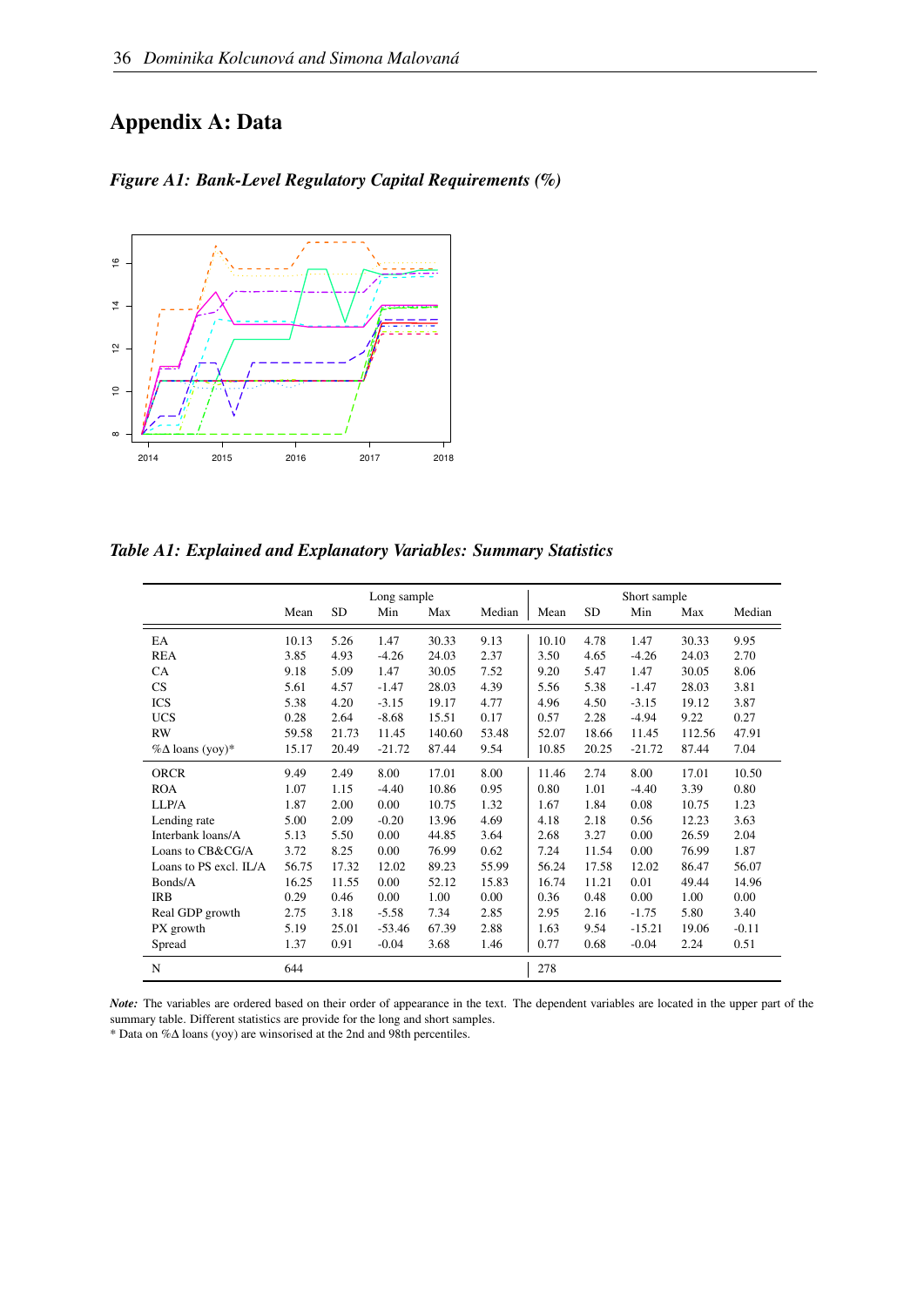## <span id="page-37-0"></span>Appendix A: Data



## *Figure A1: Bank-Level Regulatory Capital Requirements (%)*

*Table A1: Explained and Explanatory Variables: Summary Statistics*

|                          |       |           | Long sample |        |        | Short sample |           |          |        |         |
|--------------------------|-------|-----------|-------------|--------|--------|--------------|-----------|----------|--------|---------|
|                          | Mean  | <b>SD</b> | Min         | Max    | Median | Mean         | <b>SD</b> | Min      | Max    | Median  |
| EA                       | 10.13 | 5.26      | 1.47        | 30.33  | 9.13   | 10.10        | 4.78      | 1.47     | 30.33  | 9.95    |
| <b>REA</b>               | 3.85  | 4.93      | $-4.26$     | 24.03  | 2.37   | 3.50         | 4.65      | $-4.26$  | 24.03  | 2.70    |
| <b>CA</b>                | 9.18  | 5.09      | 1.47        | 30.05  | 7.52   | 9.20         | 5.47      | 1.47     | 30.05  | 8.06    |
| CS                       | 5.61  | 4.57      | $-1.47$     | 28.03  | 4.39   | 5.56         | 5.38      | $-1.47$  | 28.03  | 3.81    |
| <b>ICS</b>               | 5.38  | 4.20      | $-3.15$     | 19.17  | 4.77   | 4.96         | 4.50      | $-3.15$  | 19.12  | 3.87    |
| <b>UCS</b>               | 0.28  | 2.64      | $-8.68$     | 15.51  | 0.17   | 0.57         | 2.28      | $-4.94$  | 9.22   | 0.27    |
| <b>RW</b>                | 59.58 | 21.73     | 11.45       | 140.60 | 53.48  | 52.07        | 18.66     | 11.45    | 112.56 | 47.91   |
| $\% \Delta$ loans (yoy)* | 15.17 | 20.49     | $-21.72$    | 87.44  | 9.54   | 10.85        | 20.25     | $-21.72$ | 87.44  | 7.04    |
| <b>ORCR</b>              | 9.49  | 2.49      | 8.00        | 17.01  | 8.00   | 11.46        | 2.74      | 8.00     | 17.01  | 10.50   |
| <b>ROA</b>               | 1.07  | 1.15      | $-4.40$     | 10.86  | 0.95   | 0.80         | 1.01      | $-4.40$  | 3.39   | 0.80    |
| LLP/A                    | 1.87  | 2.00      | 0.00        | 10.75  | 1.32   | 1.67         | 1.84      | 0.08     | 10.75  | 1.23    |
| Lending rate             | 5.00  | 2.09      | $-0.20$     | 13.96  | 4.69   | 4.18         | 2.18      | 0.56     | 12.23  | 3.63    |
| Interbank loans/A        | 5.13  | 5.50      | 0.00        | 44.85  | 3.64   | 2.68         | 3.27      | 0.00     | 26.59  | 2.04    |
| Loans to CB&CG/A         | 3.72  | 8.25      | 0.00        | 76.99  | 0.62   | 7.24         | 11.54     | 0.00     | 76.99  | 1.87    |
| Loans to PS excl. IL/A   | 56.75 | 17.32     | 12.02       | 89.23  | 55.99  | 56.24        | 17.58     | 12.02    | 86.47  | 56.07   |
| Bonds/A                  | 16.25 | 11.55     | 0.00        | 52.12  | 15.83  | 16.74        | 11.21     | 0.01     | 49.44  | 14.96   |
| <b>IRB</b>               | 0.29  | 0.46      | 0.00        | 1.00   | 0.00   | 0.36         | 0.48      | 0.00     | 1.00   | 0.00    |
| Real GDP growth          | 2.75  | 3.18      | $-5.58$     | 7.34   | 2.85   | 2.95         | 2.16      | $-1.75$  | 5.80   | 3.40    |
| PX growth                | 5.19  | 25.01     | $-53.46$    | 67.39  | 2.88   | 1.63         | 9.54      | $-15.21$ | 19.06  | $-0.11$ |
| Spread                   | 1.37  | 0.91      | $-0.04$     | 3.68   | 1.46   | 0.77         | 0.68      | $-0.04$  | 2.24   | 0.51    |
| N                        | 644   |           |             |        |        | 278          |           |          |        |         |

*Note:* The variables are ordered based on their order of appearance in the text. The dependent variables are located in the upper part of the summary table. Different statistics are provide for the long and short samples.

\* Data on %∆ loans (yoy) are winsorised at the 2nd and 98th percentiles.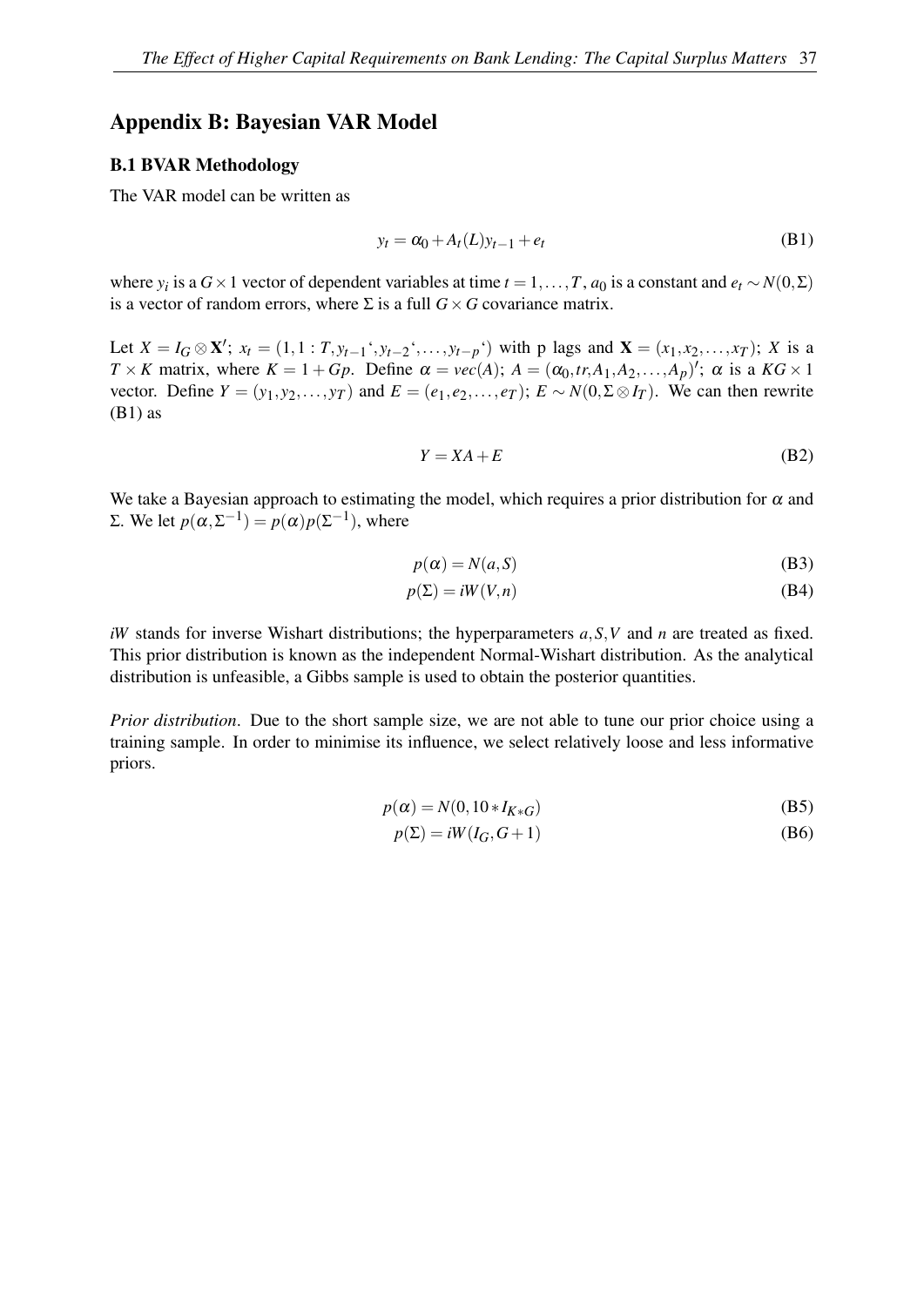#### <span id="page-38-0"></span>Appendix B: Bayesian VAR Model

#### B.1 BVAR Methodology

The VAR model can be written as

<span id="page-38-1"></span>
$$
y_t = \alpha_0 + A_t(L)y_{t-1} + e_t \tag{B1}
$$

where *y<sub>i</sub>* is a *G* × 1 vector of dependent variables at time *t* = 1, ..., *T*, *a*<sub>0</sub> is a constant and  $e_t \sim N(0, \Sigma)$ is a vector of random errors, where  $\Sigma$  is a full  $G \times G$  covariance matrix.

Let  $X = I_G \otimes \mathbf{X}'$ ;  $x_t = (1, 1 : T, y_{t-1}^*, y_{t-2}^*, \dots, y_{t-p}^*)$  with p lags and  $\mathbf{X} = (x_1, x_2, \dots, x_T)$ ; X is a  $T \times K$  matrix, where  $K = 1 + Gp$ . Define  $\alpha = vec(A)$ ;  $A = (\alpha_0, tr, A_1, A_2, ..., A_p)'$ ;  $\alpha$  is a  $KG \times 1$ vector. Define  $Y = (y_1, y_2, \dots, y_T)$  and  $E = (e_1, e_2, \dots, e_T)$ ;  $E \sim N(0, \Sigma \otimes I_T)$ . We can then rewrite  $(B1)$  as

$$
Y = XA + E \tag{B2}
$$

We take a Bayesian approach to estimating the model, which requires a prior distribution for  $\alpha$  and Σ. We let  $p(\alpha, \Sigma^{-1}) = p(\alpha)p(\Sigma^{-1})$ , where

$$
p(\alpha) = N(a, S) \tag{B3}
$$

$$
p(\Sigma) = iW(V, n) \tag{B4}
$$

*iW* stands for inverse Wishart distributions; the hyperparameters *a*,*S*,*V* and *n* are treated as fixed. This prior distribution is known as the independent Normal-Wishart distribution. As the analytical distribution is unfeasible, a Gibbs sample is used to obtain the posterior quantities.

*Prior distribution*. Due to the short sample size, we are not able to tune our prior choice using a training sample. In order to minimise its influence, we select relatively loose and less informative priors.

$$
p(\alpha) = N(0, 10 \ast I_{K \ast G})
$$
\n(B5)

$$
p(\Sigma) = iW(I_G, G+1)
$$
 (B6)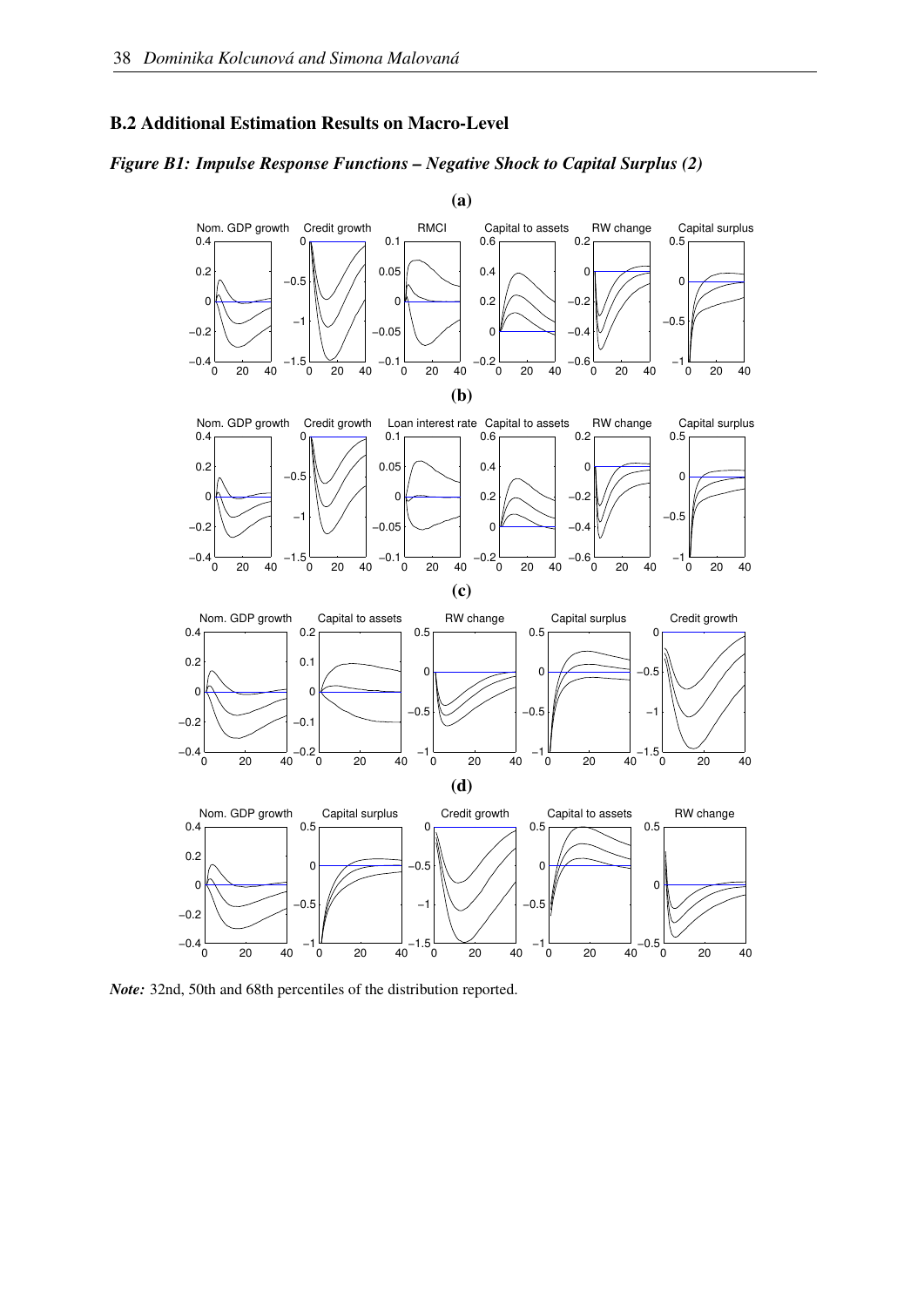#### B.2 Additional Estimation Results on Macro-Level

#### *Figure B1: Impulse Response Functions – Negative Shock to Capital Surplus (2)*



*Note:* 32nd, 50th and 68th percentiles of the distribution reported.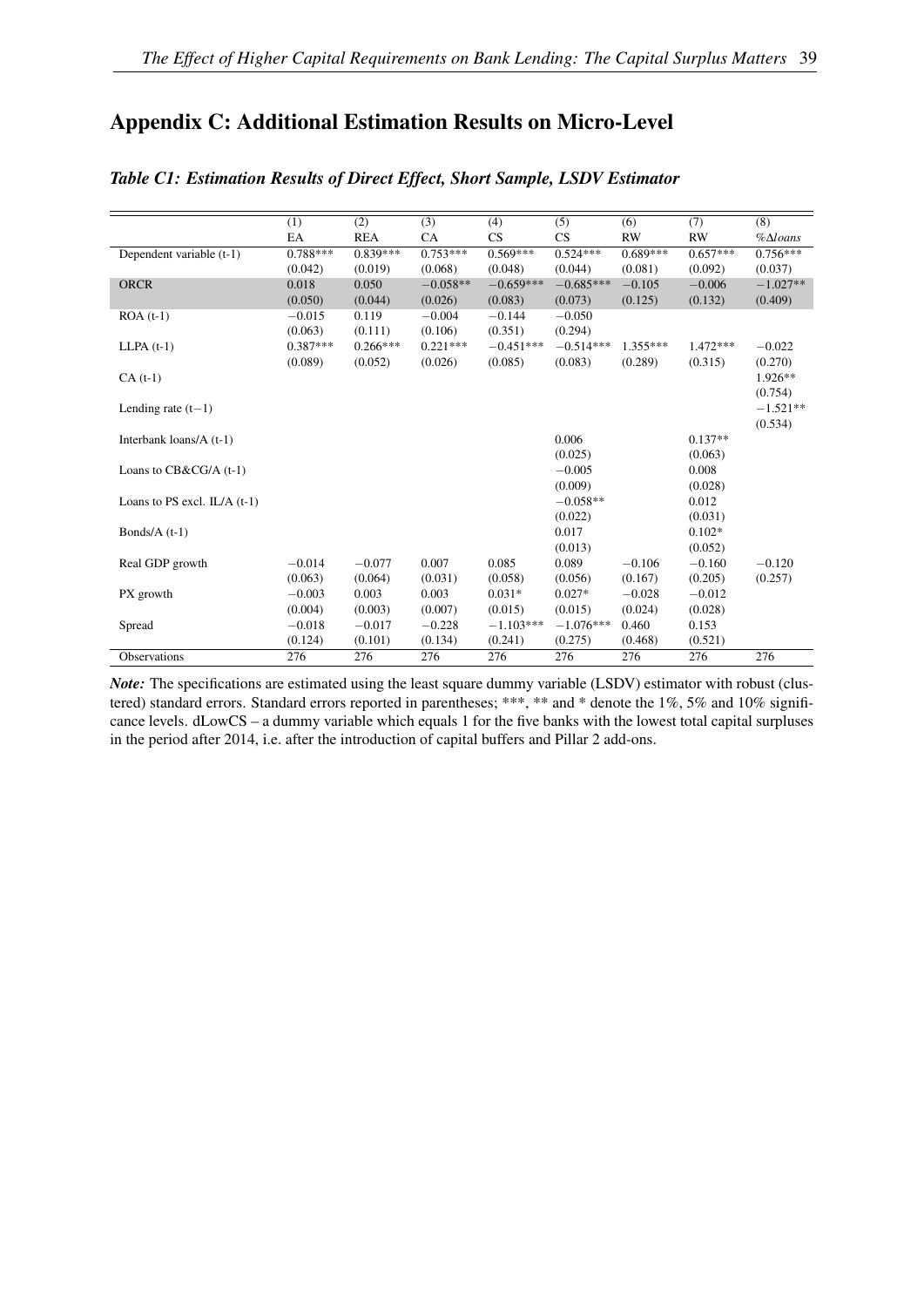## <span id="page-40-0"></span>Appendix C: Additional Estimation Results on Micro-Level

|                                | (1)        | (2)        | (3)        | (4)         | (5)         | (6)        | (7)        | (8)                   |
|--------------------------------|------------|------------|------------|-------------|-------------|------------|------------|-----------------------|
|                                | EA         | <b>REA</b> | CA         | CS          | CS          | <b>RW</b>  | <b>RW</b>  | $%$ $\triangle$ loans |
| Dependent variable (t-1)       | $0.788***$ | $0.839***$ | $0.753***$ | $0.569***$  | $0.524***$  | $0.689***$ | $0.657***$ | $0.756***$            |
|                                | (0.042)    | (0.019)    | (0.068)    | (0.048)     | (0.044)     | (0.081)    | (0.092)    | (0.037)               |
| <b>ORCR</b>                    | 0.018      | 0.050      | $-0.058**$ | $-0.659***$ | $-0.685***$ | $-0.105$   | $-0.006$   | $-1.027**$            |
|                                | (0.050)    | (0.044)    | (0.026)    | (0.083)     | (0.073)     | (0.125)    | (0.132)    | (0.409)               |
| $ROA(t-1)$                     | $-0.015$   | 0.119      | $-0.004$   | $-0.144$    | $-0.050$    |            |            |                       |
|                                | (0.063)    | (0.111)    | (0.106)    | (0.351)     | (0.294)     |            |            |                       |
| $LLPA(t-1)$                    | $0.387***$ | $0.266***$ | $0.221***$ | $-0.451***$ | $-0.514***$ | $1.355***$ | $1.472***$ | $-0.022$              |
|                                | (0.089)    | (0.052)    | (0.026)    | (0.085)     | (0.083)     | (0.289)    | (0.315)    | (0.270)               |
| $CA(t-1)$                      |            |            |            |             |             |            |            | $1.926**$             |
|                                |            |            |            |             |             |            |            | (0.754)               |
| Lending rate $(t-1)$           |            |            |            |             |             |            |            | $-1.521**$            |
|                                |            |            |            |             |             |            |            | (0.534)               |
| Interbank loans/ $A(t-1)$      |            |            |            |             | 0.006       |            | $0.137**$  |                       |
|                                |            |            |            |             | (0.025)     |            | (0.063)    |                       |
| Loans to CB&CG/A (t-1)         |            |            |            |             | $-0.005$    |            | 0.008      |                       |
|                                |            |            |            |             | (0.009)     |            | (0.028)    |                       |
| Loans to PS excl. $IL/A$ (t-1) |            |            |            |             | $-0.058**$  |            | 0.012      |                       |
|                                |            |            |            |             | (0.022)     |            | (0.031)    |                       |
| Bonds/ $A(t-1)$                |            |            |            |             | 0.017       |            | $0.102*$   |                       |
|                                |            |            |            |             | (0.013)     |            | (0.052)    |                       |
| Real GDP growth                | $-0.014$   | $-0.077$   | 0.007      | 0.085       | 0.089       | $-0.106$   | $-0.160$   | $-0.120$              |
|                                | (0.063)    | (0.064)    | (0.031)    | (0.058)     | (0.056)     | (0.167)    | (0.205)    | (0.257)               |
| PX growth                      | $-0.003$   | 0.003      | 0.003      | $0.031*$    | $0.027*$    | $-0.028$   | $-0.012$   |                       |
|                                | (0.004)    | (0.003)    | (0.007)    | (0.015)     | (0.015)     | (0.024)    | (0.028)    |                       |
| Spread                         | $-0.018$   | $-0.017$   | $-0.228$   | $-1.103***$ | $-1.076***$ | 0.460      | 0.153      |                       |
|                                | (0.124)    | (0.101)    | (0.134)    | (0.241)     | (0.275)     | (0.468)    | (0.521)    |                       |
| <b>Observations</b>            | 276        | 276        | 276        | 276         | 276         | 276        | 276        | 276                   |

#### *Table C1: Estimation Results of Direct Effect, Short Sample, LSDV Estimator*

*Note:* The specifications are estimated using the least square dummy variable (LSDV) estimator with robust (clustered) standard errors. Standard errors reported in parentheses; \*\*\*, \*\* and \* denote the 1%, 5% and 10% significance levels. dLowCS – a dummy variable which equals 1 for the five banks with the lowest total capital surpluses in the period after 2014, i.e. after the introduction of capital buffers and Pillar 2 add-ons.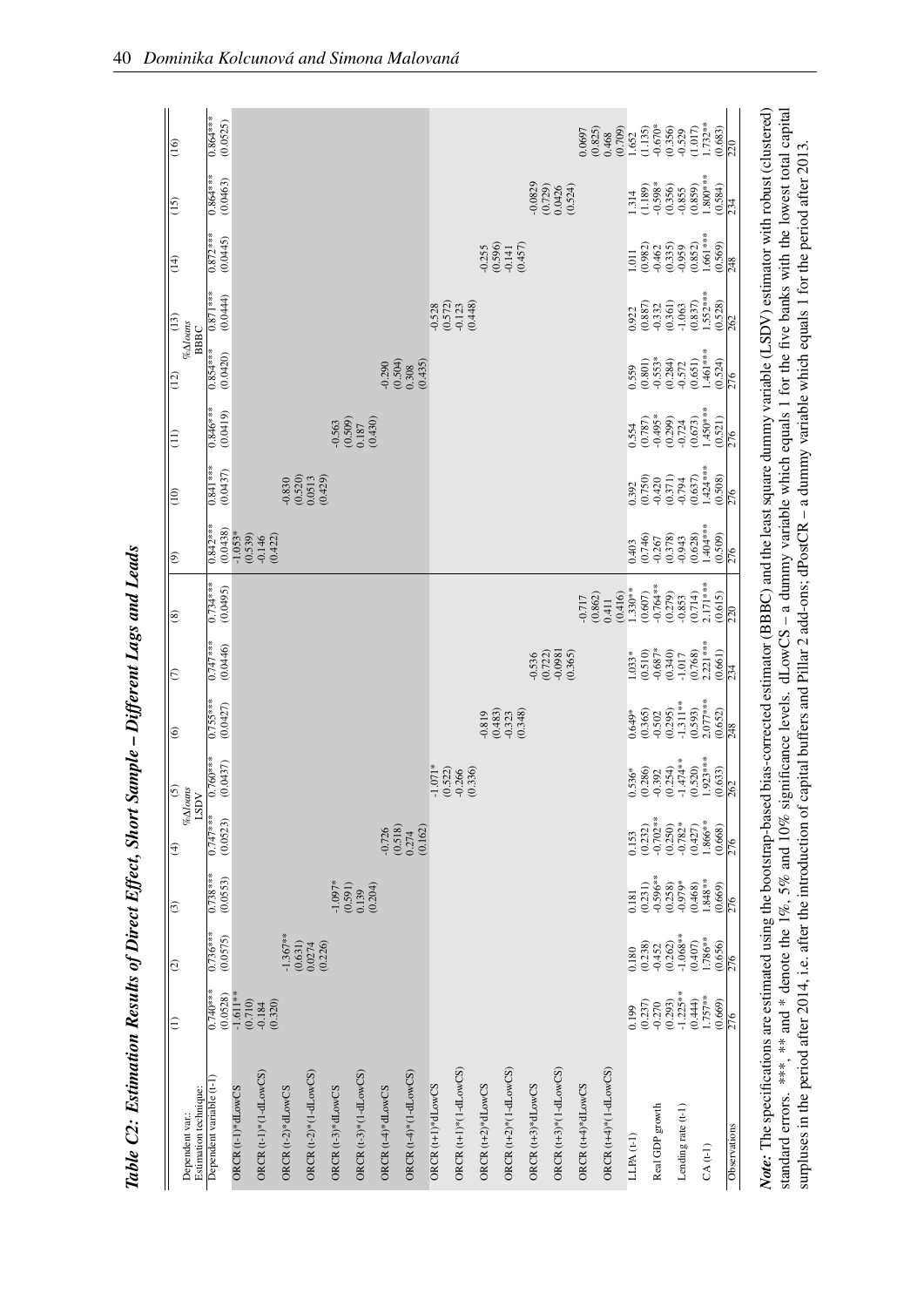| Estimation technique:<br>Dependent var. | $\Xi$                            | $ \widehat{\circ} $              | ∣⊕                              | ⊜                             | S<br>$% \Delta$ loans<br>LSDV                               | ∣ତ                               | $ \varepsilon$                   | ∣ଛ                               | ∣୭                              | $\boxed{0}$                      | $\widehat{\Xi}$                  | $\sqrt{(12)}$                  | $\sqrt{13}$<br>$\% \Delta loans$<br>BBBC | $\overline{14}$                  | $\sqrt{15}$                         | $\boxed{6}$                      |
|-----------------------------------------|----------------------------------|----------------------------------|---------------------------------|-------------------------------|-------------------------------------------------------------|----------------------------------|----------------------------------|----------------------------------|---------------------------------|----------------------------------|----------------------------------|--------------------------------|------------------------------------------|----------------------------------|-------------------------------------|----------------------------------|
| Dependent variable (t-1)                | $0.740***$<br>(0.0528)           | $0.736***$<br>(0.0575)           | $0.738***$<br>(0.0553)          | $0.747***$<br>(0.0523)        | $0.760***$<br>(0.0437)                                      | $0.755***$<br>(0.0427)           | $0.747***$<br>(0.0446)           | $0.734***$<br>(0.0495)           | $0.842***$<br>(0.0438)          | $0.841***$<br>(0.0437)           | $0.846***$<br>(0.0419)           | $0.854***$<br>(0.0420)         | $0.871***$<br>(0.0444)                   | $0.872***$<br>(0.0445)           | $0.864***$<br>(0.0463)              | $0.864***$<br>(0.0525)           |
| ORCR (t-1)*dLowCS                       | $-1.611**$<br>(0.710)            |                                  |                                 |                               |                                                             |                                  |                                  |                                  | $-1.053*$<br>(0.539)            |                                  |                                  |                                |                                          |                                  |                                     |                                  |
| ORCR (t-1)*(1-dLowCS)                   | (0.320)<br>$-0.184$              |                                  |                                 |                               |                                                             |                                  |                                  |                                  | (0.422)<br>$-0.146$             |                                  |                                  |                                |                                          |                                  |                                     |                                  |
| ORCR (t-2)*dLowCS                       |                                  | $1.367***$                       |                                 |                               |                                                             |                                  |                                  |                                  |                                 | $-0.830$                         |                                  |                                |                                          |                                  |                                     |                                  |
| ORCR $(t-2)*$ $(1-dLowCS)$              |                                  | (0.631)<br>(0.226)<br>0.0274     |                                 |                               |                                                             |                                  |                                  |                                  |                                 | (0.520)<br>(0.429)<br>0.0513     |                                  |                                |                                          |                                  |                                     |                                  |
| ORCR (t-3)*dLowCS                       |                                  |                                  | $-1.097*$<br>(0.591)            |                               |                                                             |                                  |                                  |                                  |                                 |                                  | (0.509)<br>$-0.563$              |                                |                                          |                                  |                                     |                                  |
| ORCR $(t-3)*$ $(1-dLowCS)$              |                                  |                                  | (0.204)<br>0.139                |                               |                                                             |                                  |                                  |                                  |                                 |                                  | (0.430)<br>0.187                 |                                |                                          |                                  |                                     |                                  |
| ORCR (t-4)*dLowCS                       |                                  |                                  |                                 | (0.518)<br>$-0.726$           |                                                             |                                  |                                  |                                  |                                 |                                  |                                  | $-0.290$                       |                                          |                                  |                                     |                                  |
| ORCR $(t-4)^*(1-dLowCS)$                |                                  |                                  |                                 | (0.162)<br>0.274              |                                                             |                                  |                                  |                                  |                                 |                                  |                                  | $(0.504)$<br>0.308<br>(0.435)  |                                          |                                  |                                     |                                  |
| ORCR (t+1)*dLowCS                       |                                  |                                  |                                 |                               |                                                             |                                  |                                  |                                  |                                 |                                  |                                  |                                | $-0.528$                                 |                                  |                                     |                                  |
| ORCR $(t+1)*$ $(1-dLowCS)$              |                                  |                                  |                                 |                               | $-1.071$ <sup>*</sup><br>$(0.522)$<br>$-0.266$<br>$-0.336)$ |                                  |                                  |                                  |                                 |                                  |                                  |                                | $\frac{(0.572)}{0.123}$                  |                                  |                                     |                                  |
| ORCR (t+2)*dLowCS                       |                                  |                                  |                                 |                               |                                                             | $-0.819$                         |                                  |                                  |                                 |                                  |                                  |                                | (0.448)                                  | $-0.255$                         |                                     |                                  |
| ORCR (t+2)*(1-dLowCS)                   |                                  |                                  |                                 |                               |                                                             | $(0.483)$<br>$-0.323$<br>(0.348) |                                  |                                  |                                 |                                  |                                  |                                |                                          | (0.596)<br>(0.457)<br>$-0.141$   |                                     |                                  |
| ORCR (t+3)*dLowCS                       |                                  |                                  |                                 |                               |                                                             |                                  | (0.722)<br>$-0.536$              |                                  |                                 |                                  |                                  |                                |                                          |                                  | $-0.0829$<br>(0.729)                |                                  |
| ORCR (t+3)*(1-dLowCS)                   |                                  |                                  |                                 |                               |                                                             |                                  | $-0.0981$<br>(0.365)             |                                  |                                 |                                  |                                  |                                |                                          |                                  | (0.524)<br>0.0426                   |                                  |
| ORCR (t+4)*dLowCS                       |                                  |                                  |                                 |                               |                                                             |                                  |                                  | $-0.717$                         |                                 |                                  |                                  |                                |                                          |                                  |                                     | 0.0697                           |
| ORCR (t+4)*(1-dLowCS)                   |                                  |                                  |                                 |                               |                                                             |                                  |                                  | (0.416)<br>(0.862)<br>0.411      |                                 |                                  |                                  |                                |                                          |                                  |                                     | (0.825)<br>(0.709)<br>0.468      |
| $LLPA(t-1)$                             | 0.199                            | 0.180                            | 0.181                           | 0.153                         |                                                             | $0.649*$                         | 1.033*                           | $1.330**$                        | 0.403                           | 0.392                            | 0.554                            | 0.559                          | 0.922                                    | 1.011                            | 1.314                               | 1.652                            |
| Real GDP growth                         | $-0.270$<br>$(0.293)$<br>(0.237) | $-0.452$<br>$(0.262)$<br>(0.238) | $-0.596***$<br>(0.231)          | $-0.702**$<br>(0.232)         | $\begin{array}{c} 0.536^* \\ (0.286) \\ -0.392 \end{array}$ | (0.365)<br>$-0.502$              | $-0.687*$<br>(0.510)             | $-0.764**$<br>(0.607)            | (0.746)<br>$-0.267$             | (0.750)<br>$-0.420$              | $-0.495*$<br>(0.787)             | $-0.553*$<br>(0.801)           | (0.887)<br>$-0.332$                      | $-0.462$<br>$(0.335)$<br>(0.982) | $\frac{0.598*}{(0.356)}$<br>(1.189) | $-0.670*$<br>(1.135)             |
| Lending rate (t-1)                      | $-1.225**$                       | $-1.068**$                       | $-0.979*$<br>(0.258)            | $-0.782*$<br>(0.250)          | $-1.474**$<br>(0.520)<br>(0.254)                            | $-1.311***$<br>(0.295)           | (0.340)<br>$-1.017$              | (0.279)<br>$-0.853$              | (0.378)<br>$-0.943$             | (0.371)<br>$-0.794$              | (0.299)<br>$-0.724$              | (0.284)<br>$-0.572$            | (0.361)<br>$-1.063$                      | $-0.959$                         | $-0.855$                            | (0.356)<br>$-0.529$              |
| $CA(t-1)$                               | $1.757**$<br>(0.444)<br>(0.669)  | 1.786**<br>(0.407)<br>(0.656)    | $1.848**$<br>(0.468)<br>(0.669) | 1.866**<br>(0.427)<br>(0.668) | $\frac{1.923***}{262}$                                      | $2.077***$<br>(0.593)<br>(0.652) | $2.221***$<br>(0.661)<br>(0.768) | $2.171***$<br>(0.714)<br>(0.615) | 1.404 ***<br>(0.509)<br>(0.628) | $1.424***$<br>(0.508)<br>(0.637) | $1.450***$<br>(0.521)<br>(0.673) | 1.461***<br>(0.524)<br>(0.651) | $1.552***$<br>(0.528)<br>(0.837)         | 1.661***<br>(0.569)<br>(0.852)   | $1.800***$<br>(0.859)<br>(0.584)    | $1.732***$<br>(0.683)<br>(1.017) |
| Observations                            | $\frac{5}{276}$                  | $\frac{5}{276}$                  | $\frac{5}{276}$                 | $\frac{5}{276}$               |                                                             | $\frac{8}{248}$                  | $\frac{234}{ }$                  | $\overline{220}$                 | $\frac{9L}{2}$                  | $\frac{5}{276}$                  | $\frac{5}{276}$                  | $\frac{5}{276}$                | 262                                      | $\frac{8}{24}$                   | $\overline{234}$                    | $\overline{20}$                  |

Table C2: Estimation Results of Direct Effect, Short Sample - Different Lags and Leads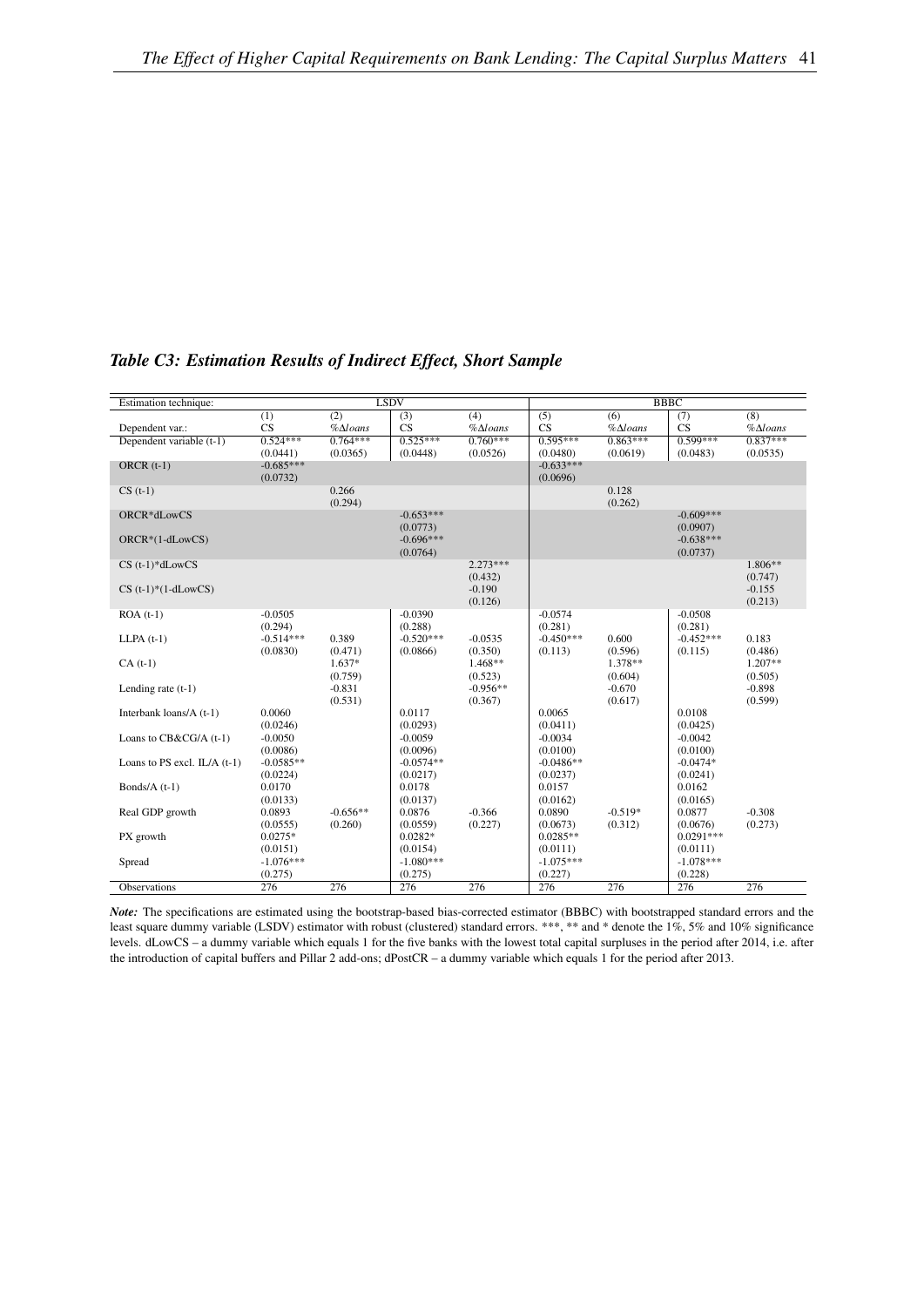| Estimation technique:          |                         |                       | <b>LSDV</b>                         |                       |                         |                       | <b>BBBC</b>                         |                       |
|--------------------------------|-------------------------|-----------------------|-------------------------------------|-----------------------|-------------------------|-----------------------|-------------------------------------|-----------------------|
|                                | (1)                     | (2)                   | (3)                                 | (4)                   | (5)                     | (6)                   | (7)                                 | $\overline{(8)}$      |
| Dependent var.:                | CS                      | $%$ $\triangle$ loans | <b>CS</b>                           | $%$ $\triangle$ loans | CS                      | $%$ $\triangle$ loans | CS                                  | $%$ $\triangle$ loans |
| Dependent variable (t-1)       | $0.524***$              | $0.764***$            | $0.525***$                          | $0.760***$            | $0.595***$              | $0.863***$            | $0.599***$                          | $0.837***$            |
|                                | (0.0441)                | (0.0365)              | (0.0448)                            | (0.0526)              | (0.0480)                | (0.0619)              | (0.0483)                            | (0.0535)              |
| ORCR $(t-1)$                   | $-0.685***$<br>(0.0732) |                       |                                     |                       | $-0.633***$<br>(0.0696) |                       |                                     |                       |
| $CS(t-1)$                      |                         | 0.266<br>(0.294)      |                                     |                       |                         | 0.128<br>(0.262)      |                                     |                       |
| ORCR*dLowCS                    |                         |                       | $-0.653***$                         |                       |                         |                       | $-0.609***$                         |                       |
| ORCR*(1-dLowCS)                |                         |                       | (0.0773)<br>$-0.696***$<br>(0.0764) |                       |                         |                       | (0.0907)<br>$-0.638***$<br>(0.0737) |                       |
| $CS$ (t-1)*dLowCS              |                         |                       |                                     | $2.273***$            |                         |                       |                                     | 1.806**               |
|                                |                         |                       |                                     | (0.432)               |                         |                       |                                     | (0.747)               |
| $CS$ (t-1)*(1-dLowCS)          |                         |                       |                                     | $-0.190$              |                         |                       |                                     | $-0.155$              |
|                                |                         |                       |                                     | (0.126)               |                         |                       | $-0.0508$                           | (0.213)               |
| $ROA(t-1)$                     | $-0.0505$<br>(0.294)    |                       | $-0.0390$<br>(0.288)                |                       | $-0.0574$<br>(0.281)    |                       | (0.281)                             |                       |
| $LLPA(t-1)$                    | $-0.514***$             | 0.389                 | $-0.520***$                         | $-0.0535$             | $-0.450***$             | 0.600                 | $-0.452***$                         | 0.183                 |
|                                | (0.0830)                | (0.471)               | (0.0866)                            | (0.350)               | (0.113)                 | (0.596)               | (0.115)                             | (0.486)               |
| $CA(t-1)$                      |                         | $1.637*$              |                                     | 1.468**               |                         | 1.378**               |                                     | $1.207**$             |
|                                |                         | (0.759)               |                                     | (0.523)               |                         | (0.604)               |                                     | (0.505)               |
| Lending rate $(t-1)$           |                         | $-0.831$              |                                     | $-0.956**$            |                         | $-0.670$              |                                     | $-0.898$              |
|                                |                         | (0.531)               |                                     | (0.367)               |                         | (0.617)               |                                     | (0.599)               |
| Interbank loans/A (t-1)        | 0.0060                  |                       | 0.0117                              |                       | 0.0065                  |                       | 0.0108                              |                       |
|                                | (0.0246)                |                       | (0.0293)                            |                       | (0.0411)                |                       | (0.0425)                            |                       |
| Loans to CB&CG/A (t-1)         | $-0.0050$               |                       | $-0.0059$                           |                       | $-0.0034$               |                       | $-0.0042$                           |                       |
|                                | (0.0086)                |                       | (0.0096)                            |                       | (0.0100)                |                       | (0.0100)                            |                       |
| Loans to PS excl. $IL/A$ (t-1) | $-0.0585**$<br>(0.0224) |                       | $-0.0574**$<br>(0.0217)             |                       | $-0.0486**$<br>(0.0237) |                       | $-0.0474*$<br>(0.0241)              |                       |
| Bonds/ $A(t-1)$                | 0.0170                  |                       | 0.0178                              |                       | 0.0157                  |                       | 0.0162                              |                       |
|                                | (0.0133)                |                       | (0.0137)                            |                       | (0.0162)                |                       | (0.0165)                            |                       |
| Real GDP growth                | 0.0893                  | $-0.656**$            | 0.0876                              | $-0.366$              | 0.0890                  | $-0.519*$             | 0.0877                              | $-0.308$              |
|                                | (0.0555)                | (0.260)               | (0.0559)                            | (0.227)               | (0.0673)                | (0.312)               | (0.0676)                            | (0.273)               |
| PX growth                      | $0.0275*$               |                       | $0.0282*$                           |                       | $0.0285**$              |                       | $0.0291***$                         |                       |
|                                | (0.0151)                |                       | (0.0154)                            |                       | (0.0111)                |                       | (0.0111)                            |                       |
| Spread                         | $-1.076***$             |                       | $-1.080***$                         |                       | $-1.075***$             |                       | $-1.078***$                         |                       |
|                                | (0.275)                 |                       | (0.275)                             |                       | (0.227)                 |                       | (0.228)                             |                       |
| <b>Observations</b>            | 276                     | 276                   | 276                                 | 276                   | 276                     | 276                   | 276                                 | 276                   |

#### *Table C3: Estimation Results of Indirect Effect, Short Sample*

*Note:* The specifications are estimated using the bootstrap-based bias-corrected estimator (BBBC) with bootstrapped standard errors and the least square dummy variable (LSDV) estimator with robust (clustered) standard errors. \*\*\*, \*\* and \* denote the 1%, 5% and 10% significance levels. dLowCS – a dummy variable which equals 1 for the five banks with the lowest total capital surpluses in the period after 2014, i.e. after the introduction of capital buffers and Pillar 2 add-ons; dPostCR – a dummy variable which equals 1 for the period after 2013.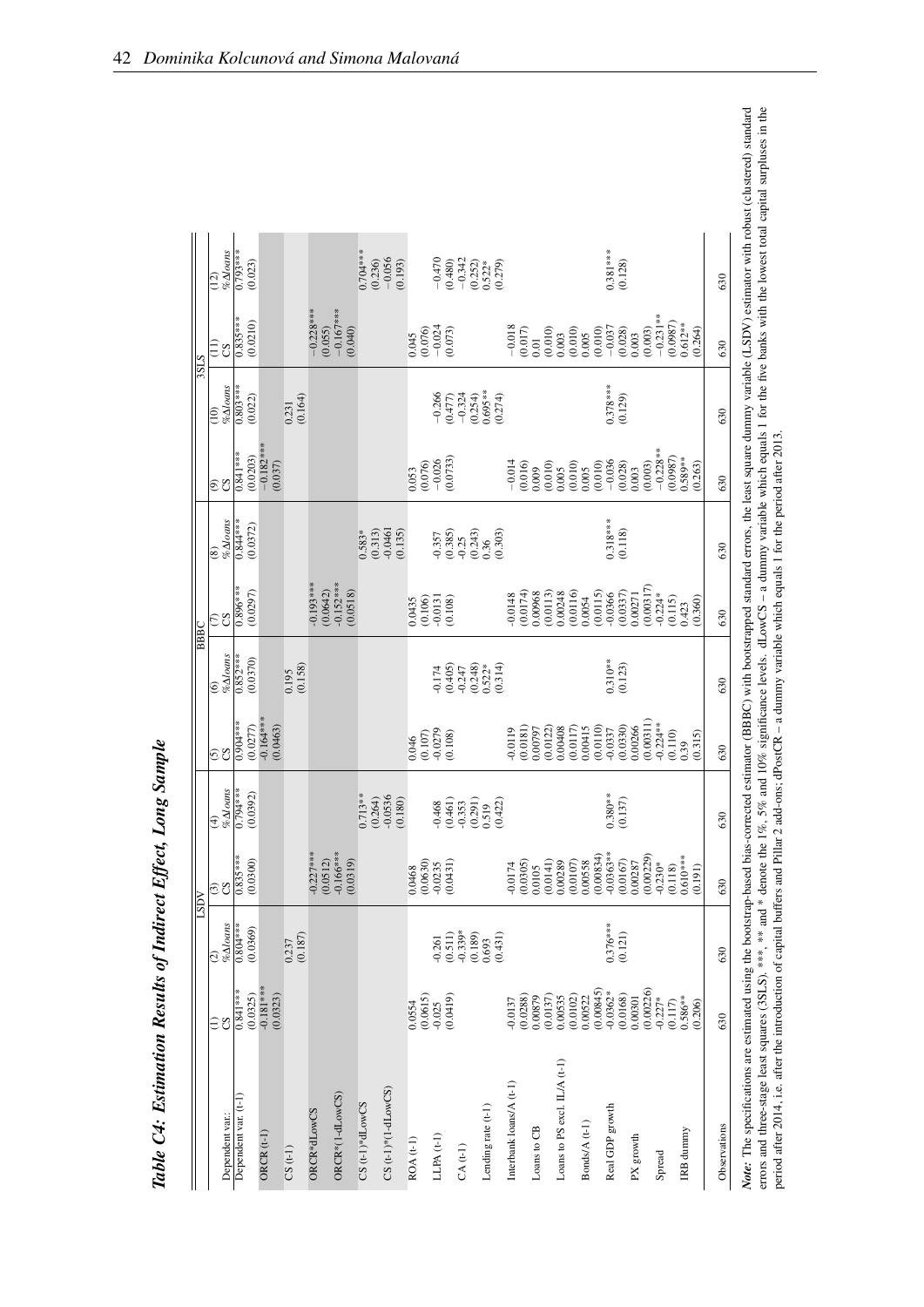| $0.378***$<br>$(0.129)$<br>%Aloans<br>$0.803***$<br>$(0.254)$<br>$0.695***$<br>$(0.274)$<br>$-0.324$<br>(0.022)<br>$-0.266$<br>(0.164)<br>(0.477)<br>0.231<br>$\widehat{=}$<br>$-0.182***$<br>$-0.228**$<br>$0.841***$<br>(0.0203)<br>(0.0987)<br>(0.0733)<br>$0.589**$<br>$-0.026$<br>$-0.036$<br>$-0.014$<br>(0.003)<br>(0.037)<br>(0.016)<br>(0.010)<br>(0.028)<br>(0.263)<br>(0.076)<br>(0.010)<br>$(0.010)$<br>$0.005$<br>0.009<br>0.005<br>0.003<br>0.053<br>වි පි<br>$0.318***$<br>$% \Delta$ loans<br>$0.844***$<br>(0.0372)<br>(0.313)<br>$-0.357$<br>$(0.385)$<br>$-0.25$<br>(0.243)<br>(0.118)<br>$-0.0461$<br>(0.135)<br>0.583*<br>$\frac{0.36}{(0.303)}$<br>$\overline{\circ}$<br>$0.193***$<br>$-0.152***$<br>(0.00317)<br>$0.896***$<br>(0.0297)<br>(0.0642)<br>(0.0116)<br>(0.0115)<br>(0.0518)<br>(0.0113)<br>0.00248<br>(0.0337)<br>(0.0174)<br>0.00968<br>$-0.0366$<br>$-0.224*$<br>0.00271<br>0.0148<br>0.0054<br>(0.115)<br>$\begin{array}{c} (0.106) \\ -0.0131 \\ (0.108) \end{array}$<br>(0.360)<br>0.0435<br>0.423<br>εg<br>$% \Delta$ loans<br>$0.852***$<br>(0.0370)<br>$0.310***$<br>$(0.123)$<br>(0.158)<br>(0.248)<br>$-0.174$<br>$(0.405)$<br>$-0.247$<br>$0.522*$<br>(0.314)<br>0.195<br>$\widehat{\mathbf{e}}$<br>$-0.164***$<br>(0.00311)<br>$0.904***$<br>$-0.224**$<br>(0.0277)<br>(0.0463)<br>(0.0110)<br>(0.0330)<br>0.00266<br>(0.0117)<br>0.00415<br>(0.0181)<br>(0.0122)<br>0.00408<br>0.00797<br>$-0.0337$<br>$-0.0119$<br>$-0.0279$<br>$(0.108)$<br>(0.110)<br>(0.315)<br>(0.107)<br>0.046<br>0.39<br>$\overline{3}$<br>$% \Delta$ loans<br>$0.794***$<br>(0.0392)<br>$0.380**$<br>$0.713**$<br>$-0.0536$<br>(0.264)<br>(0.180)<br>(0.137)<br>$(0.461)$<br>$-0.353$<br>(0.291)<br>(0.422)<br>$-0.468$<br>0.519<br>$\widehat{\mathcal{F}}$<br>$-0.0363**$<br>$0.835***$<br>$-0.227***$<br>(0.00229)<br>$0.610***$<br>$-0.166***$<br>(0.00834)<br>(0.0300)<br>(0.0512)<br>(0.0630)<br>(0.0167)<br>(0.0319)<br>(0.0141)<br>$(0.0107)$<br>$0.00558$<br>0.00287<br>(0.0431)<br>(0.0305)<br>0.00289<br>$-0.230*$<br>$-0.0235$<br>$-0.0174$<br>(0.118)<br>0.0105<br>0.0468<br>(0.191)<br>විරි<br>$% \Delta loans$<br>$0.376***$<br>$0.804***$<br>(0.0369)<br>$-0.339*$<br>(0.187)<br>(0.121)<br>(0.511)<br>(0.189)<br>(0.431)<br>$-0.261$<br>0.237<br>0.693<br>$\widehat{\circ}$<br>$-0.181***$<br>(0.00845)<br>(0.00226)<br>$0.841***$<br>$-0.0362*$<br>(0.0325)<br>(0.0615)<br>(0.0168)<br>(0.0323)<br>(0.0419)<br>(0.0102)<br>(0.0288)<br>(0.0137)<br>$0.586***$<br>0.00879<br>0.00535<br>0.00522<br>0.00301<br>$-0.227*$<br>$-0.0137$<br>(0.117)<br>0.0554<br>(0.206)<br>$-0.025$<br>$\widehat{\Xi}$<br>Loans to PS excl. IL/A (t-1)<br>Interbank loans/A (t-1)<br>$CS$ (t-1)*(1-dLowCS)<br>ORCR*(1-dLowCS)<br>Dependent var. (t-1)<br>$CS$ (t-1)* $dLowCS$<br>Lending rate (t-1)<br>Real GDP growth<br>ORCR*dLowCS<br>Dependent var.:<br>Bonds/A (t-1)<br>Loans to CB<br>IRB dunnny<br>ORCR $(t-1)$<br>LLPA $(t-1)$<br>PX growth<br>$ROA(t-1)$<br>$CA(t-1)$<br>$CS(t-1)$<br>Spread |              |     |     | <b>NGT</b> |     |     | BBBC |     |     |     | <b>STS</b> |                                                         |                          |
|-----------------------------------------------------------------------------------------------------------------------------------------------------------------------------------------------------------------------------------------------------------------------------------------------------------------------------------------------------------------------------------------------------------------------------------------------------------------------------------------------------------------------------------------------------------------------------------------------------------------------------------------------------------------------------------------------------------------------------------------------------------------------------------------------------------------------------------------------------------------------------------------------------------------------------------------------------------------------------------------------------------------------------------------------------------------------------------------------------------------------------------------------------------------------------------------------------------------------------------------------------------------------------------------------------------------------------------------------------------------------------------------------------------------------------------------------------------------------------------------------------------------------------------------------------------------------------------------------------------------------------------------------------------------------------------------------------------------------------------------------------------------------------------------------------------------------------------------------------------------------------------------------------------------------------------------------------------------------------------------------------------------------------------------------------------------------------------------------------------------------------------------------------------------------------------------------------------------------------------------------------------------------------------------------------------------------------------------------------------------------------------------------------------------------------------------------------------------------------------------------------------------------------------------------------------------------------------------------------------------------------------------------------------------------------------------------------------------------------------------------------------------------------------------------------------------------------------------------------------------------------------------------------------------------------------------------------------------------------------------------------------------------------|--------------|-----|-----|------------|-----|-----|------|-----|-----|-----|------------|---------------------------------------------------------|--------------------------|
|                                                                                                                                                                                                                                                                                                                                                                                                                                                                                                                                                                                                                                                                                                                                                                                                                                                                                                                                                                                                                                                                                                                                                                                                                                                                                                                                                                                                                                                                                                                                                                                                                                                                                                                                                                                                                                                                                                                                                                                                                                                                                                                                                                                                                                                                                                                                                                                                                                                                                                                                                                                                                                                                                                                                                                                                                                                                                                                                                                                                                             |              |     |     |            |     |     |      |     |     |     |            | Ξ<br><b>SC</b>                                          | $%$ <i>Moans</i><br>(12) |
|                                                                                                                                                                                                                                                                                                                                                                                                                                                                                                                                                                                                                                                                                                                                                                                                                                                                                                                                                                                                                                                                                                                                                                                                                                                                                                                                                                                                                                                                                                                                                                                                                                                                                                                                                                                                                                                                                                                                                                                                                                                                                                                                                                                                                                                                                                                                                                                                                                                                                                                                                                                                                                                                                                                                                                                                                                                                                                                                                                                                                             |              |     |     |            |     |     |      |     |     |     |            | $0.835***$<br>(0.0210)                                  | $0.793***$<br>(0.023)    |
|                                                                                                                                                                                                                                                                                                                                                                                                                                                                                                                                                                                                                                                                                                                                                                                                                                                                                                                                                                                                                                                                                                                                                                                                                                                                                                                                                                                                                                                                                                                                                                                                                                                                                                                                                                                                                                                                                                                                                                                                                                                                                                                                                                                                                                                                                                                                                                                                                                                                                                                                                                                                                                                                                                                                                                                                                                                                                                                                                                                                                             |              |     |     |            |     |     |      |     |     |     |            |                                                         |                          |
|                                                                                                                                                                                                                                                                                                                                                                                                                                                                                                                                                                                                                                                                                                                                                                                                                                                                                                                                                                                                                                                                                                                                                                                                                                                                                                                                                                                                                                                                                                                                                                                                                                                                                                                                                                                                                                                                                                                                                                                                                                                                                                                                                                                                                                                                                                                                                                                                                                                                                                                                                                                                                                                                                                                                                                                                                                                                                                                                                                                                                             |              |     |     |            |     |     |      |     |     |     |            |                                                         |                          |
|                                                                                                                                                                                                                                                                                                                                                                                                                                                                                                                                                                                                                                                                                                                                                                                                                                                                                                                                                                                                                                                                                                                                                                                                                                                                                                                                                                                                                                                                                                                                                                                                                                                                                                                                                                                                                                                                                                                                                                                                                                                                                                                                                                                                                                                                                                                                                                                                                                                                                                                                                                                                                                                                                                                                                                                                                                                                                                                                                                                                                             |              |     |     |            |     |     |      |     |     |     |            | $-0.228***$<br>(0.055)                                  |                          |
|                                                                                                                                                                                                                                                                                                                                                                                                                                                                                                                                                                                                                                                                                                                                                                                                                                                                                                                                                                                                                                                                                                                                                                                                                                                                                                                                                                                                                                                                                                                                                                                                                                                                                                                                                                                                                                                                                                                                                                                                                                                                                                                                                                                                                                                                                                                                                                                                                                                                                                                                                                                                                                                                                                                                                                                                                                                                                                                                                                                                                             |              |     |     |            |     |     |      |     |     |     |            | $-0.167***$<br>(0.040)                                  |                          |
|                                                                                                                                                                                                                                                                                                                                                                                                                                                                                                                                                                                                                                                                                                                                                                                                                                                                                                                                                                                                                                                                                                                                                                                                                                                                                                                                                                                                                                                                                                                                                                                                                                                                                                                                                                                                                                                                                                                                                                                                                                                                                                                                                                                                                                                                                                                                                                                                                                                                                                                                                                                                                                                                                                                                                                                                                                                                                                                                                                                                                             |              |     |     |            |     |     |      |     |     |     |            |                                                         | $0.704***$<br>(0.236)    |
|                                                                                                                                                                                                                                                                                                                                                                                                                                                                                                                                                                                                                                                                                                                                                                                                                                                                                                                                                                                                                                                                                                                                                                                                                                                                                                                                                                                                                                                                                                                                                                                                                                                                                                                                                                                                                                                                                                                                                                                                                                                                                                                                                                                                                                                                                                                                                                                                                                                                                                                                                                                                                                                                                                                                                                                                                                                                                                                                                                                                                             |              |     |     |            |     |     |      |     |     |     |            |                                                         | $-0.056$<br>(0.193)      |
|                                                                                                                                                                                                                                                                                                                                                                                                                                                                                                                                                                                                                                                                                                                                                                                                                                                                                                                                                                                                                                                                                                                                                                                                                                                                                                                                                                                                                                                                                                                                                                                                                                                                                                                                                                                                                                                                                                                                                                                                                                                                                                                                                                                                                                                                                                                                                                                                                                                                                                                                                                                                                                                                                                                                                                                                                                                                                                                                                                                                                             |              |     |     |            |     |     |      |     |     |     |            | $0.045$<br>$(0.076)$                                    |                          |
|                                                                                                                                                                                                                                                                                                                                                                                                                                                                                                                                                                                                                                                                                                                                                                                                                                                                                                                                                                                                                                                                                                                                                                                                                                                                                                                                                                                                                                                                                                                                                                                                                                                                                                                                                                                                                                                                                                                                                                                                                                                                                                                                                                                                                                                                                                                                                                                                                                                                                                                                                                                                                                                                                                                                                                                                                                                                                                                                                                                                                             |              |     |     |            |     |     |      |     |     |     |            | $-0.024$                                                | $-0.470$                 |
|                                                                                                                                                                                                                                                                                                                                                                                                                                                                                                                                                                                                                                                                                                                                                                                                                                                                                                                                                                                                                                                                                                                                                                                                                                                                                                                                                                                                                                                                                                                                                                                                                                                                                                                                                                                                                                                                                                                                                                                                                                                                                                                                                                                                                                                                                                                                                                                                                                                                                                                                                                                                                                                                                                                                                                                                                                                                                                                                                                                                                             |              |     |     |            |     |     |      |     |     |     |            | (0.073)                                                 | $(0.480)$<br>-0.342      |
|                                                                                                                                                                                                                                                                                                                                                                                                                                                                                                                                                                                                                                                                                                                                                                                                                                                                                                                                                                                                                                                                                                                                                                                                                                                                                                                                                                                                                                                                                                                                                                                                                                                                                                                                                                                                                                                                                                                                                                                                                                                                                                                                                                                                                                                                                                                                                                                                                                                                                                                                                                                                                                                                                                                                                                                                                                                                                                                                                                                                                             |              |     |     |            |     |     |      |     |     |     |            |                                                         | (0.252)                  |
|                                                                                                                                                                                                                                                                                                                                                                                                                                                                                                                                                                                                                                                                                                                                                                                                                                                                                                                                                                                                                                                                                                                                                                                                                                                                                                                                                                                                                                                                                                                                                                                                                                                                                                                                                                                                                                                                                                                                                                                                                                                                                                                                                                                                                                                                                                                                                                                                                                                                                                                                                                                                                                                                                                                                                                                                                                                                                                                                                                                                                             |              |     |     |            |     |     |      |     |     |     |            |                                                         | $0.522*$<br>$(0.279)$    |
|                                                                                                                                                                                                                                                                                                                                                                                                                                                                                                                                                                                                                                                                                                                                                                                                                                                                                                                                                                                                                                                                                                                                                                                                                                                                                                                                                                                                                                                                                                                                                                                                                                                                                                                                                                                                                                                                                                                                                                                                                                                                                                                                                                                                                                                                                                                                                                                                                                                                                                                                                                                                                                                                                                                                                                                                                                                                                                                                                                                                                             |              |     |     |            |     |     |      |     |     |     |            |                                                         |                          |
|                                                                                                                                                                                                                                                                                                                                                                                                                                                                                                                                                                                                                                                                                                                                                                                                                                                                                                                                                                                                                                                                                                                                                                                                                                                                                                                                                                                                                                                                                                                                                                                                                                                                                                                                                                                                                                                                                                                                                                                                                                                                                                                                                                                                                                                                                                                                                                                                                                                                                                                                                                                                                                                                                                                                                                                                                                                                                                                                                                                                                             |              |     |     |            |     |     |      |     |     |     |            | $\begin{array}{c} -0.018 \\ 0.017) \\ 0.01 \end{array}$ |                          |
|                                                                                                                                                                                                                                                                                                                                                                                                                                                                                                                                                                                                                                                                                                                                                                                                                                                                                                                                                                                                                                                                                                                                                                                                                                                                                                                                                                                                                                                                                                                                                                                                                                                                                                                                                                                                                                                                                                                                                                                                                                                                                                                                                                                                                                                                                                                                                                                                                                                                                                                                                                                                                                                                                                                                                                                                                                                                                                                                                                                                                             |              |     |     |            |     |     |      |     |     |     |            | (0.010)                                                 |                          |
|                                                                                                                                                                                                                                                                                                                                                                                                                                                                                                                                                                                                                                                                                                                                                                                                                                                                                                                                                                                                                                                                                                                                                                                                                                                                                                                                                                                                                                                                                                                                                                                                                                                                                                                                                                                                                                                                                                                                                                                                                                                                                                                                                                                                                                                                                                                                                                                                                                                                                                                                                                                                                                                                                                                                                                                                                                                                                                                                                                                                                             |              |     |     |            |     |     |      |     |     |     |            | 0.003                                                   |                          |
|                                                                                                                                                                                                                                                                                                                                                                                                                                                                                                                                                                                                                                                                                                                                                                                                                                                                                                                                                                                                                                                                                                                                                                                                                                                                                                                                                                                                                                                                                                                                                                                                                                                                                                                                                                                                                                                                                                                                                                                                                                                                                                                                                                                                                                                                                                                                                                                                                                                                                                                                                                                                                                                                                                                                                                                                                                                                                                                                                                                                                             |              |     |     |            |     |     |      |     |     |     |            | $(0.010)$<br>$0.005$                                    |                          |
|                                                                                                                                                                                                                                                                                                                                                                                                                                                                                                                                                                                                                                                                                                                                                                                                                                                                                                                                                                                                                                                                                                                                                                                                                                                                                                                                                                                                                                                                                                                                                                                                                                                                                                                                                                                                                                                                                                                                                                                                                                                                                                                                                                                                                                                                                                                                                                                                                                                                                                                                                                                                                                                                                                                                                                                                                                                                                                                                                                                                                             |              |     |     |            |     |     |      |     |     |     |            | (0.010)                                                 |                          |
|                                                                                                                                                                                                                                                                                                                                                                                                                                                                                                                                                                                                                                                                                                                                                                                                                                                                                                                                                                                                                                                                                                                                                                                                                                                                                                                                                                                                                                                                                                                                                                                                                                                                                                                                                                                                                                                                                                                                                                                                                                                                                                                                                                                                                                                                                                                                                                                                                                                                                                                                                                                                                                                                                                                                                                                                                                                                                                                                                                                                                             |              |     |     |            |     |     |      |     |     |     |            | $-0.037$<br>(0.028)                                     | $0.381***$<br>(0.128)    |
|                                                                                                                                                                                                                                                                                                                                                                                                                                                                                                                                                                                                                                                                                                                                                                                                                                                                                                                                                                                                                                                                                                                                                                                                                                                                                                                                                                                                                                                                                                                                                                                                                                                                                                                                                                                                                                                                                                                                                                                                                                                                                                                                                                                                                                                                                                                                                                                                                                                                                                                                                                                                                                                                                                                                                                                                                                                                                                                                                                                                                             |              |     |     |            |     |     |      |     |     |     |            | (0.003)<br>0.003                                        |                          |
|                                                                                                                                                                                                                                                                                                                                                                                                                                                                                                                                                                                                                                                                                                                                                                                                                                                                                                                                                                                                                                                                                                                                                                                                                                                                                                                                                                                                                                                                                                                                                                                                                                                                                                                                                                                                                                                                                                                                                                                                                                                                                                                                                                                                                                                                                                                                                                                                                                                                                                                                                                                                                                                                                                                                                                                                                                                                                                                                                                                                                             |              |     |     |            |     |     |      |     |     |     |            | $-0.231***$                                             |                          |
|                                                                                                                                                                                                                                                                                                                                                                                                                                                                                                                                                                                                                                                                                                                                                                                                                                                                                                                                                                                                                                                                                                                                                                                                                                                                                                                                                                                                                                                                                                                                                                                                                                                                                                                                                                                                                                                                                                                                                                                                                                                                                                                                                                                                                                                                                                                                                                                                                                                                                                                                                                                                                                                                                                                                                                                                                                                                                                                                                                                                                             |              |     |     |            |     |     |      |     |     |     |            | (0.0987)<br>$0.612***$<br>(0.264)                       |                          |
|                                                                                                                                                                                                                                                                                                                                                                                                                                                                                                                                                                                                                                                                                                                                                                                                                                                                                                                                                                                                                                                                                                                                                                                                                                                                                                                                                                                                                                                                                                                                                                                                                                                                                                                                                                                                                                                                                                                                                                                                                                                                                                                                                                                                                                                                                                                                                                                                                                                                                                                                                                                                                                                                                                                                                                                                                                                                                                                                                                                                                             | Observations | 630 | 630 | 630        | 630 | 630 | 630  | 630 | 630 | 630 | 630        | 630                                                     | 630                      |

*Note*: The specifications are estimated using the bootstrap-based bias-corrected estimator (BBBC) with bootstrapped standard errors, the least square dummy variable (LSDV) estimator with robust (clustered) standard error Note: The specifications are estimated using the bootstrap-based bias-corrected estimator (bias-corrected estimator (bias-corrected estimator) standard bias-corrected bias-corrected) standard errors and three-stage least squares (3SLS). \*\*\*, and \* denote the 1%, 5% and 10% significance levels. dLowCS – a dummy variable which equals 1 for the five banks with the lowest total capital surpluses in the period after 2014, i.e. after the introduction of capital buffers and Pillar 2 add-ons; dPostCR – a dummy variable which equals 1 for the period after 2013.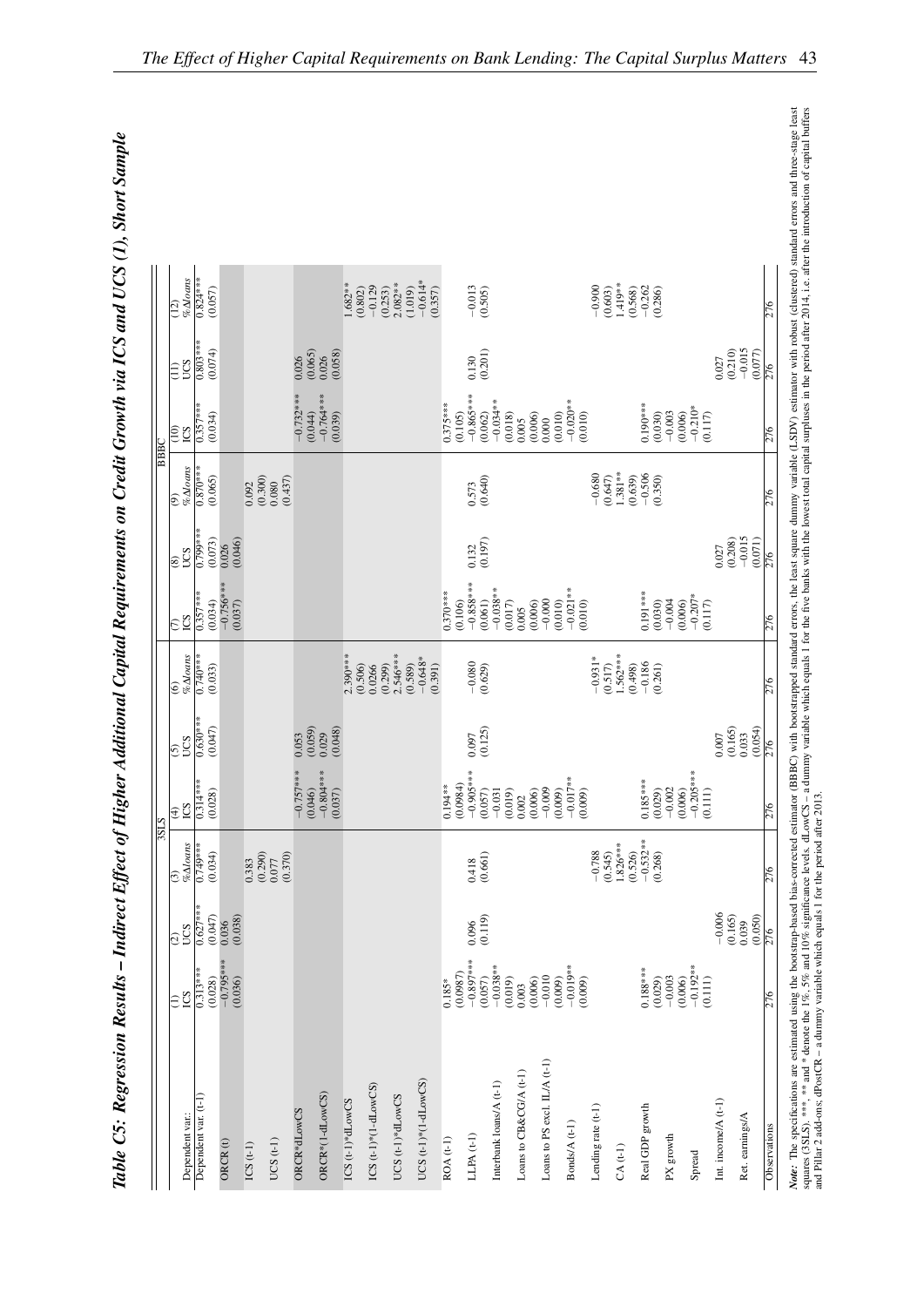|      | $% \Delta$ oans<br>(12)              | $0.824***$           | (0.057)                |         |                  |                                 |                        |                                 | 1.682**<br>(0.802)    | $-0.129$<br>(0.253)       | $2.082**$        | $-0.614*$<br>(1.019)    | (0.357)    | $-0.013$                | (0.505)              |                         |                        |                              |                        | $-0.900$           | 1.419**<br>(0.603)    | (0.568)<br>$-0.262$   | (0.286)                        |                        |                     |                     | 276             |
|------|--------------------------------------|----------------------|------------------------|---------|------------------|---------------------------------|------------------------|---------------------------------|-----------------------|---------------------------|------------------|-------------------------|------------|-------------------------|----------------------|-------------------------|------------------------|------------------------------|------------------------|--------------------|-----------------------|-----------------------|--------------------------------|------------------------|---------------------|---------------------|-----------------|
|      | $rac{1}{20}$                         | $0.803***$           | (0.074)                |         |                  |                                 | 0.026                  | $(0.065)$<br>$0.026$<br>(0.058) |                       |                           |                  |                         |            | 0.130                   | (0.201)              |                         |                        |                              |                        |                    |                       |                       |                                |                        | (0.210)<br>0.027    | $-0.015$<br>(0.077) | $\frac{5}{2}$   |
| BBC  | $\frac{1}{2}$<br>SQI                 | $0.357***$           | (0.034)                |         |                  |                                 | $-0.732***$<br>(0.044) | $-0.764***$<br>(0.039)          |                       |                           |                  |                         | $0.375***$ | $-0.865***$<br>(0.105)  | (0.062)              | $-0.034**$<br>(0.018)   | (0.006)<br>0.005       | (0.010)<br>0.000             | $-0.020**$<br>(0.010)  |                    |                       | $0.190***$            | $-0.003$<br>(0.006)<br>(0.030) | $-0.210*$<br>(0.117)   |                     |                     | $\frac{5}{2}$   |
|      | $% \Delta loans$<br>ම                | $0.870***$           | (0.065)                |         | 0.092            | $(0.300)$<br>$0.080$<br>(0.437) |                        |                                 |                       |                           |                  |                         |            | 0.573                   | (0.640)              |                         |                        |                              |                        | $-0.680$           | $1.381**$<br>(0.647)  | $-0.506$<br>(0.639)   | (0.350)                        |                        |                     |                     | $\frac{52}{5}$  |
|      | CCS<br>$\hat{8}$                     | 0.799***             | (0.073)<br>0.026       | (0.046) |                  |                                 |                        |                                 |                       |                           |                  |                         |            |                         | $0.132$<br>$(0.197)$ |                         |                        |                              |                        |                    |                       |                       |                                |                        | (0.208)<br>0.027    | $-0.015$<br>(0.071) | $\frac{925}{2}$ |
|      | εğ                                   | $0.357***$           | $-0.756***$<br>(0.034) | (0.037) |                  |                                 |                        |                                 |                       |                           |                  |                         | $0.370***$ | $-0.858***$<br>(0.106)  | (0.061)              | $-0.038***$<br>(0.017)  | (0.006)<br>0.005       | $-0.000$<br>(0.010)          | $-0.021**$<br>(0.010)  |                    |                       | $0.191***$            | $-0.004$<br>(0.030)<br>(0.006) | $-0.207*$<br>(0.117)   |                     |                     | $\frac{925}{2}$ |
|      | $% \Delta$ oans<br>$\widehat{\circ}$ | $0.740***$           | (0.033)                |         |                  |                                 |                        |                                 | $2.390***$<br>(0.506) | 0.0266<br>(0.299)         | $2.546***$       | $-0.648*$<br>(0.589)    | (0.391)    | $-0.080$                | (0.629)              |                         |                        |                              |                        | $-0.931*$          | 1.562***<br>(0.517)   | $-0.186$<br>(0.498)   | (0.261)                        |                        |                     |                     | 276             |
|      | CCS<br>6                             | $0.630***$           | (0.047)                |         |                  |                                 | (0.059)<br>0.053       | (0.048)<br>0.029                |                       |                           |                  |                         |            | 0.097                   | (0.125)              |                         |                        |                              |                        |                    |                       |                       |                                |                        | (0.165)<br>0.007    | (0.054)<br>0.033    |                 |
| SISE | <b>CS</b><br>$\widehat{\mathcal{F}}$ | $0.314***$           | (0.028)                |         |                  |                                 | $-0.757***$<br>(0.046) | $-0.804***$<br>(0.037)          |                       |                           |                  |                         | $0.194***$ | $-0.905***$<br>(0.0984) | (0.057)              | $-0.031$<br>(0.019)     | (0.006)<br>0.002       | $-0.009$<br>(0.009)          | $-0.017**$<br>(0.009)  |                    |                       | $0.185***$            | (0.006)<br>$-0.002$<br>(0.029) | $-0.205***$<br>(0.111) |                     |                     | $\frac{5}{2}$   |
|      | $% \Delta$ oans<br>$\widehat{c}$     | 0.749***             | (0.034)                |         | (0.290)<br>0.383 | (0.370)<br>0.077                |                        |                                 |                       |                           |                  |                         |            | 0.418                   | (0.661)              |                         |                        |                              |                        | $-0.788$           | $1.826***$<br>(0.545) | $(0.526)$<br>-0.532** | (0.268)                        |                        |                     |                     |                 |
|      | CS<br>$\widehat{c}$                  | $0.627***$           | (0.047)<br>0.036       | (0.038) |                  |                                 |                        |                                 |                       |                           |                  |                         |            | 0.096                   | (0.119)              |                         |                        |                              |                        |                    |                       |                       |                                |                        | $-0.006$<br>(0.165) | (0.050)<br>0.039    |                 |
|      | Ξğ                                   | $0.313***$           | $-0.795***$<br>(0.028) | (0.036) |                  |                                 |                        |                                 |                       |                           |                  |                         | $0.185*$   | $-0.897***$<br>(0.0987) | (0.057)              | $-0.038**$<br>(0.019)   | (0.006)<br>0.003       | $-0.010$<br>(0.009)          | $-0.019***$<br>(0.009) |                    |                       | $0.188***$            | $-0.003$<br>(0.029)<br>(0.006) | $-0.192**$<br>(0.111)  |                     |                     | 276             |
|      | Dependent var.:                      | Dependent var. (t-1) | ORCR(t)                |         | $ICS(t-1)$       | UCS $(t-1)$                     | ORCR*dLowCS            | ORCR*(1-dLowCS)                 | ICS $(t-1)*dLowCS$    | ICS $(t-1)*$ $(1-dLowCS)$ | UCS (t-1)*dLowCS | UCS $(t-1)*(1-dLow CS)$ | ROA (t-1)  | $LLPA(t-1)$             |                      | Interbank loans/A (t-1) | Loans to CB&CG/A (t-1) | Loans to PS excl. IL/A (t-1) | Bonds/A (t-1)          | Lending rate (t-1) | $CA(t-1)$             | Real GDP growth       | PX growth                      | Spread                 | Int. income/A (t-1) | Ret. earnings/A     | Observations    |

Table C5: Regression Results – Indirect Effect of Higher Additional Capital Requirements on Credit Growth via ICS and UCS (1), Short Sample Table C5: Regression Results – Indirect Effect of Higher Additional Capital Requirements on Credit Growth via ICS and UCS (1), Short Sample *Note*: The specifications are estimated using the boostrap-based bias-corrected estimator (BBBC) with boostrapped standard errors, the least square dummy variable (LSDV) estimator with robust (clustered) standard errors a Note: The specifications are estimated using the boostrap-based bias-corrected estimator (BBBC) with bootstrapped standard errors, the least square dummy variable (LSDV) estimator with robust (clustered) standard errors an squares (3SLS).\*\*\*,\*\* and \* denote the 1%, 5% and 10% significance levels, dLowCS - a dummy variable which equals 1 for the five banks with the lowest total capital surpluses in the period after 2014, i.e. after the introd

and Pillar 2 add-ons; dPostCR – a dummy variable which equals 1 for the period after 2013.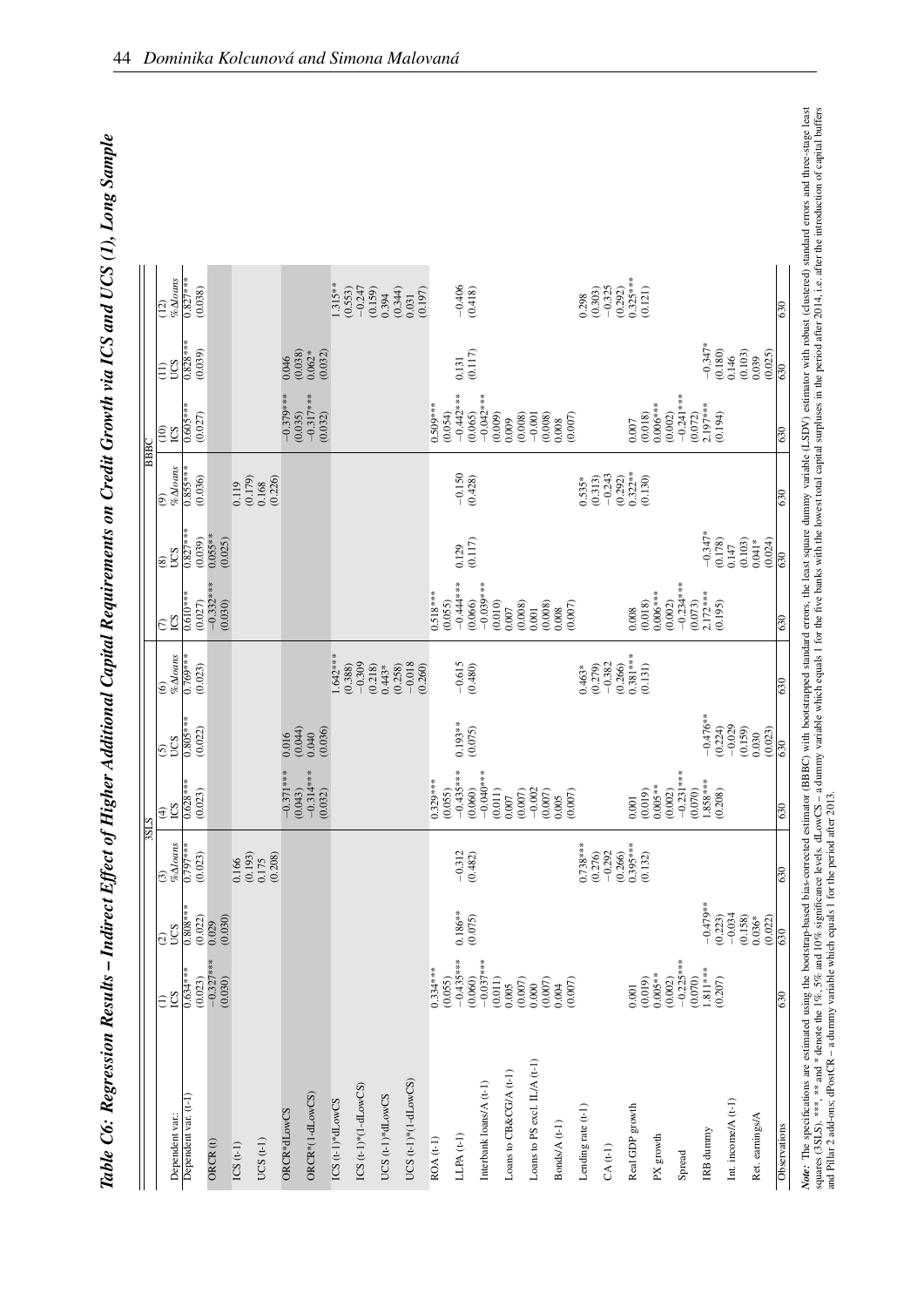| ׇ֚֚֡<br>$\overline{a}$                       |
|----------------------------------------------|
| $\sim -\infty$                               |
|                                              |
| トー・テー てくとし                                   |
|                                              |
| İ<br><b>NVI</b>                              |
| la ICS ana UCS (1)                           |
|                                              |
|                                              |
| `,                                           |
| 1500x, 15001<br>こうこうこう                       |
|                                              |
|                                              |
| I<br>ייייי                                   |
| $\frac{1}{2}$                                |
| $\sim$ $\sim$ $\sim$ $\sim$ $\sim$<br>י<br>י |
|                                              |
| $\ddot{\phantom{a}}$                         |
| . of Higher                                  |
| )                                            |
|                                              |
| Š                                            |
|                                              |
| ı                                            |
|                                              |
|                                              |
|                                              |
| )<br>£<br>֕                                  |
|                                              |
|                                              |

|                              |                                   |                                |                                               | 3SLS                                                                                                                                                                                                                                                                                     |                                                            |                                                               |                                  |                             |                                 | <b>BBBC</b>                                                |                       |                                       |
|------------------------------|-----------------------------------|--------------------------------|-----------------------------------------------|------------------------------------------------------------------------------------------------------------------------------------------------------------------------------------------------------------------------------------------------------------------------------------------|------------------------------------------------------------|---------------------------------------------------------------|----------------------------------|-----------------------------|---------------------------------|------------------------------------------------------------|-----------------------|---------------------------------------|
| Dependent var.:              | $\widehat{\Xi}$                   | <b>SQQ</b><br>$ \widehat{c} $  | $\%$ $\Delta{}l$ oans<br>$ \widehat{\odot}\>$ | <b>CS</b><br>$\widehat{\mathcal{F}}$                                                                                                                                                                                                                                                     | <b>SOL</b><br>િ                                            | $\frac{\omega}{\% \Delta long}$                               | $\overline{\mathbb{C}}$          | CCS<br>$\overline{\circ}$   | %Aloans<br>⊚                    | $\widehat{=}$<br><b>CS</b>                                 | UCS<br>$\widehat{E}$  | $% \Delta$ loans<br>$\overline{(12)}$ |
| Dependent var. (t-1)         | $0.634***$<br>(0.023)             | $0.808***$<br>(0.022)          | $0.797***$<br>(0.023)                         | $0.628***$<br>(0.023)                                                                                                                                                                                                                                                                    | $0.805***$<br>(0.022)                                      | $0.769***$<br>(0.023)                                         | $0.610***$<br>(0.027)            | $0.827***$<br>(0.039)       | $0.855***$<br>(0.036)           | $0.605***$<br>(0.027)                                      | $0.828***$<br>(0.039) | $0.827***$<br>(0.038)                 |
| ORCR(t)                      | $-0.327***$<br>(0.030)            | (0.030)<br>0.029               |                                               |                                                                                                                                                                                                                                                                                          |                                                            |                                                               | $-0.332***$<br>(0.030)           | $0.055***$<br>(0.025)       |                                 |                                                            |                       |                                       |
| $ICS(t-1)$                   |                                   |                                | (0.193)<br>0.166                              |                                                                                                                                                                                                                                                                                          |                                                            |                                                               |                                  |                             | (0.179)<br>0.119                |                                                            |                       |                                       |
| UCS $(t-1)$                  |                                   |                                | $\frac{0.175}{(0.208)}$                       |                                                                                                                                                                                                                                                                                          |                                                            |                                                               |                                  |                             | $0.168$<br>$(0.226)$            |                                                            |                       |                                       |
| ORCR*dLowCS                  |                                   |                                |                                               | $-0.371***$                                                                                                                                                                                                                                                                              | 0.016                                                      |                                                               |                                  |                             |                                 | $-0.379***$<br>(0.035)                                     | $0.046$<br>$(0.038)$  |                                       |
| ORCR*(1-dLowCS)              |                                   |                                |                                               | $(0.043)$<br>-0.314***<br>(0.032)                                                                                                                                                                                                                                                        | $\begin{array}{c} (0.044) \\ 0.040 \\ 0.036) \end{array}$  |                                                               |                                  |                             |                                 | $-0.317***$<br>(0.032)                                     | (0.032)<br>$0.062*$   |                                       |
| ICS $(t-1)*dLowCS$           |                                   |                                |                                               |                                                                                                                                                                                                                                                                                          |                                                            | $1.642***$<br>(0.388)                                         |                                  |                             |                                 |                                                            |                       | $1.315**$<br>(0.553)                  |
| $ICS$ (t-1)*(1-dLowCS)       |                                   |                                |                                               |                                                                                                                                                                                                                                                                                          |                                                            | $-0.309$                                                      |                                  |                             |                                 |                                                            |                       | $-0.247$<br>(0.159)                   |
| UCS (t-1)*dLowCS             |                                   |                                |                                               |                                                                                                                                                                                                                                                                                          |                                                            | $(0.218)$<br>0.443*<br>(0.258)                                |                                  |                             |                                 |                                                            |                       | (0.344)<br>0.394                      |
| UCS $(t-1)*$ $(1-dLowCS)$    |                                   |                                |                                               |                                                                                                                                                                                                                                                                                          |                                                            | $-0.018$<br>(0.260)                                           |                                  |                             |                                 |                                                            |                       | (0.197)<br>0.031                      |
| $ROA(t-1)$                   | $0.334***$<br>(0.055)             |                                |                                               | $0.329***$                                                                                                                                                                                                                                                                               |                                                            |                                                               | $0.518***$<br>(0.055)            |                             |                                 | $0.509***$<br>(0.054)                                      |                       |                                       |
| LLPA $(t-1)$                 | $-0.435***$<br>(0.060)            | $0.186***$                     | $-0.312$<br>(0.482)                           |                                                                                                                                                                                                                                                                                          | $0.193***$                                                 | $-0.615$<br>(0.480)                                           | $-0.444***$                      | 0.129                       | $-0.150$<br>$(0.428)$           | $-0.442***$<br>(0.065)                                     | (0.117)<br>0.131      | $-0.406$<br>(0.418)                   |
| Interbank loans/A (t-1)      | $-0.037***$<br>(0.011)            | (0.075)                        |                                               |                                                                                                                                                                                                                                                                                          | (0.075)                                                    |                                                               | $-0.039***$<br>(0.066)           | (0.117)                     |                                 | $-0.042***$                                                |                       |                                       |
| Loans to CB&CG/A (t-1)       | (0.007)<br>0.005                  |                                |                                               | $\begin{array}{l} (0.055)\\ (0.055)\\ (0.045)\\ (0.060)\\ (0.060)\\ (0.001)\\ (0.011)\\ (0.007)\\ (0.0007)\\ (0.0007)\\ (0.0007)\\ (0.0007)\\ (0.0007)\\ (0.0007)\\ (0.0007)\\ (0.0007)\\ (0.0007)\\ (0.0007)\\ (0.0007)\\ (0.0007)\\ (0.0007)\\ (0.0007)\\ (0.0007)\\ (0.0007)\\ (0.00$ |                                                            |                                                               | (0.010)<br>(0.008)<br>0.007      |                             |                                 | (0.009)<br>(0.008)<br>0.009                                |                       |                                       |
| Loans to PS excl. IL/A (t-1) | (0.007)<br>0.000                  |                                |                                               |                                                                                                                                                                                                                                                                                          |                                                            |                                                               | (0.008)<br>0.001                 |                             |                                 | $-0.001$                                                   |                       |                                       |
| Bonds/A (t-1)                | $0.004$<br>$(0.007)$              |                                |                                               |                                                                                                                                                                                                                                                                                          |                                                            |                                                               | $0.008$ (0.007)                  |                             |                                 | $\begin{array}{c} (0.008) \\ 0.008 \\ (0.007) \end{array}$ |                       |                                       |
| Lending rate (t-1)           |                                   |                                | $0.738***$<br>(0.276)                         |                                                                                                                                                                                                                                                                                          |                                                            | (0.279)<br>$0.463*$                                           |                                  |                             | (0.313)<br>$0.535*$             |                                                            |                       | (0.303)<br>0.298                      |
| $CA(t-1)$                    |                                   |                                | $-0.292$                                      |                                                                                                                                                                                                                                                                                          |                                                            | $-0.382$                                                      |                                  |                             | $-0.243$                        |                                                            |                       | $-0.325$                              |
| Real GDP growth              | (0.019)<br>0.001                  |                                | $0.395***$<br>(0.266)<br>(0.132)              |                                                                                                                                                                                                                                                                                          |                                                            | $\begin{array}{c} (0.266) \\ 0.381*** \end{array}$<br>(0.131) | (0.018)<br>0.008                 |                             | $0.322**$<br>(0.130)<br>(0.292) | (0.018)<br>0.007                                           |                       | $0.325***$<br>(0.292)<br>(0.121)      |
| PX growth                    | $0.005**$                         |                                |                                               | $(0.001$<br>$(0.019)$<br>$0.005***$<br>$(0.002)$<br>$-0.231***$                                                                                                                                                                                                                          |                                                            |                                                               | $0.006***$                       |                             |                                 | $0.006***$                                                 |                       |                                       |
| Spread                       | $-0.225***$<br>(0.002)<br>(0.070) |                                |                                               |                                                                                                                                                                                                                                                                                          |                                                            |                                                               | $-0.234***$<br>(0.002)           |                             |                                 | $-0.241***$<br>(0.002)                                     |                       |                                       |
| IRB dunnny                   | $1.811***$                        | $-0.479**$                     |                                               | $(0.070)$<br>1.858***<br>(0.208)                                                                                                                                                                                                                                                         | $-0.476***$<br>(0.224)                                     |                                                               | $2.172***$<br>(0.195)<br>(0.073) | $-0.347*$                   |                                 | $(0.072)$<br>2.197***<br>(0.194)                           | $-0.347*$<br>(0.180)  |                                       |
| Int. income/ $A(t-1)$        | (0.207)                           | $-0.034$<br>(0.223)<br>(0.158) |                                               |                                                                                                                                                                                                                                                                                          | $-0.029$                                                   |                                                               |                                  | (0.178)<br>(0.103)<br>0.147 |                                 |                                                            | $0.146$<br>$(0.103)$  |                                       |
| Ret. earnings/A              |                                   | $0.036*$<br>(0.022)            |                                               |                                                                                                                                                                                                                                                                                          | $\begin{array}{c} (0.159) \\ 0.030 \\ (0.023) \end{array}$ |                                                               |                                  | (0.024)<br>$0.041*$         |                                 |                                                            | (0.025)<br>0.039      |                                       |
| Observations                 | 630                               | 630                            | 630                                           | 630                                                                                                                                                                                                                                                                                      | 630                                                        | 630                                                           | 630                              | 630                         | 630                             | 630                                                        | 630                   | 630                                   |